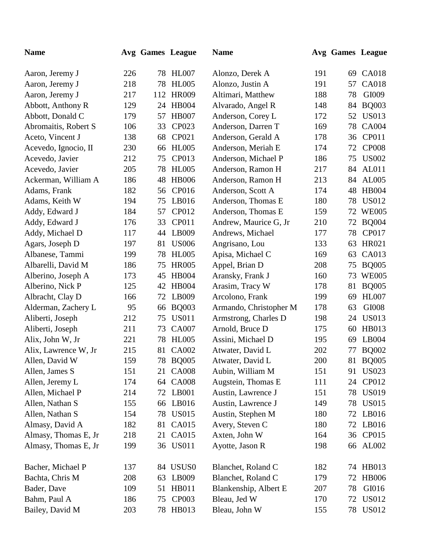| <b>Name</b>          |     | Avg Games League |              | <b>Name</b>            |     | Avg Games League |              |
|----------------------|-----|------------------|--------------|------------------------|-----|------------------|--------------|
| Aaron, Jeremy J      | 226 | 78               | HL007        | Alonzo, Derek A        | 191 | 69               | <b>CA018</b> |
| Aaron, Jeremy J      | 218 | 78               | <b>HL005</b> | Alonzo, Justin A       | 191 | 57               | <b>CA018</b> |
| Aaron, Jeremy J      | 217 | 112              | <b>HR009</b> | Altimari, Matthew      | 188 | 78               | GI009        |
| Abbott, Anthony R    | 129 | 24               | <b>HB004</b> | Alvarado, Angel R      | 148 | 84               | <b>BQ003</b> |
| Abbott, Donald C     | 179 | 57               | <b>HB007</b> | Anderson, Corey L      | 172 | 52               | <b>US013</b> |
| Abromaitis, Robert S | 106 | 33               | CP023        | Anderson, Darren T     | 169 | 78               | <b>CA004</b> |
| Aceto, Vincent J     | 138 | 68               | CP021        | Anderson, Gerald A     | 178 | 36               | CP011        |
| Acevedo, Ignocio, II | 230 | 66               | <b>HL005</b> | Anderson, Meriah E     | 174 | 72               | <b>CP008</b> |
| Acevedo, Javier      | 212 | 75               | CP013        | Anderson, Michael P    | 186 | 75               | <b>US002</b> |
| Acevedo, Javier      | 205 | 78               | <b>HL005</b> | Anderson, Ramon H      | 217 | 84               | AL011        |
| Ackerman, William A  | 186 | 48               | <b>HB006</b> | Anderson, Ramon H      | 213 | 84               | AL005        |
| Adams, Frank         | 182 | 56               | CP016        | Anderson, Scott A      | 174 | 48               | <b>HB004</b> |
| Adams, Keith W       | 194 | 75               | LB016        | Anderson, Thomas E     | 180 | 78               | <b>US012</b> |
| Addy, Edward J       | 184 | 57               | CP012        | Anderson, Thomas E     | 159 |                  | 72 WE005     |
| Addy, Edward J       | 176 | 33               | CP011        | Andrew, Maurice G, Jr  | 210 | 72               | <b>BQ004</b> |
| Addy, Michael D      | 117 | 44               | LB009        | Andrews, Michael       | 177 | 78               | CP017        |
| Agars, Joseph D      | 197 | 81               | <b>US006</b> | Angrisano, Lou         | 133 | 63               | HR021        |
| Albanese, Tammi      | 199 | 78               | <b>HL005</b> | Apisa, Michael C       | 169 | 63               | CA013        |
| Albarelli, David M   | 186 | 75               | <b>HR005</b> | Appel, Brian D         | 208 | 75               | <b>BQ005</b> |
| Alberino, Joseph A   | 173 | 45               | <b>HB004</b> | Aransky, Frank J       | 160 | 73               | <b>WE005</b> |
| Alberino, Nick P     | 125 | 42               | <b>HB004</b> | Arasim, Tracy W        | 178 | 81               | <b>BQ005</b> |
| Albracht, Clay D     | 166 | 72               | LB009        | Arcolono, Frank        | 199 | 69               | <b>HL007</b> |
| Alderman, Zachery L  | 95  | 66               | <b>BQ003</b> | Armando, Christopher M | 178 | 63               | GI008        |
| Aliberti, Joseph     | 212 | 75               | <b>US011</b> | Armstrong, Charles D   | 198 | 24               | <b>US013</b> |
| Aliberti, Joseph     | 211 | 73               | <b>CA007</b> | Arnold, Bruce D        | 175 | 60               | HB013        |
| Alix, John W, Jr     | 221 | 78               | <b>HL005</b> | Assini, Michael D      | 195 | 69               | LB004        |
| Alix, Lawrence W, Jr | 215 | 81               | <b>CA002</b> | Atwater, David L       | 202 | 77               | <b>BQ002</b> |
| Allen, David W       | 159 |                  | 78 BQ005     | Atwater, David L       | 200 |                  | 81 BQ005     |
| Allen, James S       | 151 | 21               | <b>CA008</b> | Aubin, William M       | 151 | 91               | <b>US023</b> |
| Allen, Jeremy L      | 174 |                  | 64 CA008     | Augstein, Thomas E     | 111 | 24               | CP012        |
| Allen, Michael P     | 214 |                  | 72 LB001     | Austin, Lawrence J     | 151 | 78               | <b>US019</b> |
| Allen, Nathan S      | 155 | 66               | LB016        | Austin, Lawrence J     | 149 | 78               | <b>US015</b> |
| Allen, Nathan S      | 154 | 78               | <b>US015</b> | Austin, Stephen M      | 180 | 72               | LB016        |
| Almasy, David A      | 182 | 81               | CA015        | Avery, Steven C        | 180 | 72               | LB016        |
| Almasy, Thomas E, Jr | 218 | 21               | CA015        | Axten, John W          | 164 | 36               | CP015        |
| Almasy, Thomas E, Jr | 199 |                  | 36 US011     | Ayotte, Jason R        | 198 | 66               | AL002        |
| Bacher, Michael P    | 137 |                  | 84 USUS0     | Blanchet, Roland C     | 182 |                  | 74 HB013     |
| Bachta, Chris M      | 208 | 63               | LB009        | Blanchet, Roland C     | 179 | 72               | <b>HB006</b> |
| Bader, Dave          | 109 | 51               | HB011        | Blankenship, Albert E  | 207 | 78               | GI016        |
| Bahm, Paul A         | 186 | 75               | <b>CP003</b> | Bleau, Jed W           | 170 | 72               | US012        |
| Bailey, David M      | 203 |                  | 78 HB013     | Bleau, John W          | 155 | 78               | <b>US012</b> |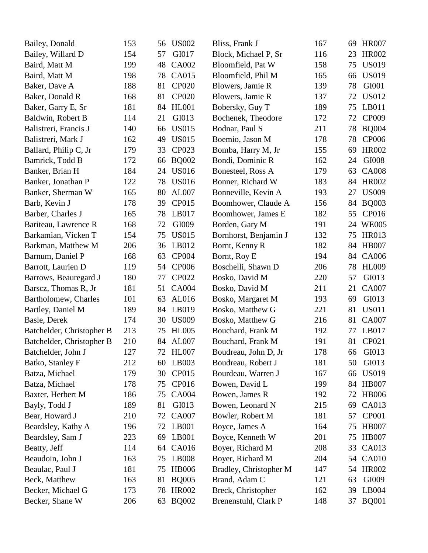| Bailey, Donald            | 153 | 56 | <b>US002</b> | Bliss, Frank J         | 167 | 69 | <b>HR007</b> |
|---------------------------|-----|----|--------------|------------------------|-----|----|--------------|
| Bailey, Willard D         | 154 | 57 | GI017        | Block, Michael P, Sr   | 116 | 23 | <b>HR002</b> |
| Baird, Matt M             | 199 | 48 | <b>CA002</b> | Bloomfield, Pat W      | 158 | 75 | <b>US019</b> |
| Baird, Matt M             | 198 | 78 | CA015        | Bloomfield, Phil M     | 165 | 66 | <b>US019</b> |
| Baker, Dave A             | 188 | 81 | <b>CP020</b> | Blowers, Jamie R       | 139 | 78 | GI001        |
| Baker, Donald R           | 168 | 81 | <b>CP020</b> | Blowers, Jamie R       | 137 | 72 | <b>US012</b> |
| Baker, Garry E, Sr        | 181 | 84 | <b>HL001</b> | Bobersky, Guy T        | 189 | 75 | LB011        |
| Baldwin, Robert B         | 114 | 21 | GI013        | Bochenek, Theodore     | 172 | 72 | CP009        |
| Balistreri, Francis J     | 140 | 66 | <b>US015</b> | Bodnar, Paul S         | 211 | 78 | <b>BQ004</b> |
| Balistreri, Mark J        | 162 | 49 | <b>US015</b> | Boemio, Jason M        | 178 | 78 | <b>CP006</b> |
| Ballard, Philip C, Jr     | 179 | 33 | CP023        | Bomba, Harry M, Jr     | 155 | 69 | <b>HR002</b> |
| Bamrick, Todd B           | 172 | 66 | <b>BQ002</b> | Bondi, Dominic R       | 162 | 24 | GI008        |
| Banker, Brian H           | 184 | 24 | <b>US016</b> | Bonesteel, Ross A      | 179 | 63 | <b>CA008</b> |
| Banker, Jonathan P        | 122 | 78 | <b>US016</b> | Bonner, Richard W      | 183 | 84 | <b>HR002</b> |
| Banker, Sherman W         | 165 | 80 | AL007        | Bonneville, Kevin A    | 193 | 27 | <b>US009</b> |
| Barb, Kevin J             | 178 | 39 | CP015        | Boomhower, Claude A    | 156 | 84 | <b>BQ003</b> |
| Barber, Charles J         | 165 | 78 | LB017        | Boomhower, James E     | 182 | 55 | CP016        |
| Bariteau, Lawrence R      | 168 | 72 | GI009        | Borden, Gary M         | 191 | 24 | <b>WE005</b> |
| Barkamian, Vicken T       | 154 | 75 | <b>US015</b> | Bornhorst, Benjamin J  | 132 | 75 | HR013        |
| Barkman, Matthew M        | 206 | 36 | LB012        | Bornt, Kenny R         | 182 | 84 | <b>HB007</b> |
| Barnum, Daniel P          | 168 | 63 | <b>CP004</b> | Bornt, Roy E           | 194 | 84 | CA006        |
| Barrott, Laurien D        | 119 | 54 | <b>CP006</b> | Boschelli, Shawn D     | 206 | 78 | <b>HL009</b> |
| Barrows, Beauregard J     | 180 | 77 | CP022        | Bosko, David M         | 220 | 57 | GI013        |
| Barscz, Thomas R, Jr      | 181 | 51 | <b>CA004</b> | Bosko, David M         | 211 | 21 | <b>CA007</b> |
| Bartholomew, Charles      | 101 | 63 | AL016        | Bosko, Margaret M      | 193 | 69 | GI013        |
| Bartley, Daniel M         | 189 | 84 | LB019        | Bosko, Matthew G       | 221 | 81 | <b>US011</b> |
| Basle, Derek              | 174 | 30 | <b>US009</b> | Bosko, Matthew G       | 216 | 81 | <b>CA007</b> |
| Batchelder, Christopher B | 213 | 75 | <b>HL005</b> | Bouchard, Frank M      | 192 | 77 | LB017        |
| Batchelder, Christopher B | 210 | 84 | AL007        | Bouchard, Frank M      | 191 | 81 | CP021        |
| Batchelder, John J        | 127 |    | 72 HL007     | Boudreau, John D, Jr   | 178 |    | 66 GI013     |
| Batko, Stanley F          | 212 | 60 | LB003        | Boudreau, Robert J     | 181 | 50 | GI013        |
| Batza, Michael            | 179 | 30 | CP015        | Bourdeau, Warren J     | 167 | 66 | <b>US019</b> |
| Batza, Michael            | 178 | 75 | CP016        | Bowen, David L         | 199 | 84 | <b>HB007</b> |
| Baxter, Herbert M         | 186 | 75 | <b>CA004</b> | Bowen, James R         | 192 | 72 | <b>HB006</b> |
| Bayly, Todd J             | 189 | 81 | GI013        | Bowen, Leonard N       | 215 | 69 | CA013        |
| Bear, Howard J            | 210 | 72 | <b>CA007</b> | Bowler, Robert M       | 181 | 57 | <b>CP001</b> |
| Beardsley, Kathy A        | 196 | 72 | LB001        | Boyce, James A         | 164 | 75 | <b>HB007</b> |
| Beardsley, Sam J          | 223 | 69 | LB001        | Boyce, Kenneth W       | 201 | 75 | <b>HB007</b> |
| Beatty, Jeff              | 114 | 64 | CA016        | Boyer, Richard M       | 208 | 33 | CA013        |
| Beaudoin, John J          | 163 | 75 | LB008        | Boyer, Richard M       | 204 | 54 | <b>CA010</b> |
| Beaulac, Paul J           | 181 | 75 | <b>HB006</b> | Bradley, Christopher M | 147 | 54 | <b>HR002</b> |
| Beck, Matthew             | 163 | 81 | <b>BQ005</b> | Brand, Adam C          | 121 | 63 | GI009        |
| Becker, Michael G         | 173 | 78 | <b>HR002</b> | Breck, Christopher     | 162 | 39 | LB004        |
| Becker, Shane W           | 206 | 63 | <b>BQ002</b> | Brenenstuhl, Clark P   | 148 | 37 | <b>BQ001</b> |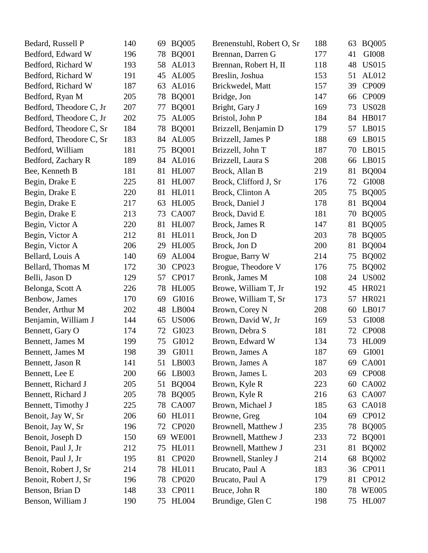| Bedard, Russell P       | 140 | <b>BQ005</b><br>69 | Brenenstuhl, Robert O, Sr | 188 | 63 | <b>BQ005</b> |
|-------------------------|-----|--------------------|---------------------------|-----|----|--------------|
| Bedford, Edward W       | 196 | <b>BQ001</b><br>78 | Brennan, Darren G         | 177 | 41 | GI008        |
| Bedford, Richard W      | 193 | AL013<br>58        | Brennan, Robert H, II     | 118 | 48 | <b>US015</b> |
| Bedford, Richard W      | 191 | AL005<br>45        | Breslin, Joshua           | 153 | 51 | AL012        |
| Bedford, Richard W      | 187 | AL016<br>63        | Brickwedel, Matt          | 157 | 39 | CP009        |
| Bedford, Ryan M         | 205 | <b>BQ001</b><br>78 | Bridge, Jon               | 147 | 66 | CP009        |
| Bedford, Theodore C, Jr | 207 | <b>BQ001</b><br>77 | Bright, Gary J            | 169 | 73 | <b>US028</b> |
| Bedford, Theodore C, Jr | 202 | AL005<br>75        | Bristol, John P           | 184 | 84 | HB017        |
| Bedford, Theodore C, Sr | 184 | <b>BQ001</b><br>78 | Brizzell, Benjamin D      | 179 | 57 | LB015        |
| Bedford, Theodore C, Sr | 183 | AL005<br>84        | Brizzell, James P         | 188 | 69 | LB015        |
| Bedford, William        | 181 | <b>BQ001</b><br>75 | Brizzell, John T          | 187 | 70 | LB015        |
| Bedford, Zachary R      | 189 | AL016<br>84        | Brizzell, Laura S         | 208 | 66 | LB015        |
| Bee, Kenneth B          | 181 | <b>HL007</b><br>81 | Brock, Allan B            | 219 | 81 | <b>BQ004</b> |
| Begin, Drake E          | 225 | <b>HL007</b><br>81 | Brock, Clifford J, Sr     | 176 | 72 | GI008        |
| Begin, Drake E          | 220 | <b>HL011</b><br>81 | Brock, Clinton A          | 205 | 75 | <b>BQ005</b> |
| Begin, Drake E          | 217 | <b>HL005</b><br>63 | Brock, Daniel J           | 178 | 81 | <b>BQ004</b> |
| Begin, Drake E          | 213 | <b>CA007</b><br>73 | Brock, David E            | 181 | 70 | <b>BQ005</b> |
| Begin, Victor A         | 220 | <b>HL007</b><br>81 | Brock, James R            | 147 | 81 | <b>BQ005</b> |
| Begin, Victor A         | 212 | <b>HL011</b><br>81 | Brock, Jon D              | 203 | 78 | <b>BQ005</b> |
| Begin, Victor A         | 206 | <b>HL005</b><br>29 | Brock, Jon D              | 200 | 81 | <b>BQ004</b> |
| Bellard, Louis A        | 140 | AL004<br>69        | Brogue, Barry W           | 214 | 75 | <b>BQ002</b> |
| Bellard, Thomas M       | 172 | CP023<br>30        | Brogue, Theodore V        | 176 | 75 | <b>BQ002</b> |
| Belli, Jason D          | 129 | CP017<br>57        | Bronk, James M            | 108 | 24 | <b>US002</b> |
| Belonga, Scott A        | 226 | <b>HL005</b><br>78 | Browe, William T, Jr      | 192 | 45 | HR021        |
| Benbow, James           | 170 | GI016<br>69        | Browe, William T, Sr      | 173 | 57 | HR021        |
| Bender, Arthur M        | 202 | LB004<br>48        | Brown, Corey N            | 208 | 60 | LB017        |
| Benjamin, William J     | 144 | <b>US006</b><br>65 | Brown, David W, Jr        | 169 | 53 | GI008        |
| Bennett, Gary O         | 174 | GI023<br>72        | Brown, Debra S            | 181 | 72 | <b>CP008</b> |
| Bennett, James M        | 199 | GI012<br>75        | Brown, Edward W           | 134 | 73 | <b>HL009</b> |
| Bennett, James M        | 198 | 39<br>GI011        | Brown, James A            | 187 |    | 69 GI001     |
| Bennett, Jason R        | 141 | LB003<br>51        | Brown, James A            | 187 | 69 | <b>CA001</b> |
| Bennett, Lee E          | 200 | LB003<br>66        | Brown, James L            | 203 | 69 | <b>CP008</b> |
| Bennett, Richard J      | 205 | <b>BQ004</b><br>51 | Brown, Kyle R             | 223 | 60 | CA002        |
| Bennett, Richard J      | 205 | <b>BQ005</b><br>78 | Brown, Kyle R             | 216 | 63 | <b>CA007</b> |
| Bennett, Timothy J      | 225 | <b>CA007</b><br>78 | Brown, Michael J          | 185 | 63 | CA018        |
| Benoit, Jay W, Sr       | 206 | <b>HL011</b><br>60 | Browne, Greg              | 104 | 69 | CP012        |
| Benoit, Jay W, Sr       | 196 | <b>CP020</b><br>72 | Brownell, Matthew J       | 235 | 78 | <b>BQ005</b> |
| Benoit, Joseph D        | 150 | <b>WE001</b><br>69 | Brownell, Matthew J       | 233 | 72 | <b>BQ001</b> |
| Benoit, Paul J, Jr      | 212 | <b>HL011</b><br>75 | Brownell, Matthew J       | 231 | 81 | <b>BQ002</b> |
| Benoit, Paul J, Jr      | 195 | <b>CP020</b><br>81 | Brownell, Stanley J       | 214 | 68 | <b>BQ002</b> |
| Benoit, Robert J, Sr    | 214 | HL011<br>78        | Brucato, Paul A           | 183 | 36 | CP011        |
| Benoit, Robert J, Sr    | 196 | <b>CP020</b><br>78 | Brucato, Paul A           | 179 | 81 | CP012        |
| Benson, Brian D         | 148 | CP011<br>33        | Bruce, John R             | 180 |    | 78 WE005     |
| Benson, William J       | 190 | 75 HL004           | Brundige, Glen C          | 198 |    | 75 HL007     |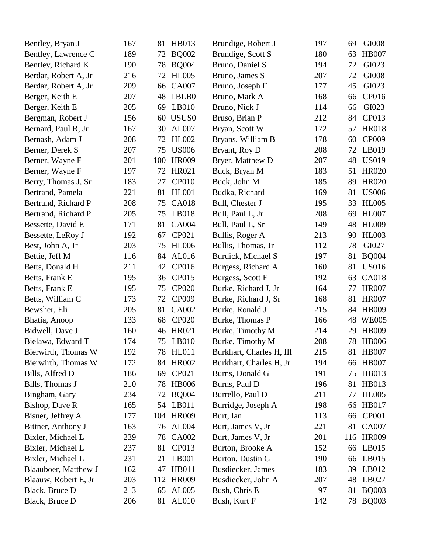| Bentley, Bryan J     | 167 | 81  | HB013             | Brundige, Robert J       | 197 | 69 | GI008        |
|----------------------|-----|-----|-------------------|--------------------------|-----|----|--------------|
| Bentley, Lawrence C  | 189 | 72  | <b>BQ002</b>      | Brundige, Scott S        | 180 | 63 | <b>HB007</b> |
| Bentley, Richard K   | 190 | 78  | <b>BQ004</b>      | Bruno, Daniel S          | 194 | 72 | GI023        |
| Berdar, Robert A, Jr | 216 | 72  | <b>HL005</b>      | Bruno, James S           | 207 | 72 | GI008        |
| Berdar, Robert A, Jr | 209 | 66  | <b>CA007</b>      | Bruno, Joseph F          | 177 | 45 | GI023        |
| Berger, Keith E      | 207 | 48  | LBLB0             | Bruno, Mark A            | 168 | 66 | CP016        |
| Berger, Keith E      | 205 | 69  | LB010             | Bruno, Nick J            | 114 | 66 | GI023        |
| Bergman, Robert J    | 156 | 60  | USUS <sub>0</sub> | Bruso, Brian P           | 212 | 84 | CP013        |
| Bernard, Paul R, Jr  | 167 | 30  | AL007             | Bryan, Scott W           | 172 | 57 | <b>HR018</b> |
| Bernash, Adam J      | 208 | 72  | <b>HL002</b>      | Bryans, William B        | 178 | 60 | CP009        |
| Berner, Derek S      | 207 | 75  | <b>US006</b>      | Bryant, Roy D            | 208 | 72 | LB019        |
| Berner, Wayne F      | 201 | 100 | <b>HR009</b>      | Bryer, Matthew D         | 207 | 48 | <b>US019</b> |
| Berner, Wayne F      | 197 | 72  | HR021             | Buck, Bryan M            | 183 | 51 | <b>HR020</b> |
| Berry, Thomas J, Sr  | 183 | 27  | <b>CP010</b>      | Buck, John M             | 185 | 89 | <b>HR020</b> |
| Bertrand, Pamela     | 221 | 81  | <b>HL001</b>      | Budka, Richard           | 169 | 81 | <b>US006</b> |
| Bertrand, Richard P  | 208 | 75  | <b>CA018</b>      | Bull, Chester J          | 195 | 33 | <b>HL005</b> |
| Bertrand, Richard P  | 205 | 75  | LB018             | Bull, Paul L, Jr         | 208 | 69 | <b>HL007</b> |
| Bessette, David E    | 171 | 81  | <b>CA004</b>      | Bull, Paul L, Sr         | 149 | 48 | <b>HL009</b> |
| Bessette, LeRoy J    | 192 | 67  | CP021             | Bullis, Roger A          | 213 | 90 | <b>HL003</b> |
| Best, John A, Jr     | 203 | 75  | <b>HL006</b>      | Bullis, Thomas, Jr       | 112 | 78 | GI027        |
| Bettie, Jeff M       | 116 | 84  | AL016             | Burdick, Michael S       | 197 | 81 | <b>BQ004</b> |
| Betts, Donald H      | 211 | 42  | CP016             | Burgess, Richard A       | 160 | 81 | <b>US016</b> |
| Betts, Frank E       | 195 | 36  | CP015             | Burgess, Scott F         | 192 | 63 | <b>CA018</b> |
| Betts, Frank E       | 195 | 75  | <b>CP020</b>      | Burke, Richard J, Jr     | 164 | 77 | <b>HR007</b> |
| Betts, William C     | 173 | 72  | CP009             | Burke, Richard J, Sr     | 168 | 81 | <b>HR007</b> |
| Bewsher, Eli         | 205 | 81  | <b>CA002</b>      | Burke, Ronald J          | 215 | 84 | <b>HB009</b> |
| Bhatia, Anoop        | 133 | 68  | <b>CP020</b>      | Burke, Thomas P          | 166 | 48 | <b>WE005</b> |
| Bidwell, Dave J      | 160 | 46  | HR021             | Burke, Timothy M         | 214 | 29 | <b>HB009</b> |
| Bielawa, Edward T    | 174 | 75  | LB010             | Burke, Timothy M         | 208 | 78 | <b>HB006</b> |
| Bierwirth, Thomas W  | 192 |     | 78 HL011          | Burkhart, Charles H, III | 215 |    | 81 HB007     |
| Bierwirth, Thomas W  | 172 | 84  | <b>HR002</b>      | Burkhart, Charles H, Jr  | 194 | 66 | <b>HB007</b> |
| Bills, Alfred D      | 186 | 69  | CP021             | Burns, Donald G          | 191 | 75 | HB013        |
| Bills, Thomas J      | 210 | 78  | <b>HB006</b>      | Burns, Paul D            | 196 | 81 | HB013        |
| Bingham, Gary        | 234 | 72  | <b>BQ004</b>      | Burrello, Paul D         | 211 | 77 | <b>HL005</b> |
| Bishop, Dave R       | 165 | 54  | LB011             | Burridge, Joseph A       | 198 | 66 | <b>HB017</b> |
| Bisner, Jeffrey A    | 177 | 104 | <b>HR009</b>      | Burt, Ian                | 113 | 66 | <b>CP001</b> |
| Bittner, Anthony J   | 163 | 76  | AL004             | Burt, James V, Jr        | 221 | 81 | <b>CA007</b> |
| Bixler, Michael L    | 239 | 78  | CA002             | Burt, James V, Jr        | 201 |    | 116 HR009    |
| Bixler, Michael L    | 237 | 81  | CP013             | Burton, Brooke A         | 152 | 66 | LB015        |
| Bixler, Michael L    | 231 | 21  | LB001             | Burton, Dustin G         | 190 | 66 | LB015        |
| Blaauboer, Matthew J | 162 | 47  | <b>HB011</b>      | Busdiecker, James        | 183 | 39 | LB012        |
| Blaauw, Robert E, Jr | 203 | 112 | <b>HR009</b>      | Busdiecker, John A       | 207 | 48 | LB027        |
| Black, Bruce D       | 213 | 65  | AL005             | Bush, Chris E            | 97  | 81 | <b>BQ003</b> |
| Black, Bruce D       | 206 | 81  | AL010             | Bush, Kurt F             | 142 |    | 78 BQ003     |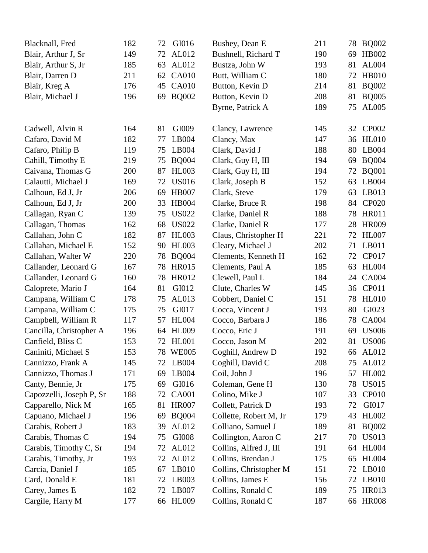| Blacknall, Fred          | 182 | GI016<br>72        | Bushey, Dean E         | 211 | 78 | <b>BQ002</b> |
|--------------------------|-----|--------------------|------------------------|-----|----|--------------|
| Blair, Arthur J, Sr      | 149 | AL012<br>72        | Bushnell, Richard T    | 190 | 69 | HB002        |
| Blair, Arthur S, Jr      | 185 | AL012<br>63        | Bustza, John W         | 193 | 81 | AL004        |
| Blair, Darren D          | 211 | <b>CA010</b><br>62 | Butt, William C        | 180 | 72 | <b>HB010</b> |
| Blair, Kreg A            | 176 | <b>CA010</b><br>45 | Button, Kevin D        | 214 | 81 | <b>BQ002</b> |
| Blair, Michael J         | 196 | <b>BQ002</b><br>69 | Button, Kevin D        | 208 | 81 | <b>BQ005</b> |
|                          |     |                    | Byrne, Patrick A       | 189 | 75 | AL005        |
|                          |     |                    |                        |     |    |              |
| Cadwell, Alvin R         | 164 | GI009<br>81        | Clancy, Lawrence       | 145 | 32 | CP002        |
| Cafaro, David M          | 182 | LB004<br>77        | Clancy, Max            | 147 | 36 | HL010        |
| Cafaro, Philip B         | 119 | LB004<br>75        | Clark, David J         | 188 | 80 | LB004        |
| Cahill, Timothy E        | 219 | <b>BQ004</b><br>75 | Clark, Guy H, III      | 194 | 69 | <b>BQ004</b> |
| Caivana, Thomas G        | 200 | <b>HL003</b><br>87 | Clark, Guy H, III      | 194 | 72 | <b>BQ001</b> |
| Calautti, Michael J      | 169 | <b>US016</b><br>72 | Clark, Joseph B        | 152 | 63 | LB004        |
| Calhoun, Ed J, Jr        | 206 | <b>HB007</b><br>69 | Clark, Steve           | 179 | 63 | LB013        |
| Calhoun, Ed J, Jr        | 200 | <b>HB004</b><br>33 | Clarke, Bruce R        | 198 | 84 | <b>CP020</b> |
| Callagan, Ryan C         | 139 | <b>US022</b><br>75 | Clarke, Daniel R       | 188 | 78 | <b>HR011</b> |
| Callagan, Thomas         | 162 | <b>US022</b><br>68 | Clarke, Daniel R       | 177 | 28 | <b>HR009</b> |
| Callahan, John C         | 182 | <b>HL003</b><br>87 | Claus, Christopher H   | 221 | 72 | <b>HL007</b> |
| Callahan, Michael E      | 152 | <b>HL003</b><br>90 | Cleary, Michael J      | 202 | 71 | LB011        |
| Callahan, Walter W       | 220 | <b>BQ004</b><br>78 | Clements, Kenneth H    | 162 | 72 | CP017        |
| Callander, Leonard G     | 167 | <b>HR015</b><br>78 | Clements, Paul A       | 185 | 63 | <b>HL004</b> |
| Callander, Leonard G     | 160 | <b>HR012</b><br>78 | Clewell, Paul L        | 184 | 24 | <b>CA004</b> |
| Caloprete, Mario J       | 164 | GI012<br>81        | Clute, Charles W       | 145 | 36 | CP011        |
| Campana, William C       | 178 | AL013<br>75        | Cobbert, Daniel C      | 151 | 78 | <b>HL010</b> |
| Campana, William C       | 175 | GI017<br>75        | Cocca, Vincent J       | 193 | 80 | GI023        |
| Campbell, William R      | 117 | <b>HL004</b><br>57 | Cocco, Barbara J       | 186 | 78 | <b>CA004</b> |
| Cancilla, Christopher A  | 196 | <b>HL009</b><br>64 | Cocco, Eric J          | 191 | 69 | <b>US006</b> |
| Canfield, Bliss C        | 153 | <b>HL001</b><br>72 | Cocco, Jason M         | 202 | 81 | <b>US006</b> |
| Caniniti, Michael S      | 153 | 78 WE005           | Coghill, Andrew D      | 192 |    | 66 AL012     |
| Cannizzo, Frank A        | 145 | LB004<br>72        | Coghill, David C       | 208 | 75 | AL012        |
| Cannizzo, Thomas J       | 171 | 69<br>LB004        | Coil, John J           | 196 | 57 | <b>HL002</b> |
| Canty, Bennie, Jr.       | 175 | GI016<br>69        | Coleman, Gene H        | 130 | 78 | <b>US015</b> |
| Capozzelli, Joseph P, Sr | 188 | 72<br><b>CA001</b> | Colino, Mike J         | 107 | 33 | <b>CP010</b> |
| Capparello, Nick M       | 165 | <b>HR007</b><br>81 | Collett, Patrick D     | 193 | 72 | GI017        |
| Capuano, Michael J       | 196 | <b>BQ004</b><br>69 | Collette, Robert M, Jr | 179 | 43 | HL002        |
| Carabis, Robert J        | 183 | AL012<br>39        | Colliano, Samuel J     | 189 | 81 | <b>BQ002</b> |
| Carabis, Thomas C        | 194 | 75<br>GI008        | Collington, Aaron C    | 217 | 70 | <b>US013</b> |
| Carabis, Timothy C, Sr   | 194 | AL012<br>72        | Collins, Alfred J, III | 191 | 64 | <b>HL004</b> |
| Carabis, Timothy, Jr     | 193 | AL012<br>72        | Collins, Brendan J     | 175 | 65 | <b>HL004</b> |
| Carcia, Daniel J         | 185 | LB010<br>67        | Collins, Christopher M | 151 | 72 | LB010        |
| Card, Donald E           | 181 | LB003<br>72        | Collins, James E       | 156 | 72 | LB010        |
| Carey, James E           | 182 | LB007<br>72        | Collins, Ronald C      | 189 | 75 | <b>HR013</b> |
| Cargile, Harry M         | 177 | <b>HL009</b><br>66 | Collins, Ronald C      | 187 |    | 66 HR008     |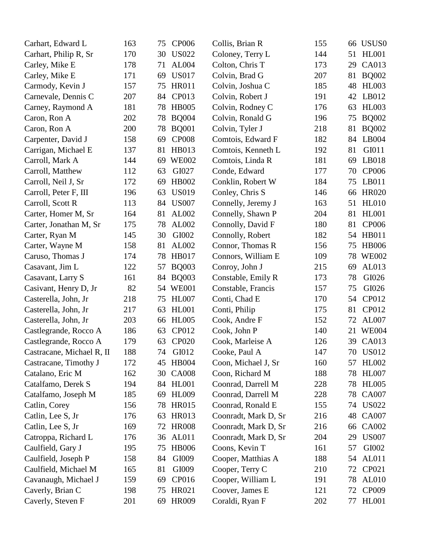| Carhart, Edward L         | 163 | 75 | <b>CP006</b> | Collis, Brian R      | 155 |    | 66 USUS0     |
|---------------------------|-----|----|--------------|----------------------|-----|----|--------------|
| Carhart, Philip R, Sr     | 170 | 30 | <b>US022</b> | Coloney, Terry L     | 144 | 51 | <b>HL001</b> |
| Carley, Mike E            | 178 | 71 | AL004        | Colton, Chris T      | 173 | 29 | <b>CA013</b> |
| Carley, Mike E            | 171 | 69 | <b>US017</b> | Colvin, Brad G       | 207 | 81 | <b>BQ002</b> |
| Carmody, Kevin J          | 157 | 75 | <b>HR011</b> | Colvin, Joshua C     | 185 | 48 | <b>HL003</b> |
| Carnevale, Dennis C       | 207 | 84 | CP013        | Colvin, Robert J     | 191 | 42 | LB012        |
| Carney, Raymond A         | 181 | 78 | <b>HB005</b> | Colvin, Rodney C     | 176 | 63 | <b>HL003</b> |
| Caron, Ron A              | 202 | 78 | <b>BQ004</b> | Colvin, Ronald G     | 196 | 75 | <b>BQ002</b> |
| Caron, Ron A              | 200 | 78 | <b>BQ001</b> | Colvin, Tyler J      | 218 | 81 | <b>BQ002</b> |
| Carpenter, David J        | 158 | 69 | <b>CP008</b> | Comtois, Edward F    | 182 | 84 | LB004        |
| Carrigan, Michael E       | 137 | 81 | HB013        | Comtois, Kenneth L   | 192 | 81 | GI011        |
| Carroll, Mark A           | 144 | 69 | <b>WE002</b> | Comtois, Linda R     | 181 | 69 | LB018        |
| Carroll, Matthew          | 112 | 63 | GI027        | Conde, Edward        | 177 | 70 | <b>CP006</b> |
| Carroll, Neil J, Sr       | 172 | 69 | HB002        | Conklin, Robert W    | 184 | 75 | LB011        |
| Carroll, Peter F, III     | 196 | 63 | <b>US019</b> | Conley, Chris S      | 146 | 66 | <b>HR020</b> |
| Carroll, Scott R          | 113 | 84 | <b>US007</b> | Connelly, Jeremy J   | 163 | 51 | <b>HL010</b> |
| Carter, Homer M, Sr       | 164 | 81 | AL002        | Connelly, Shawn P    | 204 | 81 | <b>HL001</b> |
| Carter, Jonathan M, Sr    | 175 | 78 | AL002        | Connolly, David F    | 180 | 81 | <b>CP006</b> |
| Carter, Ryan M            | 145 | 30 | GI002        | Connolly, Robert     | 182 | 54 | HB011        |
| Carter, Wayne M           | 158 | 81 | AL002        | Connor, Thomas R     | 156 | 75 | <b>HB006</b> |
| Caruso, Thomas J          | 174 | 78 | <b>HB017</b> | Connors, William E   | 109 | 78 | <b>WE002</b> |
| Casavant, Jim L           | 122 | 57 | <b>BQ003</b> | Conroy, John J       | 215 | 69 | AL013        |
| Casavant, Larry S         | 161 | 84 | <b>BQ003</b> | Constable, Emily R   | 173 | 78 | GI026        |
| Casivant, Henry D, Jr     | 82  | 54 | <b>WE001</b> | Constable, Francis   | 157 | 75 | GI026        |
| Casterella, John, Jr      | 218 | 75 | <b>HL007</b> | Conti, Chad E        | 170 | 54 | CP012        |
| Casterella, John, Jr      | 217 | 63 | <b>HL001</b> | Conti, Philip        | 175 | 81 | CP012        |
| Casterella, John, Jr      | 203 | 66 | <b>HL005</b> | Cook, Andre F        | 152 | 72 | AL007        |
| Castlegrande, Rocco A     | 186 | 63 | CP012        | Cook, John P         | 140 | 21 | <b>WE004</b> |
| Castlegrande, Rocco A     | 179 | 63 | <b>CP020</b> | Cook, Marleise A     | 126 | 39 | CA013        |
| Castracane, Michael R, II | 188 | 74 | GI012        | Cooke, Paul A        | 147 |    | 70 US012     |
| Castracane, Timothy J     | 172 | 45 | <b>HB004</b> | Coon, Michael J, Sr  | 160 | 57 | <b>HL002</b> |
| Catalano, Eric M          | 162 | 30 | <b>CA008</b> | Coon, Richard M      | 188 | 78 | <b>HL007</b> |
| Catalfamo, Derek S        | 194 |    | 84 HL001     | Coonrad, Darrell M   | 228 | 78 | <b>HL005</b> |
| Catalfamo, Joseph M       | 185 | 69 | <b>HL009</b> | Coonrad, Darrell M   | 228 | 78 | <b>CA007</b> |
| Catlin, Corey             | 156 | 78 | <b>HR015</b> | Coonrad, Ronald E    | 155 | 74 | <b>US022</b> |
| Catlin, Lee S, Jr         | 176 | 63 | <b>HR013</b> | Coonradt, Mark D, Sr | 216 | 48 | <b>CA007</b> |
| Catlin, Lee S, Jr         | 169 | 72 | <b>HR008</b> | Coonradt, Mark D, Sr | 216 | 66 | <b>CA002</b> |
| Catroppa, Richard L       | 176 | 36 | AL011        | Coonradt, Mark D, Sr | 204 | 29 | <b>US007</b> |
| Caulfield, Gary J         | 195 | 75 | <b>HB006</b> | Coons, Kevin T       | 161 | 57 | GI002        |
| Caulfield, Joseph P       | 158 | 84 | GI009        | Cooper, Matthias A   | 188 | 54 | AL011        |
| Caulfield, Michael M      | 165 | 81 | GI009        | Cooper, Terry C      | 210 | 72 | CP021        |
| Cavanaugh, Michael J      | 159 | 69 | CP016        | Cooper, William L    | 191 | 78 | AL010        |
| Caverly, Brian C          | 198 | 75 | HR021        | Coover, James E      | 121 | 72 | CP009        |
| Caverly, Steven F         | 201 | 69 | <b>HR009</b> | Coraldi, Ryan F      | 202 | 77 | <b>HL001</b> |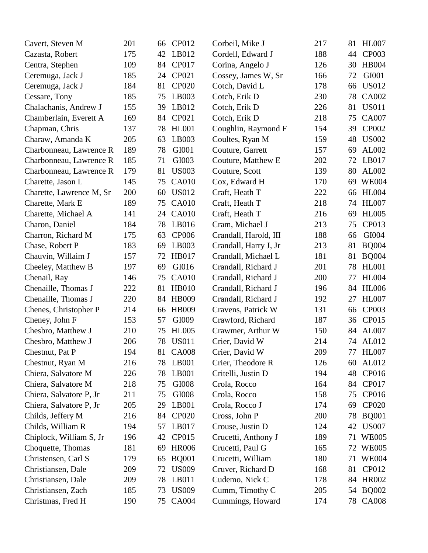| Cavert, Steven M         | 201 | 66 | CP012        | Corbeil, Mike J       | 217 | 81 | <b>HL007</b> |
|--------------------------|-----|----|--------------|-----------------------|-----|----|--------------|
| Cazasta, Robert          | 175 | 42 | LB012        | Cordell, Edward J     | 188 | 44 | CP003        |
| Centra, Stephen          | 109 | 84 | CP017        | Corina, Angelo J      | 126 | 30 | <b>HB004</b> |
| Ceremuga, Jack J         | 185 | 24 | CP021        | Cossey, James W, Sr   | 166 | 72 | GI001        |
| Ceremuga, Jack J         | 184 | 81 | <b>CP020</b> | Cotch, David L        | 178 | 66 | <b>US012</b> |
| Cessare, Tony            | 185 | 75 | LB003        | Cotch, Erik D         | 230 | 78 | CA002        |
| Chalachanis, Andrew J    | 155 | 39 | LB012        | Cotch, Erik D         | 226 | 81 | <b>US011</b> |
| Chamberlain, Everett A   | 169 | 84 | CP021        | Cotch, Erik D         | 218 | 75 | <b>CA007</b> |
| Chapman, Chris           | 137 | 78 | <b>HL001</b> | Coughlin, Raymond F   | 154 | 39 | CP002        |
| Charaw, Amanda K         | 205 | 63 | LB003        | Coultes, Ryan M       | 159 | 48 | <b>US002</b> |
| Charbonneau, Lawrence R  | 189 | 78 | GI001        | Couture, Garrett      | 157 | 69 | AL002        |
| Charbonneau, Lawrence R  | 185 | 71 | GI003        | Couture, Matthew E    | 202 | 72 | LB017        |
| Charbonneau, Lawrence R  | 179 | 81 | <b>US003</b> | Couture, Scott        | 139 | 80 | AL002        |
| Charette, Jason L        | 145 | 75 | <b>CA010</b> | Cox, Edward H         | 170 | 69 | <b>WE004</b> |
| Charette, Lawrence M, Sr | 200 | 60 | <b>US012</b> | Craft, Heath T        | 222 | 66 | <b>HL004</b> |
| Charette, Mark E         | 189 | 75 | <b>CA010</b> | Craft, Heath T        | 218 | 74 | <b>HL007</b> |
| Charette, Michael A      | 141 | 24 | <b>CA010</b> | Craft, Heath T        | 216 | 69 | <b>HL005</b> |
| Charon, Daniel           | 184 | 78 | LB016        | Cram, Michael J       | 213 | 75 | CP013        |
| Charron, Richard M       | 175 | 63 | <b>CP006</b> | Crandall, Harold, III | 188 | 66 | GI004        |
| Chase, Robert P          | 183 | 69 | LB003        | Crandall, Harry J, Jr | 213 | 81 | <b>BQ004</b> |
| Chauvin, Willaim J       | 157 | 72 | <b>HB017</b> | Crandall, Michael L   | 181 | 81 | <b>BQ004</b> |
| Cheeley, Matthew B       | 197 | 69 | GI016        | Crandall, Richard J   | 201 | 78 | <b>HL001</b> |
| Chenail, Ray             | 146 | 75 | <b>CA010</b> | Crandall, Richard J   | 200 | 77 | <b>HL004</b> |
| Chenaille, Thomas J      | 222 | 81 | <b>HB010</b> | Crandall, Richard J   | 196 | 84 | <b>HL006</b> |
| Chenaille, Thomas J      | 220 | 84 | <b>HB009</b> | Crandall, Richard J   | 192 | 27 | <b>HL007</b> |
| Chenes, Christopher P    | 214 | 66 | <b>HB009</b> | Cravens, Patrick W    | 131 | 66 | <b>CP003</b> |
| Cheney, John F           | 153 | 57 | GI009        | Crawford, Richard     | 187 | 36 | CP015        |
| Chesbro, Matthew J       | 210 | 75 | <b>HL005</b> | Crawmer, Arthur W     | 150 | 84 | AL007        |
| Chesbro, Matthew J       | 206 | 78 | <b>US011</b> | Crier, David W        | 214 | 74 | AL012        |
| Chestnut, Pat P          | 194 |    | 81 CA008     | Crier, David W        | 209 |    | 77 HL007     |
| Chestnut, Ryan M         | 216 | 78 | LB001        | Crier, Theodore R     | 126 | 60 | AL012        |
| Chiera, Salvatore M      | 226 | 78 | LB001        | Critelli, Justin D    | 194 | 48 | CP016        |
| Chiera, Salvatore M      | 218 | 75 | GI008        | Crola, Rocco          | 164 | 84 | CP017        |
| Chiera, Salvatore P, Jr  | 211 | 75 | GI008        | Crola, Rocco          | 158 | 75 | CP016        |
| Chiera, Salvatore P, Jr  | 205 | 29 | LB001        | Crola, Rocco J        | 174 | 69 | CP020        |
| Childs, Jeffery M        | 216 | 84 | <b>CP020</b> | Cross, John P         | 200 | 78 | <b>BQ001</b> |
| Childs, William R        | 194 | 57 | LB017        | Crouse, Justin D      | 124 | 42 | <b>US007</b> |
| Chiplock, William S, Jr  | 196 | 42 | CP015        | Crucetti, Anthony J   | 189 | 71 | <b>WE005</b> |
| Choquette, Thomas        | 181 | 69 | <b>HR006</b> | Crucetti, Paul G      | 165 | 72 | <b>WE005</b> |
| Christensen, Carl S      | 179 | 65 | <b>BQ001</b> | Crucetti, William     | 180 |    | 71 WE004     |
| Christiansen, Dale       | 209 | 72 | <b>US009</b> | Cruver, Richard D     | 168 | 81 | CP012        |
| Christiansen, Dale       | 209 | 78 | LB011        | Cudemo, Nick C        | 178 | 84 | <b>HR002</b> |
| Christiansen, Zach       | 185 | 73 | <b>US009</b> | Cumm, Timothy C       | 205 | 54 | <b>BQ002</b> |
| Christmas, Fred H        | 190 | 75 | CA004        | Cummings, Howard      | 174 |    | 78 CA008     |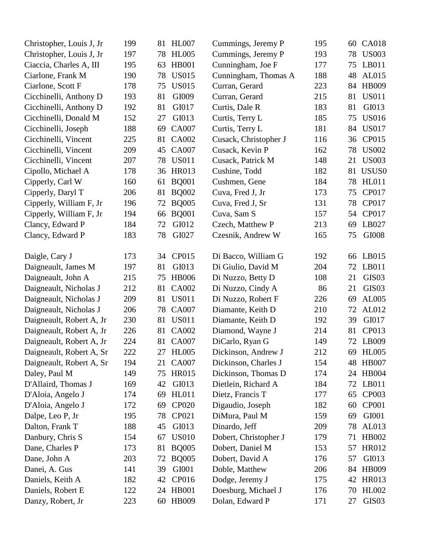| Christopher, Louis J, Jr | 199 | <b>HL007</b><br>81 | Cummings, Jeremy P    | 195 | 60 | <b>CA018</b>      |
|--------------------------|-----|--------------------|-----------------------|-----|----|-------------------|
| Christopher, Louis J, Jr | 197 | <b>HL005</b><br>78 | Cummings, Jeremy P    | 193 | 78 | <b>US003</b>      |
| Ciaccia, Charles A, III  | 195 | <b>HB001</b><br>63 | Cunningham, Joe F     | 177 | 75 | LB011             |
| Ciarlone, Frank M        | 190 | <b>US015</b><br>78 | Cunningham, Thomas A  | 188 | 48 | AL015             |
| Ciarlone, Scott F        | 178 | <b>US015</b><br>75 | Curran, Gerard        | 223 | 84 | HB009             |
| Cicchinelli, Anthony D   | 193 | 81<br>GI009        | Curran, Gerard        | 215 | 81 | <b>US011</b>      |
| Cicchinelli, Anthony D   | 192 | GI017<br>81        | Curtis, Dale R        | 183 | 81 | GI013             |
| Cicchinelli, Donald M    | 152 | GI013<br>27        | Curtis, Terry L       | 185 | 75 | <b>US016</b>      |
| Cicchinelli, Joseph      | 188 | <b>CA007</b><br>69 | Curtis, Terry L       | 181 | 84 | <b>US017</b>      |
| Cicchinelli, Vincent     | 225 | <b>CA002</b><br>81 | Cusack, Christopher J | 116 | 36 | CP015             |
| Cicchinelli, Vincent     | 209 | <b>CA007</b><br>45 | Cusack, Kevin P       | 162 | 78 | <b>US002</b>      |
| Cicchinelli, Vincent     | 207 | <b>US011</b><br>78 | Cusack, Patrick M     | 148 | 21 | <b>US003</b>      |
| Cipollo, Michael A       | 178 | <b>HR013</b><br>36 | Cushine, Todd         | 182 | 81 | USUS0             |
| Cipperly, Carl W         | 160 | <b>BQ001</b><br>61 | Cushmen, Gene         | 184 | 78 | <b>HL011</b>      |
| Cipperly, Daryl T        | 206 | <b>BQ002</b><br>81 | Cuva, Fred J, Jr      | 173 | 75 | CP017             |
| Cipperly, William F, Jr  | 196 | <b>BQ005</b><br>72 | Cuva, Fred J, Sr      | 131 | 78 | CP017             |
| Cipperly, William F, Jr  | 194 | <b>BQ001</b><br>66 | Cuva, Sam S           | 157 | 54 | CP017             |
| Clancy, Edward P         | 184 | GI012<br>72        | Czech, Matthew P      | 213 | 69 | LB027             |
| Clancy, Edward P         | 183 | 78<br>GI027        | Czesnik, Andrew W     | 165 | 75 | GI008             |
|                          |     |                    |                       |     |    |                   |
| Daigle, Cary J           | 173 | CP015<br>34        | Di Bacco, William G   | 192 | 66 | LB015             |
| Daigneault, James M      | 197 | GI013<br>81        | Di Giulio, David M    | 204 | 72 | LB011             |
| Daigneault, John A       | 215 | <b>HB006</b><br>75 | Di Nuzzo, Betty D     | 108 | 21 | GIS <sub>03</sub> |
| Daigneault, Nicholas J   | 212 | <b>CA002</b><br>81 | Di Nuzzo, Cindy A     | 86  | 21 | GIS <sub>03</sub> |
| Daigneault, Nicholas J   | 209 | <b>US011</b><br>81 | Di Nuzzo, Robert F    | 226 | 69 | AL005             |
| Daigneault, Nicholas J   | 206 | <b>CA007</b><br>78 | Diamante, Keith D     | 210 | 72 | AL012             |
| Daigneault, Robert A, Jr | 230 | <b>US011</b><br>81 | Diamante, Keith D     | 192 | 39 | GI017             |
| Daigneault, Robert A, Jr | 226 | <b>CA002</b><br>81 | Diamond, Wayne J      | 214 | 81 | CP013             |
| Daigneault, Robert A, Jr | 224 | <b>CA007</b><br>81 | DiCarlo, Ryan G       | 149 | 72 | LB009             |
| Daigneault, Robert A, Sr | 222 | 27 HL005           | Dickinson, Andrew J   | 212 |    | 69 HL005          |
| Daigneault, Robert A, Sr | 194 | <b>CA007</b><br>21 | Dickinson, Charles J  | 154 | 48 | <b>HB007</b>      |
| Daley, Paul M            | 149 | <b>HR015</b><br>75 | Dickinson, Thomas D   | 174 | 24 | <b>HB004</b>      |
| D'Allaird, Thomas J      | 169 | GI013<br>42        | Dietlein, Richard A   | 184 | 72 | LB011             |
| D'Aloia, Angelo J        | 174 | <b>HL011</b><br>69 | Dietz, Francis T      | 177 | 65 | CP003             |
| D'Aloia, Angelo J        | 172 | 69<br><b>CP020</b> | Digaudio, Joseph      | 182 | 60 | <b>CP001</b>      |
| Dalpe, Leo P, Jr         | 195 | 78<br>CP021        | DiMura, Paul M        | 159 | 69 | GI001             |
| Dalton, Frank T          | 188 | GI013<br>45        | Dinardo, Jeff         | 209 | 78 | AL013             |
| Danbury, Chris S         | 154 | <b>US010</b><br>67 | Dobert, Christopher J | 179 | 71 | <b>HB002</b>      |
| Dane, Charles P          | 173 | <b>BQ005</b><br>81 | Dobert, Daniel M      | 153 | 57 | <b>HR012</b>      |
| Dane, John A             | 203 | <b>BQ005</b><br>72 | Dobert, David A       | 176 | 57 | GI013             |
| Danei, A. Gus            | 141 | GI001<br>39        | Doble, Matthew        | 206 | 84 | HB009             |
| Daniels, Keith A         | 182 | CP016<br>42        | Dodge, Jeremy J       | 175 | 42 | <b>HR013</b>      |
| Daniels, Robert E        | 122 | <b>HB001</b><br>24 | Doesburg, Michael J   | 176 | 70 | <b>HL002</b>      |
| Danzy, Robert, Jr        | 223 | 60 HB009           | Dolan, Edward P       | 171 | 27 | GIS <sub>03</sub> |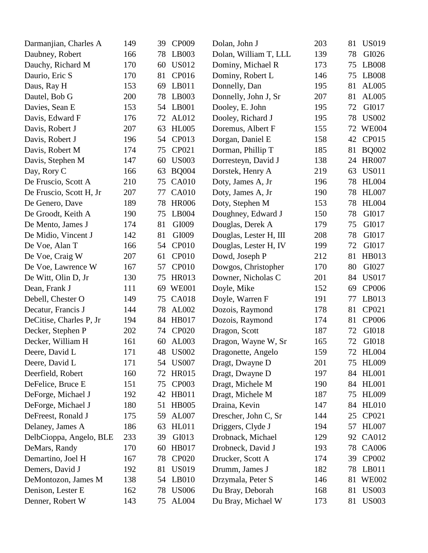| Darmanjian, Charles A   | 149 | 39 | CP009        | Dolan, John J          | 203 | 81 | <b>US019</b> |
|-------------------------|-----|----|--------------|------------------------|-----|----|--------------|
| Daubney, Robert         | 166 | 78 | LB003        | Dolan, William T, LLL  | 139 | 78 | GI026        |
| Dauchy, Richard M       | 170 | 60 | <b>US012</b> | Dominy, Michael R      | 173 | 75 | LB008        |
| Daurio, Eric S          | 170 | 81 | CP016        | Dominy, Robert L       | 146 | 75 | <b>LB008</b> |
| Daus, Ray H             | 153 | 69 | LB011        | Donnelly, Dan          | 195 | 81 | AL005        |
| Dautel, Bob G           | 200 | 78 | LB003        | Donnelly, John J, Sr   | 207 | 81 | AL005        |
| Davies, Sean E          | 153 | 54 | LB001        | Dooley, E. John        | 195 | 72 | GI017        |
| Davis, Edward F         | 176 | 72 | AL012        | Dooley, Richard J      | 195 | 78 | <b>US002</b> |
| Davis, Robert J         | 207 | 63 | <b>HL005</b> | Doremus, Albert F      | 155 | 72 | <b>WE004</b> |
| Davis, Robert J         | 196 | 54 | CP013        | Dorgan, Daniel E       | 158 | 42 | CP015        |
| Davis, Robert M         | 174 | 75 | CP021        | Dorman, Phillip T      | 185 | 81 | <b>BQ002</b> |
| Davis, Stephen M        | 147 | 60 | <b>US003</b> | Dorresteyn, David J    | 138 | 24 | <b>HR007</b> |
| Day, Rory C             | 166 | 63 | <b>BQ004</b> | Dorstek, Henry A       | 219 | 63 | <b>US011</b> |
| De Fruscio, Scott A     | 210 | 75 | <b>CA010</b> | Doty, James A, Jr      | 196 | 78 | <b>HL004</b> |
| De Fruscio, Scott H, Jr | 207 | 77 | <b>CA010</b> | Doty, James A, Jr      | 190 | 78 | <b>HL007</b> |
| De Genero, Dave         | 189 | 78 | <b>HR006</b> | Doty, Stephen M        | 153 | 78 | <b>HL004</b> |
| De Groodt, Keith A      | 190 | 75 | LB004        | Doughney, Edward J     | 150 | 78 | GI017        |
| De Mento, James J       | 174 | 81 | GI009        | Douglas, Derek A       | 179 | 75 | GI017        |
| De Midio, Vincent J     | 142 | 81 | GI009        | Douglas, Lester H, III | 208 | 78 | GI017        |
| De Voe, Alan T          | 166 | 54 | <b>CP010</b> | Douglas, Lester H, IV  | 199 | 72 | GI017        |
| De Voe, Craig W         | 207 | 61 | <b>CP010</b> | Dowd, Joseph P         | 212 | 81 | HB013        |
| De Voe, Lawrence W      | 167 | 57 | <b>CP010</b> | Dowgos, Christopher    | 170 | 80 | GI027        |
| De Witt, Olin D, Jr     | 130 | 75 | <b>HR013</b> | Downer, Nicholas C     | 201 | 84 | <b>US017</b> |
| Dean, Frank J           | 111 | 69 | <b>WE001</b> | Doyle, Mike            | 152 | 69 | <b>CP006</b> |
| Debell, Chester O       | 149 | 75 | <b>CA018</b> | Doyle, Warren F        | 191 | 77 | LB013        |
| Decatur, Francis J      | 144 | 78 | AL002        | Dozois, Raymond        | 178 | 81 | CP021        |
| DeCitise, Charles P, Jr | 194 | 84 | <b>HB017</b> | Dozois, Raymond        | 174 | 81 | CP006        |
| Decker, Stephen P       | 202 | 74 | <b>CP020</b> | Dragon, Scott          | 187 | 72 | GI018        |
| Decker, William H       | 161 | 60 | AL003        | Dragon, Wayne W, Sr    | 165 | 72 | GI018        |
| Deere, David L          | 171 |    | 48 US002     | Dragonette, Angelo     | 159 |    | 72 HL004     |
| Deere, David L          | 171 | 54 | <b>US007</b> | Dragt, Dwayne D        | 201 | 75 | <b>HL009</b> |
| Deerfield, Robert       | 160 | 72 | <b>HR015</b> | Dragt, Dwayne D        | 197 | 84 | <b>HL001</b> |
| DeFelice, Bruce E       | 151 | 75 | CP003        | Dragt, Michele M       | 190 | 84 | <b>HL001</b> |
| DeForge, Michael J      | 192 | 42 | <b>HB011</b> | Dragt, Michele M       | 187 | 75 | <b>HL009</b> |
| DeForge, Michael J      | 180 | 51 | <b>HB005</b> | Draina, Kevin          | 147 | 84 | <b>HL010</b> |
| DeFreest, Ronald J      | 175 | 59 | AL007        | Drescher, John C, Sr   | 144 | 25 | CP021        |
| Delaney, James A        | 186 | 63 | <b>HL011</b> | Driggers, Clyde J      | 194 | 57 | <b>HL007</b> |
| DelbCioppa, Angelo, BLE | 233 | 39 | GI013        | Drobnack, Michael      | 129 | 92 | CA012        |
| DeMars, Randy           | 170 | 60 | <b>HB017</b> | Drobneck, David J      | 193 | 78 | CA006        |
| Demartino, Joel H       | 167 | 78 | <b>CP020</b> | Drucker, Scott A       | 174 | 39 | CP002        |
| Demers, David J         | 192 | 81 | <b>US019</b> | Drumm, James J         | 182 | 78 | LB011        |
| DeMontozon, James M     | 138 | 54 | LB010        | Drzymala, Peter S      | 146 | 81 | <b>WE002</b> |
| Denison, Lester E       | 162 | 78 | <b>US006</b> | Du Bray, Deborah       | 168 | 81 | <b>US003</b> |
| Denner, Robert W        | 143 | 75 | <b>AL004</b> | Du Bray, Michael W     | 173 | 81 | <b>US003</b> |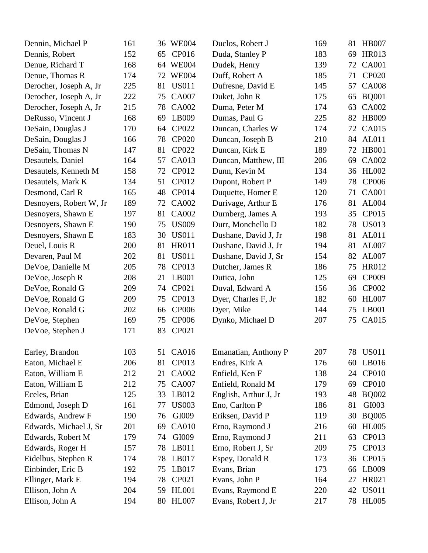| Dennin, Michael P       | 161 | 36 WE004           | Duclos, Robert J      | 169 | 81 | <b>HB007</b> |
|-------------------------|-----|--------------------|-----------------------|-----|----|--------------|
| Dennis, Robert          | 152 | CP016<br>65        | Duda, Stanley P       | 183 | 69 | <b>HR013</b> |
| Denue, Richard T        | 168 | 64 WE004           | Dudek, Henry          | 139 | 72 | <b>CA001</b> |
| Denue, Thomas R         | 174 | <b>WE004</b><br>72 | Duff, Robert A        | 185 | 71 | <b>CP020</b> |
| Derocher, Joseph A, Jr  | 225 | <b>US011</b><br>81 | Dufresne, David E     | 145 | 57 | <b>CA008</b> |
| Derocher, Joseph A, Jr  | 222 | <b>CA007</b><br>75 | Duket, John R         | 175 | 65 | <b>BQ001</b> |
| Derocher, Joseph A, Jr  | 215 | <b>CA002</b><br>78 | Duma, Peter M         | 174 | 63 | CA002        |
| DeRusso, Vincent J      | 168 | LB009<br>69        | Dumas, Paul G         | 225 | 82 | <b>HB009</b> |
| DeSain, Douglas J       | 170 | CP022<br>64        | Duncan, Charles W     | 174 | 72 | CA015        |
| DeSain, Douglas J       | 166 | <b>CP020</b><br>78 | Duncan, Joseph B      | 210 | 84 | <b>AL011</b> |
| DeSain, Thomas N        | 147 | CP022<br>81        | Duncan, Kirk E        | 189 | 72 | <b>HB001</b> |
| Desautels, Daniel       | 164 | CA013<br>57        | Duncan, Matthew, III  | 206 | 69 | CA002        |
| Desautels, Kenneth M    | 158 | CP012<br>72        | Dunn, Kevin M         | 134 | 36 | HL002        |
| Desautels, Mark K       | 134 | CP012<br>51        | Dupont, Robert P      | 149 | 78 | <b>CP006</b> |
| Desmond, Carl R         | 165 | CP014<br>48        | Duquette, Homer E     | 120 | 71 | <b>CA001</b> |
| Desnoyers, Robert W, Jr | 189 | <b>CA002</b><br>72 | Durivage, Arthur E    | 176 | 81 | AL004        |
| Desnoyers, Shawn E      | 197 | <b>CA002</b><br>81 | Durnberg, James A     | 193 | 35 | CP015        |
| Desnoyers, Shawn E      | 190 | <b>US009</b><br>75 | Durr, Monchello D     | 182 | 78 | <b>US013</b> |
| Desnoyers, Shawn E      | 183 | <b>US011</b><br>30 | Dushane, David J, Jr  | 198 | 81 | AL011        |
| Deuel, Louis R          | 200 | <b>HR011</b><br>81 | Dushane, David J, Jr  | 194 | 81 | AL007        |
| Devaren, Paul M         | 202 | <b>US011</b><br>81 | Dushane, David J, Sr  | 154 | 82 | AL007        |
| DeVoe, Danielle M       | 205 | CP013<br>78        | Dutcher, James R      | 186 | 75 | <b>HR012</b> |
| DeVoe, Joseph R         | 208 | LB001<br>21        | Dutica, John          | 125 | 69 | CP009        |
| DeVoe, Ronald G         | 209 | CP021<br>74        | Duval, Edward A       | 156 | 36 | CP002        |
| DeVoe, Ronald G         | 209 | CP013<br>75        | Dyer, Charles F, Jr   | 182 | 60 | <b>HL007</b> |
| DeVoe, Ronald G         | 202 | <b>CP006</b><br>66 | Dyer, Mike            | 144 | 75 | LB001        |
| DeVoe, Stephen          | 169 | <b>CP006</b><br>75 | Dynko, Michael D      | 207 | 75 | CA015        |
| DeVoe, Stephen J        | 171 | CP021<br>83        |                       |     |    |              |
| Earley, Brandon         | 103 | 51<br>CA016        | Emanatian, Anthony P  | 207 |    | 78 US011     |
| Eaton, Michael E        | 206 | CP013<br>81        | Endres, Kirk A        | 176 | 60 | LB016        |
| Eaton, William E        | 212 | CA002<br>21        | Enfield, Ken F        | 138 | 24 | CP010        |
| Eaton, William E        | 212 | <b>CA007</b><br>75 | Enfield, Ronald M     | 179 | 69 | <b>CP010</b> |
| Eceles, Brian           | 125 | LB012<br>33        | English, Arthur J, Jr | 193 | 48 | <b>BQ002</b> |
| Edmond, Joseph D        | 161 | <b>US003</b><br>77 | Eno, Carlton P        | 186 | 81 | GI003        |
| Edwards, Andrew F       | 190 | GI009<br>76        | Eriksen, David P      | 119 | 30 | <b>BQ005</b> |
| Edwards, Michael J, Sr  | 201 | <b>CA010</b><br>69 | Erno, Raymond J       | 216 | 60 | <b>HL005</b> |
| Edwards, Robert M       | 179 | GI009<br>74        | Erno, Raymond J       | 211 | 63 | CP013        |
| Edwards, Roger H        | 157 | LB011<br>78        | Erno, Robert J, Sr    | 209 | 75 | CP013        |
| Eidelbus, Stephen R     | 174 | 78<br>LB017        | Espey, Donald R       | 173 | 36 | CP015        |
| Einbinder, Eric B       | 192 | LB017<br>75        | Evans, Brian          | 173 | 66 | LB009        |
| Ellinger, Mark E        | 194 | CP021<br>78        | Evans, John P         | 164 | 27 | HR021        |
| Ellison, John A         | 204 | <b>HL001</b><br>59 | Evans, Raymond E      | 220 | 42 | <b>US011</b> |
| Ellison, John A         | 194 | 80 HL007           | Evans, Robert J, Jr   | 217 |    | 78 HL005     |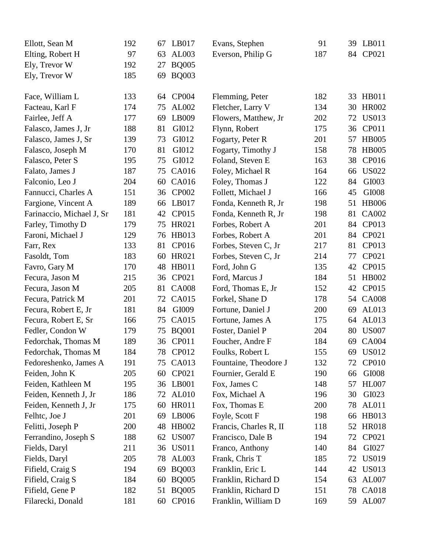| Ellott, Sean M            | 192 | 67 | LB017        | Evans, Stephen         | 91  | 39 | LB011        |
|---------------------------|-----|----|--------------|------------------------|-----|----|--------------|
| Elting, Robert H          | 97  | 63 | AL003        | Everson, Philip G      | 187 | 84 | CP021        |
| Ely, Trevor W             | 192 | 27 | <b>BQ005</b> |                        |     |    |              |
| Ely, Trevor W             | 185 | 69 | <b>BQ003</b> |                        |     |    |              |
|                           |     |    |              |                        |     |    |              |
| Face, William L           | 133 | 64 | <b>CP004</b> | Flemming, Peter        | 182 | 33 | <b>HB011</b> |
| Facteau, Karl F           | 174 | 75 | AL002        | Fletcher, Larry V      | 134 | 30 | <b>HR002</b> |
| Fairlee, Jeff A           | 177 | 69 | LB009        | Flowers, Matthew, Jr   | 202 | 72 | <b>US013</b> |
| Falasco, James J, Jr      | 188 | 81 | GI012        | Flynn, Robert          | 175 | 36 | CP011        |
| Falasco, James J, Sr      | 139 | 73 | GI012        | Fogarty, Peter R       | 201 | 57 | <b>HB005</b> |
| Falasco, Joseph M         | 170 | 81 | GI012        | Fogarty, Timothy J     | 158 | 78 | <b>HB005</b> |
| Falasco, Peter S          | 195 | 75 | GI012        | Foland, Steven E       | 163 | 38 | CP016        |
| Falato, James J           | 187 | 75 | CA016        | Foley, Michael R       | 164 | 66 | <b>US022</b> |
| Falconio, Leo J           | 204 | 60 | <b>CA016</b> | Foley, Thomas J        | 122 | 84 | GI003        |
| Fannucci, Charles A       | 151 | 36 | CP002        | Follett, Michael J     | 166 | 45 | GI008        |
| Fargione, Vincent A       | 189 | 66 | LB017        | Fonda, Kenneth R, Jr   | 198 | 51 | <b>HB006</b> |
| Farinaccio, Michael J, Sr | 181 | 42 | CP015        | Fonda, Kenneth R, Jr   | 198 | 81 | <b>CA002</b> |
| Farley, Timothy D         | 179 | 75 | HR021        | Forbes, Robert A       | 201 | 84 | CP013        |
| Faroni, Michael J         | 129 | 76 | HB013        | Forbes, Robert A       | 201 | 84 | CP021        |
| Farr, Rex                 | 133 | 81 | CP016        | Forbes, Steven C, Jr   | 217 | 81 | CP013        |
| Fasoldt, Tom              | 183 | 60 | HR021        | Forbes, Steven C, Jr   | 214 | 77 | CP021        |
| Favro, Gary M             | 170 | 48 | <b>HB011</b> | Ford, John G           | 135 | 42 | CP015        |
| Fecura, Jason M           | 215 | 36 | CP021        | Ford, Marcus J         | 184 | 51 | <b>HB002</b> |
| Fecura, Jason M           | 205 | 81 | <b>CA008</b> | Ford, Thomas E, Jr     | 152 | 42 | CP015        |
| Fecura, Patrick M         | 201 | 72 | <b>CA015</b> | Forkel, Shane D        | 178 | 54 | <b>CA008</b> |
| Fecura, Robert E, Jr      | 181 | 84 | GI009        | Fortune, Daniel J      | 200 | 69 | AL013        |
| Fecura, Robert E, Sr      | 166 | 75 | <b>CA015</b> | Fortune, James A       | 175 | 64 | AL013        |
| Fedler, Condon W          | 179 | 75 | <b>BQ001</b> | Foster, Daniel P       | 204 | 80 | <b>US007</b> |
| Fedorchak, Thomas M       | 189 |    | 36 CP011     | Foucher, Andre F       | 184 |    | 69 CA004     |
| Fedorchak, Thomas M       | 184 | 78 | CP012        | Foulks, Robert L       | 155 | 69 | <b>US012</b> |
| Fedoreshenko, James A     | 191 | 75 | <b>CA013</b> | Fountaine, Theodore J  | 132 | 72 | <b>CP010</b> |
| Feiden, John K            | 205 | 60 | CP021        | Fournier, Gerald E     | 190 | 66 | GI008        |
| Feiden, Kathleen M        | 195 | 36 | LB001        | Fox, James C           | 148 | 57 | <b>HL007</b> |
| Feiden, Kenneth J, Jr     | 186 | 72 | AL010        | Fox, Michael A         | 196 | 30 | GI023        |
| Feiden, Kenneth J, Jr     | 175 | 60 | <b>HR011</b> | Fox, Thomas E          | 200 | 78 | <b>AL011</b> |
| Felhtc, Joe J             | 201 | 69 | LB006        | Foyle, Scott F         | 198 | 66 | HB013        |
| Felitti, Joseph P         | 200 | 48 | <b>HB002</b> | Francis, Charles R, II | 118 | 52 | <b>HR018</b> |
| Ferrandino, Joseph S      | 188 | 62 | <b>US007</b> | Francisco, Dale B      | 194 | 72 | CP021        |
| Fields, Daryl             | 211 | 36 | <b>US011</b> | Franco, Anthony        | 140 | 84 | GI027        |
| Fields, Daryl             | 205 | 78 | AL003        | Frank, Chris T         | 185 | 72 | <b>US019</b> |
| Fifield, Craig S          | 194 | 69 | <b>BQ003</b> | Franklin, Eric L       | 144 | 42 | <b>US013</b> |
| Fifield, Craig S          | 184 | 60 | <b>BQ005</b> | Franklin, Richard D    | 154 | 63 | AL007        |
| Fifield, Gene P           | 182 | 51 | <b>BQ005</b> | Franklin, Richard D    | 151 |    | 78 CA018     |
| Filarecki, Donald         | 181 | 60 | CP016        | Franklin, William D    | 169 | 59 | AL007        |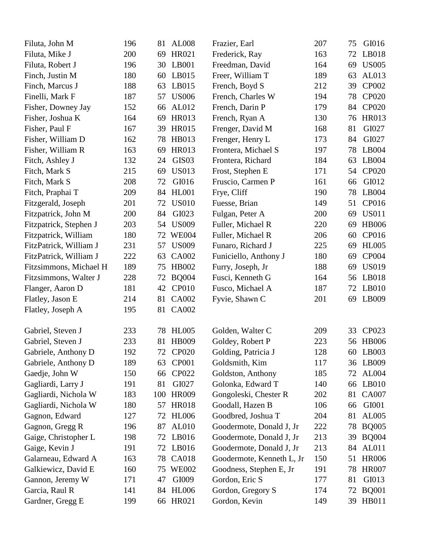| Filuta, John M         | 196 | 81  | <b>AL008</b>      | Frazier, Earl             | 207 | 75 | GI016        |
|------------------------|-----|-----|-------------------|---------------------------|-----|----|--------------|
| Filuta, Mike J         | 200 | 69  | HR021             | Frederick, Ray            | 163 | 72 | LB018        |
| Filuta, Robert J       | 196 | 30  | LB001             | Freedman, David           | 164 | 69 | <b>US005</b> |
| Finch, Justin M        | 180 | 60  | LB015             | Freer, William T          | 189 | 63 | AL013        |
| Finch, Marcus J        | 188 | 63  | LB015             | French, Boyd S            | 212 | 39 | CP002        |
| Finelli, Mark F        | 187 | 57  | <b>US006</b>      | French, Charles W         | 194 | 78 | <b>CP020</b> |
| Fisher, Downey Jay     | 152 | 66  | AL012             | French, Darin P           | 179 | 84 | <b>CP020</b> |
| Fisher, Joshua K       | 164 | 69  | <b>HR013</b>      | French, Ryan A            | 130 | 76 | <b>HR013</b> |
| Fisher, Paul F         | 167 | 39  | <b>HR015</b>      | Frenger, David M          | 168 | 81 | GI027        |
| Fisher, William D      | 162 | 78  | HB013             | Frenger, Henry L          | 173 | 84 | GI027        |
| Fisher, William R      | 163 | 69  | <b>HR013</b>      | Frontera, Michael S       | 197 | 78 | LB004        |
| Fitch, Ashley J        | 132 | 24  | GIS <sub>03</sub> | Frontera, Richard         | 184 | 63 | LB004        |
| Fitch, Mark S          | 215 | 69  | <b>US013</b>      | Frost, Stephen E          | 171 | 54 | <b>CP020</b> |
| Fitch, Mark S          | 208 | 72  | GI016             | Fruscio, Carmen P         | 161 | 66 | GI012        |
| Fitch, Praphai T       | 209 | 84  | <b>HL001</b>      | Frye, Cliff               | 190 | 78 | LB004        |
| Fitzgerald, Joseph     | 201 | 72  | <b>US010</b>      | Fuesse, Brian             | 149 | 51 | CP016        |
| Fitzpatrick, John M    | 200 | 84  | GI023             | Fulgan, Peter A           | 200 | 69 | <b>US011</b> |
| Fitzpatrick, Stephen J | 203 | 54  | <b>US009</b>      | Fuller, Michael R         | 220 | 69 | <b>HB006</b> |
| Fitzpatrick, William   | 180 | 72  | <b>WE004</b>      | Fuller, Michael R         | 206 | 60 | CP016        |
| FitzPatrick, William J | 231 | 57  | <b>US009</b>      | Funaro, Richard J         | 225 | 69 | <b>HL005</b> |
| FitzPatrick, William J | 222 | 63  | CA002             | Funiciello, Anthony J     | 180 | 69 | CP004        |
| Fitzsimmons, Michael H | 189 | 75  | HB002             | Furry, Joseph, Jr         | 188 | 69 | <b>US019</b> |
| Fitzsimmons, Walter J  | 228 | 72  | <b>BQ004</b>      | Fusci, Kenneth G          | 164 | 56 | LB018        |
| Flanger, Aaron D       | 181 | 42  | <b>CP010</b>      | Fusco, Michael A          | 187 | 72 | LB010        |
| Flatley, Jason E       | 214 | 81  | CA002             | Fyvie, Shawn C            | 201 | 69 | LB009        |
| Flatley, Joseph A      | 195 | 81  | <b>CA002</b>      |                           |     |    |              |
|                        |     |     |                   |                           |     |    |              |
| Gabriel, Steven J      | 233 | 78  | HL005             | Golden, Walter C          | 209 | 33 | CP023        |
| Gabriel, Steven J      | 233 | 81  | <b>HB009</b>      | Goldey, Robert P          | 223 |    | 56 HB006     |
| Gabriele, Anthony D    | 192 |     | 72 CP020          | Golding, Patricia J       | 128 |    | 60 LB003     |
| Gabriele, Anthony D    | 189 | 63  | <b>CP001</b>      | Goldsmith, Kim            | 117 | 36 | LB009        |
| Gaedje, John W         | 150 | 66  | CP022             | Goldston, Anthony         | 185 | 72 | <b>AL004</b> |
| Gagliardi, Larry J     | 191 | 81  | GI027             | Golonka, Edward T         | 140 | 66 | LB010        |
| Gagliardi, Nichola W   | 183 | 100 | <b>HR009</b>      | Gongoleski, Chester R     | 202 | 81 | <b>CA007</b> |
| Gagliardi, Nichola W   | 180 | 57  | <b>HR018</b>      | Goodall, Hazen B          | 106 | 66 | GI001        |
| Gagnon, Edward         | 127 | 72  | <b>HL006</b>      | Goodbred, Joshua T        | 204 | 81 | AL005        |
| Gagnon, Gregg R        | 196 | 87  | AL010             | Goodermote, Donald J, Jr  | 222 | 78 | <b>BQ005</b> |
| Gaige, Christopher L   | 198 | 72  | LB016             | Goodermote, Donald J, Jr  | 213 | 39 | <b>BQ004</b> |
| Gaige, Kevin J         | 191 | 72  | LB016             | Goodermote, Donald J, Jr  | 213 | 84 | <b>AL011</b> |
| Galarneau, Edward A    | 163 | 78  | <b>CA018</b>      | Goodermote, Kenneth L, Jr | 150 | 51 | <b>HR006</b> |
| Galkiewicz, David E    | 160 | 75  | <b>WE002</b>      | Goodness, Stephen E, Jr   | 191 | 78 | <b>HR007</b> |
| Gannon, Jeremy W       | 171 | 47  | GI009             | Gordon, Eric S            | 177 | 81 | GI013        |
| Garcia, Raul R         | 141 | 84  | <b>HL006</b>      | Gordon, Gregory S         | 174 | 72 | <b>BQ001</b> |
| Gardner, Gregg E       | 199 |     | 66 HR021          | Gordon, Kevin             | 149 |    | 39 HB011     |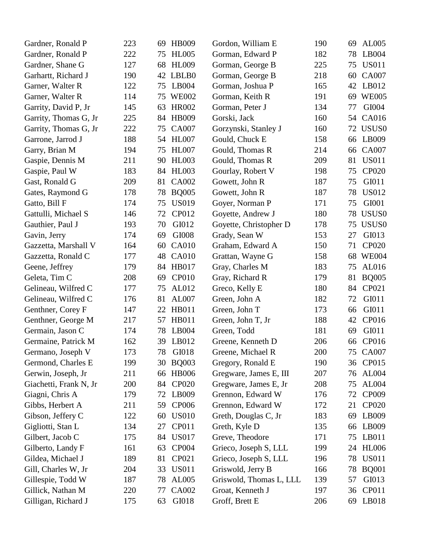| Gardner, Ronald P      | 223 | <b>HB009</b><br>69 | Gordon, William E       | 190 | 69 | AL005             |
|------------------------|-----|--------------------|-------------------------|-----|----|-------------------|
| Gardner, Ronald P      | 222 | <b>HL005</b><br>75 | Gorman, Edward P        | 182 | 78 | LB004             |
| Gardner, Shane G       | 127 | <b>HL009</b><br>68 | Gorman, George B        | 225 | 75 | <b>US011</b>      |
| Garhartt, Richard J    | 190 | LBLB0<br>42        | Gorman, George B        | 218 | 60 | <b>CA007</b>      |
| Garner, Walter R       | 122 | LB004<br>75        | Gorman, Joshua P        | 165 | 42 | LB012             |
| Garner, Walter R       | 114 | <b>WE002</b><br>75 | Gorman, Keith R         | 191 | 69 | <b>WE005</b>      |
| Garrity, David P, Jr   | 145 | HR002<br>63        | Gorman, Peter J         | 134 | 77 | GI004             |
| Garrity, Thomas G, Jr  | 225 | <b>HB009</b><br>84 | Gorski, Jack            | 160 | 54 | CA016             |
| Garrity, Thomas G, Jr  | 222 | <b>CA007</b><br>75 | Gorzynski, Stanley J    | 160 | 72 | USUS0             |
| Garrone, Jarrod J      | 188 | <b>HL007</b><br>54 | Gould, Chuck E          | 158 | 66 | LB009             |
| Garry, Brian M         | 194 | <b>HL007</b><br>75 | Gould, Thomas R         | 214 | 66 | <b>CA007</b>      |
| Gaspie, Dennis M       | 211 | <b>HL003</b><br>90 | Gould, Thomas R         | 209 | 81 | <b>US011</b>      |
| Gaspie, Paul W         | 183 | <b>HL003</b><br>84 | Gourlay, Robert V       | 198 | 75 | <b>CP020</b>      |
| Gast, Ronald G         | 209 | <b>CA002</b><br>81 | Gowett, John R          | 187 | 75 | GI011             |
| Gates, Raymond G       | 178 | <b>BQ005</b><br>78 | Gowett, John R          | 187 | 78 | <b>US012</b>      |
| Gatto, Bill F          | 174 | <b>US019</b><br>75 | Goyer, Norman P         | 171 | 75 | GI001             |
| Gattulli, Michael S    | 146 | CP012<br>72        | Goyette, Andrew J       | 180 | 78 | USUS <sub>0</sub> |
| Gauthier, Paul J       | 193 | GI012<br>70        | Goyette, Christopher D  | 178 | 75 | USUS <sub>0</sub> |
| Gavin, Jerry           | 174 | GI008<br>69        | Grady, Sean W           | 153 | 27 | GI013             |
| Gazzetta, Marshall V   | 164 | <b>CA010</b><br>60 | Graham, Edward A        | 150 | 71 | <b>CP020</b>      |
| Gazzetta, Ronald C     | 177 | <b>CA010</b><br>48 | Grattan, Wayne G        | 158 | 68 | <b>WE004</b>      |
| Geene, Jeffrey         | 179 | <b>HB017</b><br>84 | Gray, Charles M         | 183 | 75 | AL016             |
| Geleta, Tim C          | 208 | <b>CP010</b><br>69 | Gray, Richard R         | 179 | 81 | <b>BQ005</b>      |
| Gelineau, Wilfred C    | 177 | AL012<br>75        | Greco, Kelly E          | 180 | 84 | CP021             |
| Gelineau, Wilfred C    | 176 | AL007<br>81        | Green, John A           | 182 | 72 | GI011             |
| Genthner, Corey F      | 147 | <b>HB011</b><br>22 | Green, John T           | 173 | 66 | GI011             |
| Genthner, George M     | 217 | <b>HB011</b><br>57 | Green, John T, Jr       | 188 | 42 | CP016             |
| Germain, Jason C       | 174 | LB004<br>78        | Green, Todd             | 181 | 69 | GI011             |
| Germaine, Patrick M    | 162 | LB012<br>39        | Greene, Kenneth D       | 206 | 66 | CP016             |
| Germano, Joseph V      | 173 | 78<br>GI018        | Greene, Michael R       | 200 |    | 75 CA007          |
| Germond, Charles E     | 199 | <b>BQ003</b><br>30 | Gregory, Ronald E       | 190 | 36 | CP015             |
| Gerwin, Joseph, Jr     | 211 | <b>HB006</b><br>66 | Gregware, James E, III  | 207 | 76 | <b>AL004</b>      |
| Giachetti, Frank N, Jr | 200 | <b>CP020</b><br>84 | Gregware, James E, Jr   | 208 | 75 | AL004             |
| Giagni, Chris A        | 179 | 72<br>LB009        | Grennon, Edward W       | 176 | 72 | CP009             |
| Gibbs, Herbert A       | 211 | 59<br><b>CP006</b> | Grennon, Edward W       | 172 | 21 | CP020             |
| Gibson, Jeffery C      | 122 | <b>US010</b><br>60 | Greth, Douglas C, Jr    | 183 | 69 | LB009             |
| Gigliotti, Stan L      | 134 | CP011<br>27        | Greth, Kyle D           | 135 | 66 | LB009             |
| Gilbert, Jacob C       | 175 | <b>US017</b><br>84 | Greve, Theodore         | 171 | 75 | LB011             |
| Gilberto, Landy F      | 161 | 63<br><b>CP004</b> | Grieco, Joseph S, LLL   | 199 | 24 | <b>HL006</b>      |
| Gildea, Michael J      | 189 | CP021<br>81        | Grieco, Joseph S, LLL   | 196 | 78 | <b>US011</b>      |
| Gill, Charles W, Jr    | 204 | <b>US011</b><br>33 | Griswold, Jerry B       | 166 | 78 | <b>BQ001</b>      |
| Gillespie, Todd W      | 187 | 78<br>AL005        | Griswold, Thomas L, LLL | 139 | 57 | GI013             |
| Gillick, Nathan M      | 220 | <b>CA002</b><br>77 | Groat, Kenneth J        | 197 | 36 | CP011             |
| Gilligan, Richard J    | 175 | GI018<br>63        | Groff, Brett E          | 206 | 69 | LB018             |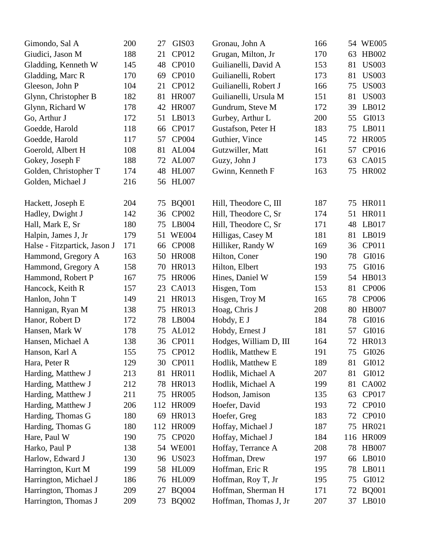| Gimondo, Sal A               | 200 | 27  | GIS <sub>03</sub> | Gronau, John A         | 166 |     | 54 WE005     |
|------------------------------|-----|-----|-------------------|------------------------|-----|-----|--------------|
| Giudici, Jason M             | 188 | 21  | CP012             | Grugan, Milton, Jr     | 170 | 63  | HB002        |
| Gladding, Kenneth W          | 145 | 48  | <b>CP010</b>      | Guilianelli, David A   | 153 | 81  | <b>US003</b> |
| Gladding, Marc R             | 170 | 69  | <b>CP010</b>      | Guilianelli, Robert    | 173 | 81  | <b>US003</b> |
| Gleeson, John P              | 104 | 21  | CP012             | Guilianelli, Robert J  | 166 | 75  | <b>US003</b> |
| Glynn, Christopher B         | 182 | 81  | <b>HR007</b>      | Guilianelli, Ursula M  | 151 | 81  | <b>US003</b> |
| Glynn, Richard W             | 178 | 42  | <b>HR007</b>      | Gundrum, Steve M       | 172 | 39  | LB012        |
| Go, Arthur J                 | 172 | 51  | LB013             | Gurbey, Arthur L       | 200 | 55  | GI013        |
| Goedde, Harold               | 118 | 66  | CP017             | Gustafson, Peter H     | 183 | 75  | LB011        |
| Goedde, Harold               | 117 | 57  | <b>CP004</b>      | Guthier, Vince         | 145 | 72  | <b>HR005</b> |
| Goerold, Albert H            | 108 | 81  | <b>AL004</b>      | Gutzwiller, Matt       | 161 | 57  | CP016        |
| Gokey, Joseph F              | 188 | 72  | AL007             | Guzy, John J           | 173 | 63  | <b>CA015</b> |
| Golden, Christopher T        | 174 | 48  | <b>HL007</b>      | Gwinn, Kenneth F       | 163 | 75  | <b>HR002</b> |
| Golden, Michael J            | 216 | 56  | <b>HL007</b>      |                        |     |     |              |
|                              |     |     |                   |                        |     |     |              |
| Hackett, Joseph E            | 204 | 75  | <b>BQ001</b>      | Hill, Theodore C, III  | 187 | 75  | <b>HR011</b> |
| Hadley, Dwight J             | 142 | 36  | <b>CP002</b>      | Hill, Theodore C, Sr   | 174 | 51  | <b>HR011</b> |
| Hall, Mark E, Sr             | 180 | 75  | LB004             | Hill, Theodore C, Sr   | 171 | 48  | LB017        |
| Halpin, James J, Jr          | 179 | 51  | <b>WE004</b>      | Hilligas, Casey M      | 181 | 81  | LB019        |
| Halse - Fitzpartick, Jason J | 171 | 66  | <b>CP008</b>      | Hilliker, Randy W      | 169 | 36  | CP011        |
| Hammond, Gregory A           | 163 | 50  | <b>HR008</b>      | Hilton, Coner          | 190 | 78  | GI016        |
| Hammond, Gregory A           | 158 | 70  | <b>HR013</b>      | Hilton, Elbert         | 193 | 75  | GI016        |
| Hammond, Robert P            | 167 | 75  | <b>HR006</b>      | Hines, Daniel W        | 159 | 54  | HB013        |
| Hancock, Keith R             | 157 | 23  | CA013             | Hisgen, Tom            | 153 | 81  | <b>CP006</b> |
| Hanlon, John T               | 149 | 21  | HR013             | Hisgen, Troy M         | 165 | 78  | CP006        |
| Hannigan, Ryan M             | 138 | 75  | <b>HR013</b>      | Hoag, Chris J          | 208 | 80  | <b>HB007</b> |
| Hanor, Robert D              | 172 | 78  | LB004             | Hobdy, E J             | 184 | 78  | GI016        |
| Hansen, Mark W               | 178 | 75  | AL012             | Hobdy, Ernest J        | 181 | 57  | GI016        |
| Hansen, Michael A            | 138 | 36  | <b>CP011</b>      | Hodges, William D, III | 164 | 72  | <b>HR013</b> |
| Hanson, Karl A               | 155 |     | 75 CP012          | Hodlik, Matthew E      | 191 |     | 75 GI026     |
| Hara, Peter R                | 129 | 30  | CP011             | Hodlik, Matthew E      | 189 | 81  | GI012        |
| Harding, Matthew J           | 213 | 81  | <b>HR011</b>      | Hodlik, Michael A      | 207 | 81  | GI012        |
| Harding, Matthew J           | 212 | 78  | <b>HR013</b>      | Hodlik, Michael A      | 199 | 81  | CA002        |
| Harding, Matthew J           | 211 | 75  | <b>HR005</b>      | Hodson, Jamison        | 135 | 63  | CP017        |
| Harding, Matthew J           | 206 | 112 | <b>HR009</b>      | Hoefer, David          | 193 | 72  | <b>CP010</b> |
| Harding, Thomas G            | 180 | 69  | <b>HR013</b>      | Hoefer, Greg           | 183 | 72  | <b>CP010</b> |
| Harding, Thomas G            | 180 | 112 | <b>HR009</b>      | Hoffay, Michael J      | 187 | 75  | HR021        |
| Hare, Paul W                 | 190 | 75  | <b>CP020</b>      | Hoffay, Michael J      | 184 | 116 | <b>HR009</b> |
| Harko, Paul P                | 138 | 54  | <b>WE001</b>      | Hoffay, Terrance A     | 208 | 78  | <b>HB007</b> |
| Harlow, Edward J             | 130 | 96  | <b>US023</b>      | Hoffman, Drew          | 197 | 66  | LB010        |
| Harrington, Kurt M           | 199 | 58  | <b>HL009</b>      | Hoffman, Eric R        | 195 | 78  | LB011        |
| Harrington, Michael J        | 186 | 76  | <b>HL009</b>      | Hoffman, Roy T, Jr     | 195 | 75  | GI012        |
| Harrington, Thomas J         | 209 | 27  | <b>BQ004</b>      | Hoffman, Sherman H     | 171 | 72  | <b>BQ001</b> |
| Harrington, Thomas J         | 209 | 73  | <b>BQ002</b>      | Hoffman, Thomas J, Jr  | 207 | 37  | LB010        |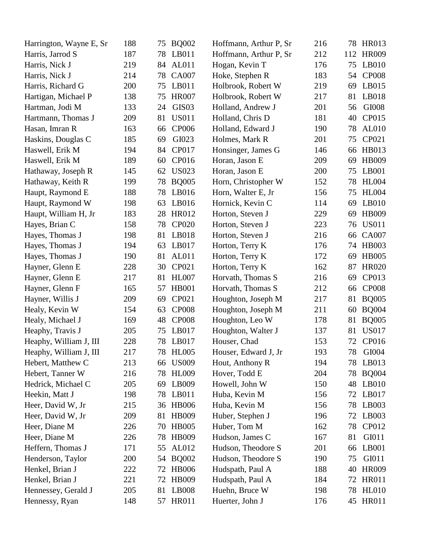| Harrington, Wayne E, Sr | 188 | 75 | <b>BQ002</b>      | Hoffmann, Arthur P, Sr | 216 | 78  | <b>HR013</b> |
|-------------------------|-----|----|-------------------|------------------------|-----|-----|--------------|
| Harris, Jarrod S        | 187 | 78 | LB011             | Hoffmann, Arthur P, Sr | 212 | 112 | <b>HR009</b> |
| Harris, Nick J          | 219 | 84 | <b>AL011</b>      | Hogan, Kevin T         | 176 | 75  | LB010        |
| Harris, Nick J          | 214 | 78 | <b>CA007</b>      | Hoke, Stephen R        | 183 | 54  | <b>CP008</b> |
| Harris, Richard G       | 200 | 75 | LB011             | Holbrook, Robert W     | 219 | 69  | LB015        |
| Hartigan, Michael P     | 138 | 75 | <b>HR007</b>      | Holbrook, Robert W     | 217 | 81  | LB018        |
| Hartman, Jodi M         | 133 | 24 | GIS <sub>03</sub> | Holland, Andrew J      | 201 | 56  | GI008        |
| Hartmann, Thomas J      | 209 | 81 | <b>US011</b>      | Holland, Chris D       | 181 | 40  | CP015        |
| Hasan, Imran R          | 163 | 66 | <b>CP006</b>      | Holland, Edward J      | 190 | 78  | AL010        |
| Haskins, Douglas C      | 185 | 69 | GI023             | Holmes, Mark R         | 201 | 75  | CP021        |
| Haswell, Erik M         | 194 | 84 | CP017             | Honsinger, James G     | 146 | 66  | HB013        |
| Haswell, Erik M         | 189 | 60 | CP016             | Horan, Jason E         | 209 | 69  | <b>HB009</b> |
| Hathaway, Joseph R      | 145 | 62 | <b>US023</b>      | Horan, Jason E         | 200 | 75  | LB001        |
| Hathaway, Keith R       | 199 | 78 | <b>BQ005</b>      | Horn, Christopher W    | 152 | 78  | <b>HL004</b> |
| Haupt, Raymond E        | 188 | 78 | LB016             | Horn, Walter E, Jr     | 156 | 75  | <b>HL004</b> |
| Haupt, Raymond W        | 198 | 63 | LB016             | Hornick, Kevin C       | 114 | 69  | LB010        |
| Haupt, William H, Jr    | 183 | 28 | <b>HR012</b>      | Horton, Steven J       | 229 | 69  | HB009        |
| Hayes, Brian C          | 158 | 78 | <b>CP020</b>      | Horton, Steven J       | 223 | 76  | <b>US011</b> |
| Hayes, Thomas J         | 198 | 81 | LB018             | Horton, Steven J       | 216 | 66  | CA007        |
| Hayes, Thomas J         | 194 | 63 | LB017             | Horton, Terry K        | 176 | 74  | <b>HB003</b> |
| Hayes, Thomas J         | 190 | 81 | AL011             | Horton, Terry K        | 172 | 69  | <b>HB005</b> |
| Hayner, Glenn E         | 228 | 30 | CP021             | Horton, Terry K        | 162 | 87  | <b>HR020</b> |
| Hayner, Glenn E         | 217 | 81 | <b>HL007</b>      | Horvath, Thomas S      | 216 | 69  | CP013        |
| Hayner, Glenn F         | 165 | 57 | <b>HB001</b>      | Horvath, Thomas S      | 212 | 66  | <b>CP008</b> |
| Hayner, Willis J        | 209 | 69 | CP021             | Houghton, Joseph M     | 217 | 81  | <b>BQ005</b> |
| Healy, Kevin W          | 154 | 63 | <b>CP008</b>      | Houghton, Joseph M     | 211 | 60  | <b>BQ004</b> |
| Healy, Michael J        | 169 | 48 | <b>CP008</b>      | Houghton, Leo W        | 178 | 81  | <b>BQ005</b> |
| Heaphy, Travis J        | 205 | 75 | LB017             | Houghton, Walter J     | 137 | 81  | <b>US017</b> |
| Heaphy, William J, III  | 228 | 78 | LB017             | Houser, Chad           | 153 | 72  | CP016        |
| Heaphy, William J, III  | 217 |    | 78 HL005          | Houser, Edward J, Jr   | 193 |     | 78 GI004     |
| Hebert, Matthew C       | 213 | 66 | <b>US009</b>      | Hout, Anthony R        | 194 | 78  | LB013        |
| Hebert, Tanner W        | 216 | 78 | <b>HL009</b>      | Hover, Todd E          | 204 | 78  | <b>BQ004</b> |
| Hedrick, Michael C      | 205 | 69 | LB009             | Howell, John W         | 150 | 48  | LB010        |
| Heekin, Matt J          | 198 | 78 | LB011             | Huba, Kevin M          | 156 | 72  | LB017        |
| Heer, David W, Jr       | 215 | 36 | <b>HB006</b>      | Huba, Kevin M          | 156 | 78  | LB003        |
| Heer, David W, Jr       | 209 | 81 | <b>HB009</b>      | Huber, Stephen J       | 196 | 72  | LB003        |
| Heer, Diane M           | 226 | 70 | <b>HB005</b>      | Huber, Tom M           | 162 | 78  | CP012        |
| Heer, Diane M           | 226 | 78 | <b>HB009</b>      | Hudson, James C        | 167 | 81  | GI011        |
| Heffern, Thomas J       | 171 | 55 | AL012             | Hudson, Theodore S     | 201 | 66  | LB001        |
| Henderson, Taylor       | 200 | 54 | <b>BQ002</b>      | Hudson, Theodore S     | 190 | 75  | GI011        |
| Henkel, Brian J         | 222 | 72 | <b>HB006</b>      | Hudspath, Paul A       | 188 | 40  | <b>HR009</b> |
| Henkel, Brian J         | 221 | 72 | HB009             | Hudspath, Paul A       | 184 | 72  | <b>HR011</b> |
| Hennessey, Gerald J     | 205 | 81 | LB008             | Huehn, Bruce W         | 198 | 78  | HL010        |
| Hennessy, Ryan          | 148 | 57 | <b>HR011</b>      | Huerter, John J        | 176 |     | 45 HR011     |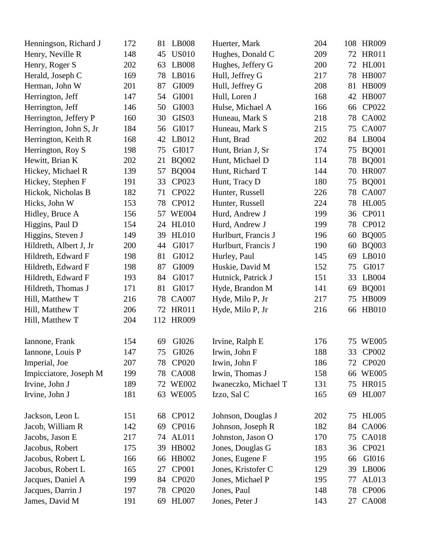| Henningson, Richard J  | 172 | 81  | <b>LB008</b>      | Huerter, Mark        | 204 |    | 108 HR009    |
|------------------------|-----|-----|-------------------|----------------------|-----|----|--------------|
| Henry, Neville R       | 148 | 45  | <b>US010</b>      | Hughes, Donald C     | 209 | 72 | <b>HR011</b> |
| Henry, Roger S         | 202 | 63  | <b>LB008</b>      | Hughes, Jeffery G    | 200 | 72 | HL001        |
| Herald, Joseph C       | 169 | 78  | LB016             | Hull, Jeffrey G      | 217 | 78 | <b>HB007</b> |
| Herman, John W         | 201 | 87  | GI009             | Hull, Jeffrey G      | 208 | 81 | <b>HB009</b> |
| Herrington, Jeff       | 147 | 54  | GI001             | Hull, Loren J        | 168 | 42 | <b>HB007</b> |
| Herrington, Jeff       | 146 | 50  | GI003             | Hulse, Michael A     | 166 | 66 | CP022        |
| Herrington, Jeffery P  | 160 | 30  | GIS <sub>03</sub> | Huneau, Mark S       | 218 | 78 | CA002        |
| Herrington, John S, Jr | 184 | 56  | GI017             | Huneau, Mark S       | 215 | 75 | <b>CA007</b> |
| Herrington, Keith R    | 168 | 42  | LB012             | Hunt, Brad           | 202 | 84 | LB004        |
| Herrington, Roy S      | 198 | 75  | GI017             | Hunt, Brian J, Sr    | 174 | 75 | <b>BQ001</b> |
| Hewitt, Brian K        | 202 | 21  | <b>BQ002</b>      | Hunt, Michael D      | 114 | 78 | <b>BQ001</b> |
| Hickey, Michael R      | 139 | 57  | <b>BQ004</b>      | Hunt, Richard T      | 144 | 70 | <b>HR007</b> |
| Hickey, Stephen F      | 191 | 33  | CP023             | Hunt, Tracy D        | 180 | 75 | <b>BQ001</b> |
| Hickok, Nicholas B     | 182 | 71  | CP022             | Hunter, Russell      | 226 | 78 | <b>CA007</b> |
| Hicks, John W          | 153 | 78  | CP012             | Hunter, Russell      | 224 | 78 | <b>HL005</b> |
| Hidley, Bruce A        | 156 | 57  | <b>WE004</b>      | Hurd, Andrew J       | 199 | 36 | CP011        |
| Higgins, Paul D        | 154 | 24  | <b>HL010</b>      | Hurd, Andrew J       | 199 | 78 | CP012        |
| Higgins, Steven J      | 149 | 39  | <b>HL010</b>      | Hurlburt, Francis J  | 196 | 60 | <b>BQ005</b> |
| Hildreth, Albert J, Jr | 200 | 44  | GI017             | Hurlburt, Francis J  | 190 | 60 | <b>BQ003</b> |
| Hildreth, Edward F     | 198 | 81  | GI012             | Hurley, Paul         | 145 | 69 | LB010        |
| Hildreth, Edward F     | 198 | 87  | GI009             | Huskie, David M      | 152 | 75 | GI017        |
| Hildreth, Edward F     | 193 | 84  | GI017             | Hutnick, Patrick J   | 151 | 33 | LB004        |
| Hildreth, Thomas J     | 171 | 81  | GI017             | Hyde, Brandon M      | 141 | 69 | <b>BQ001</b> |
| Hill, Matthew T        | 216 | 78  | <b>CA007</b>      | Hyde, Milo P, Jr     | 217 | 75 | <b>HB009</b> |
| Hill, Matthew T        | 206 | 72  | <b>HR011</b>      | Hyde, Milo P, Jr     | 216 | 66 | <b>HB010</b> |
| Hill, Matthew T        | 204 | 112 | <b>HR009</b>      |                      |     |    |              |
| Iannone, Frank         | 154 | 69  | GI026             | Irvine, Ralph E      | 176 |    | 75 WE005     |
| Iannone, Louis P       | 147 | 75  | GI026             | Irwin, John F        | 188 |    | 33 CP002     |
| Imperial, Joe          | 207 | 78  | <b>CP020</b>      | Irwin, John F        | 186 | 72 | <b>CP020</b> |
| Impicciatore, Joseph M | 199 | 78  | <b>CA008</b>      | Irwin, Thomas J      | 158 | 66 | <b>WE005</b> |
| Irvine, John J         | 189 | 72  | <b>WE002</b>      | Iwaneczko, Michael T | 131 | 75 | <b>HR015</b> |
| Irvine, John J         | 181 | 63  | <b>WE005</b>      | Izzo, Sal C          | 165 | 69 | <b>HL007</b> |
| Jackson, Leon L        | 151 | 68  | CP012             | Johnson, Douglas J   | 202 | 75 | <b>HL005</b> |
| Jacob, William R       | 142 | 69  | CP016             | Johnson, Joseph R    | 182 | 84 | CA006        |
| Jacobs, Jason E        | 217 | 74  | <b>AL011</b>      | Johnston, Jason O    | 170 | 75 | <b>CA018</b> |
| Jacobus, Robert        | 175 | 39  | <b>HB002</b>      | Jones, Douglas G     | 183 | 36 | CP021        |
| Jacobus, Robert L      | 166 | 66  | <b>HB002</b>      | Jones, Eugene F      | 195 | 66 | GI016        |
| Jacobus, Robert L      | 165 | 27  | <b>CP001</b>      | Jones, Kristofer C   | 129 | 39 | LB006        |
| Jacques, Daniel A      | 199 | 84  | <b>CP020</b>      | Jones, Michael P     | 195 | 77 | AL013        |
| Jacques, Darrin J      | 197 | 78  | <b>CP020</b>      | Jones, Paul          | 148 | 78 | <b>CP006</b> |
| James, David M         | 191 | 69  | <b>HL007</b>      | Jones, Peter J       | 143 | 27 | <b>CA008</b> |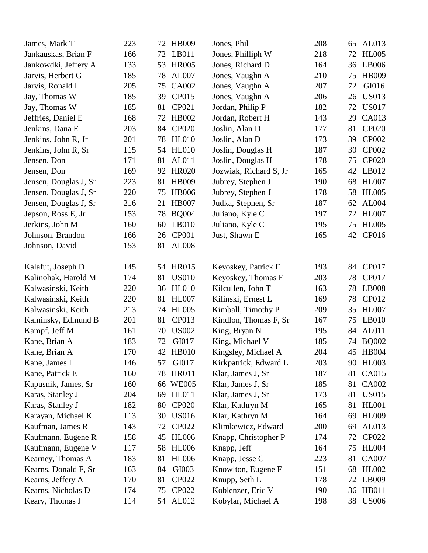| James, Mark T         | 223 | 72 | <b>HB009</b> | Jones, Phil            | 208 | 65 | AL013        |
|-----------------------|-----|----|--------------|------------------------|-----|----|--------------|
| Jankauskas, Brian F   | 166 | 72 | LB011        | Jones, Philliph W      | 218 | 72 | <b>HL005</b> |
| Jankowdki, Jeffery A  | 133 | 53 | <b>HR005</b> | Jones, Richard D       | 164 | 36 | LB006        |
| Jarvis, Herbert G     | 185 | 78 | AL007        | Jones, Vaughn A        | 210 | 75 | <b>HB009</b> |
| Jarvis, Ronald L      | 205 | 75 | <b>CA002</b> | Jones, Vaughn A        | 207 | 72 | GI016        |
| Jay, Thomas W         | 185 | 39 | CP015        | Jones, Vaughn A        | 206 | 26 | <b>US013</b> |
| Jay, Thomas W         | 185 | 81 | CP021        | Jordan, Philip P       | 182 | 72 | <b>US017</b> |
| Jeffries, Daniel E    | 168 | 72 | <b>HB002</b> | Jordan, Robert H       | 143 | 29 | CA013        |
| Jenkins, Dana E       | 203 | 84 | <b>CP020</b> | Joslin, Alan D         | 177 | 81 | <b>CP020</b> |
| Jenkins, John R, Jr   | 201 | 78 | <b>HL010</b> | Joslin, Alan D         | 173 | 39 | CP002        |
| Jenkins, John R, Sr   | 115 | 54 | <b>HL010</b> | Joslin, Douglas H      | 187 | 30 | <b>CP002</b> |
| Jensen, Don           | 171 | 81 | AL011        | Joslin, Douglas H      | 178 | 75 | <b>CP020</b> |
| Jensen, Don           | 169 | 92 | <b>HR020</b> | Jozwiak, Richard S, Jr | 165 | 42 | LB012        |
| Jensen, Douglas J, Sr | 223 | 81 | <b>HB009</b> | Jubrey, Stephen J      | 190 | 68 | <b>HL007</b> |
| Jensen, Douglas J, Sr | 220 | 75 | <b>HB006</b> | Jubrey, Stephen J      | 178 | 58 | <b>HL005</b> |
| Jensen, Douglas J, Sr | 216 | 21 | <b>HB007</b> | Judka, Stephen, Sr     | 187 | 62 | AL004        |
| Jepson, Ross E, Jr    | 153 | 78 | <b>BQ004</b> | Juliano, Kyle C        | 197 | 72 | <b>HL007</b> |
| Jerkins, John M       | 160 | 60 | LB010        | Juliano, Kyle C        | 195 | 75 | <b>HL005</b> |
| Johnson, Brandon      | 166 | 26 | <b>CP001</b> | Just, Shawn E          | 165 | 42 | CP016        |
| Johnson, David        | 153 | 81 | <b>AL008</b> |                        |     |    |              |
|                       |     |    |              |                        |     |    |              |
| Kalafut, Joseph D     | 145 | 54 | <b>HR015</b> | Keyoskey, Patrick F    | 193 | 84 | CP017        |
| Kalinohak, Harold M   | 174 | 81 | <b>US010</b> | Keyoskey, Thomas F     | 203 | 78 | CP017        |
| Kalwasinski, Keith    | 220 | 36 | <b>HL010</b> | Kilcullen, John T      | 163 | 78 | LB008        |
| Kalwasinski, Keith    | 220 | 81 | <b>HL007</b> | Kilinski, Ernest L     | 169 | 78 | CP012        |
| Kalwasinski, Keith    | 213 | 74 | <b>HL005</b> | Kimball, Timothy P     | 209 | 35 | <b>HL007</b> |
| Kaminsky, Edmund B    | 201 | 81 | CP013        | Kindlon, Thomas F, Sr  | 167 | 75 | LB010        |
| Kampf, Jeff M         | 161 | 70 | <b>US002</b> | King, Bryan N          | 195 | 84 | AL011        |
| Kane, Brian A         | 183 | 72 | GI017        | King, Michael V        | 185 | 74 | <b>BQ002</b> |
| Kane, Brian A         | 170 |    | 42 HB010     | Kingsley, Michael A    | 204 |    | 45 HB004     |
| Kane, James L         | 146 | 57 | GI017        | Kirkpatrick, Edward L  | 203 | 90 | <b>HL003</b> |
| Kane, Patrick E       | 160 | 78 | <b>HR011</b> | Klar, James J, Sr      | 187 | 81 | CA015        |
| Kapusnik, James, Sr   | 160 |    | 66 WE005     | Klar, James J, Sr      | 185 | 81 | CA002        |
| Karas, Stanley J      | 204 | 69 | <b>HL011</b> | Klar, James J, Sr      | 173 | 81 | <b>US015</b> |
| Karas, Stanley J      | 182 | 80 | <b>CP020</b> | Klar, Kathryn M        | 165 | 81 | <b>HL001</b> |
| Karayan, Michael K    | 113 | 30 | <b>US016</b> | Klar, Kathryn M        | 164 | 69 | <b>HL009</b> |
| Kaufman, James R      | 143 | 72 | CP022        | Klimkewicz, Edward     | 200 | 69 | AL013        |
| Kaufmann, Eugene R    | 158 | 45 | <b>HL006</b> | Knapp, Christopher P   | 174 | 72 | CP022        |
| Kaufmann, Eugene V    | 117 | 58 | <b>HL006</b> | Knapp, Jeff            | 164 | 75 | <b>HL004</b> |
| Kearney, Thomas A     | 183 | 81 | <b>HL006</b> | Knapp, Jesse C         | 223 | 81 | <b>CA007</b> |
| Kearns, Donald F, Sr  | 163 | 84 | GI003        | Knowlton, Eugene F     | 151 | 68 | <b>HL002</b> |
| Kearns, Jeffery A     | 170 | 81 | <b>CP022</b> | Knupp, Seth L          | 178 | 72 | LB009        |
| Kearns, Nicholas D    | 174 | 75 | CP022        | Koblenzer, Eric V      | 190 |    | 36 HB011     |
| Keary, Thomas J       | 114 |    | 54 AL012     | Kobylar, Michael A     | 198 | 38 | <b>US006</b> |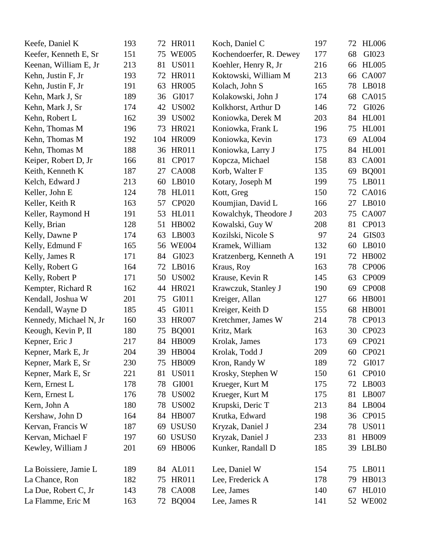| Keefe, Daniel K        | 193 |     | 72 HR011          | Koch, Daniel C          | 197 | 72 | <b>HL006</b>      |
|------------------------|-----|-----|-------------------|-------------------------|-----|----|-------------------|
| Keefer, Kenneth E, Sr  | 151 | 75  | <b>WE005</b>      | Kochendoerfer, R. Dewey | 177 | 68 | GI023             |
| Keenan, William E, Jr  | 213 | 81  | <b>US011</b>      | Koehler, Henry R, Jr    | 216 | 66 | <b>HL005</b>      |
| Kehn, Justin F, Jr     | 193 | 72  | <b>HR011</b>      | Koktowski, William M    | 213 | 66 | <b>CA007</b>      |
| Kehn, Justin F, Jr     | 191 | 63  | <b>HR005</b>      | Kolach, John S          | 165 | 78 | LB018             |
| Kehn, Mark J, Sr       | 189 | 36  | GI017             | Kolakowski, John J      | 174 | 68 | CA015             |
| Kehn, Mark J, Sr       | 174 | 42  | <b>US002</b>      | Kolkhorst, Arthur D     | 146 | 72 | GI026             |
| Kehn, Robert L         | 162 | 39  | <b>US002</b>      | Koniowka, Derek M       | 203 | 84 | <b>HL001</b>      |
| Kehn, Thomas M         | 196 | 73  | HR021             | Koniowka, Frank L       | 196 | 75 | <b>HL001</b>      |
| Kehn, Thomas M         | 192 | 104 | <b>HR009</b>      | Koniowka, Kevin         | 173 | 69 | AL004             |
| Kehn, Thomas M         | 188 | 36  | <b>HR011</b>      | Koniowka, Larry J       | 175 | 84 | <b>HL001</b>      |
| Keiper, Robert D, Jr   | 166 | 81  | CP017             | Kopcza, Michael         | 158 | 83 | <b>CA001</b>      |
| Keith, Kenneth K       | 187 | 27  | <b>CA008</b>      | Korb, Walter F          | 135 | 69 | <b>BQ001</b>      |
| Kelch, Edward J        | 213 | 60  | LB010             | Kotary, Joseph M        | 199 | 75 | LB011             |
| Keller, John E         | 124 | 78  | HL011             | Kott, Greg              | 150 | 72 | CA016             |
| Keller, Keith R        | 163 | 57  | <b>CP020</b>      | Koumjian, David L       | 166 | 27 | LB010             |
| Keller, Raymond H      | 191 | 53  | <b>HL011</b>      | Kowalchyk, Theodore J   | 203 | 75 | <b>CA007</b>      |
| Kelly, Brian           | 128 | 51  | <b>HB002</b>      | Kowalski, Guy W         | 208 | 81 | CP013             |
| Kelly, Dawne P         | 174 | 63  | LB003             | Kozilski, Nicole S      | 97  | 24 | GIS <sub>03</sub> |
| Kelly, Edmund F        | 165 | 56  | <b>WE004</b>      | Kramek, William         | 132 | 60 | LB010             |
| Kelly, James R         | 171 | 84  | GI023             | Kratzenberg, Kenneth A  | 191 | 72 | <b>HB002</b>      |
| Kelly, Robert G        | 164 | 72  | LB016             | Kraus, Roy              | 163 | 78 | <b>CP006</b>      |
| Kelly, Robert P        | 171 | 50  | <b>US002</b>      | Krause, Kevin R         | 145 | 63 | CP009             |
| Kempter, Richard R     | 162 | 44  | HR021             | Krawczuk, Stanley J     | 190 | 69 | <b>CP008</b>      |
| Kendall, Joshua W      | 201 | 75  | GI011             | Kreiger, Allan          | 127 | 66 | <b>HB001</b>      |
| Kendall, Wayne D       | 185 | 45  | GI011             | Kreiger, Keith D        | 155 | 68 | <b>HB001</b>      |
| Kennedy, Michael N, Jr | 160 | 33  | <b>HR007</b>      | Kretchmer, James W      | 214 | 78 | CP013             |
| Keough, Kevin P, II    | 180 | 75  | <b>BQ001</b>      | Kritz, Mark             | 163 | 30 | CP023             |
| Kepner, Eric J         | 217 | 84  | <b>HB009</b>      | Krolak, James           | 173 | 69 | CP021             |
| Kepner, Mark E, Jr     | 204 |     | 39 HB004          | Krolak, Todd J          | 209 | 60 | CP021             |
| Kepner, Mark E, Sr     | 230 | 75  | <b>HB009</b>      | Kron, Randy W           | 189 | 72 | GI017             |
| Kepner, Mark E, Sr     | 221 | 81  | <b>US011</b>      | Krosky, Stephen W       | 150 | 61 | <b>CP010</b>      |
| Kern, Ernest L         | 178 | 78  | GI001             | Krueger, Kurt M         | 175 | 72 | LB003             |
| Kern, Ernest L         | 176 | 78  | <b>US002</b>      | Krueger, Kurt M         | 175 | 81 | LB007             |
| Kern, John A           | 180 | 78  | <b>US002</b>      | Krupski, Deric T        | 213 | 84 | LB004             |
| Kershaw, John D        | 164 | 84  | <b>HB007</b>      | Krutka, Edward          | 198 |    | 36 CP015          |
| Kervan, Francis W      | 187 |     | 69 USUS0          | Kryzak, Daniel J        | 234 | 78 | <b>US011</b>      |
| Kervan, Michael F      | 197 | 60  | USUS <sub>0</sub> | Kryzak, Daniel J        | 233 | 81 | <b>HB009</b>      |
| Kewley, William J      | 201 | 69  | <b>HB006</b>      | Kunker, Randall D       | 185 |    | 39 LBLB0          |
| La Boissiere, Jamie L  | 189 | 84  | AL011             | Lee, Daniel W           | 154 | 75 | LB011             |
| La Chance, Ron         | 182 | 75  | <b>HR011</b>      | Lee, Frederick A        | 178 | 79 | HB013             |
| La Due, Robert C, Jr   | 143 | 78  | <b>CA008</b>      | Lee, James              | 140 | 67 | <b>HL010</b>      |
| La Flamme, Eric M      | 163 | 72  | <b>BQ004</b>      | Lee, James R            | 141 |    | 52 WE002          |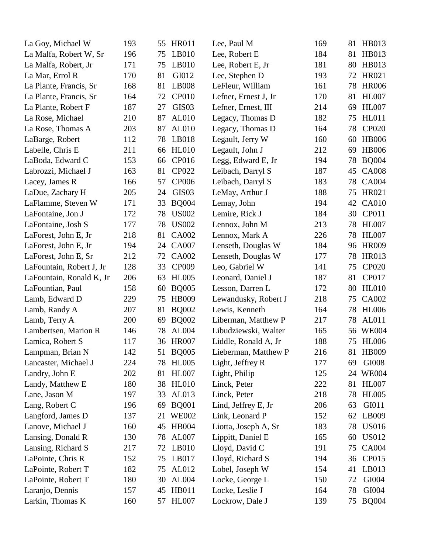| La Goy, Michael W        | 193 | 55 | <b>HR011</b>      | Lee, Paul M          | 169 | 81 | <b>HB013</b> |
|--------------------------|-----|----|-------------------|----------------------|-----|----|--------------|
| La Malfa, Robert W, Sr   | 196 | 75 | LB010             | Lee, Robert E        | 184 | 81 | HB013        |
| La Malfa, Robert, Jr     | 171 | 75 | LB010             | Lee, Robert E, Jr    | 181 | 80 | HB013        |
| La Mar, Errol R          | 170 | 81 | GI012             | Lee, Stephen D       | 193 | 72 | HR021        |
| La Plante, Francis, Sr   | 168 | 81 | LB008             | LeFleur, William     | 161 | 78 | <b>HR006</b> |
| La Plante, Francis, Sr   | 164 | 72 | <b>CP010</b>      | Lefner, Ernest J, Jr | 170 | 81 | <b>HL007</b> |
| La Plante, Robert F      | 187 | 27 | GIS <sub>03</sub> | Lefner, Ernest, III  | 214 | 69 | <b>HL007</b> |
| La Rose, Michael         | 210 | 87 | AL010             | Legacy, Thomas D     | 182 | 75 | <b>HL011</b> |
| La Rose, Thomas A        | 203 | 87 | AL010             | Legacy, Thomas D     | 164 | 78 | <b>CP020</b> |
| LaBarge, Robert          | 112 | 78 | LB018             | Legault, Jerry W     | 160 | 60 | <b>HB006</b> |
| Labelle, Chris E         | 211 | 66 | <b>HL010</b>      | Legault, John J      | 212 | 69 | <b>HB006</b> |
| LaBoda, Edward C         | 153 | 66 | CP016             | Legg, Edward E, Jr   | 194 | 78 | <b>BQ004</b> |
| Labrozzi, Michael J      | 163 | 81 | CP022             | Leibach, Darryl S    | 187 | 45 | <b>CA008</b> |
| Lacey, James R           | 166 | 57 | <b>CP006</b>      | Leibach, Darryl S    | 183 | 78 | <b>CA004</b> |
| LaDue, Zachary H         | 205 | 24 | GIS <sub>03</sub> | LeMay, Arthur J      | 188 | 75 | HR021        |
| LaFlamme, Steven W       | 171 | 33 | <b>BQ004</b>      | Lemay, John          | 194 | 42 | <b>CA010</b> |
| LaFontaine, Jon J        | 172 | 78 | <b>US002</b>      | Lemire, Rick J       | 184 | 30 | CP011        |
| LaFontaine, Josh S       | 177 | 78 | <b>US002</b>      | Lennox, John M       | 213 | 78 | <b>HL007</b> |
| LaForest, John E, Jr     | 218 | 81 | <b>CA002</b>      | Lennox, Mark A       | 226 | 78 | <b>HL007</b> |
| LaForest, John E, Jr     | 194 | 24 | <b>CA007</b>      | Lenseth, Douglas W   | 184 | 96 | <b>HR009</b> |
| LaForest, John E, Sr     | 212 | 72 | <b>CA002</b>      | Lenseth, Douglas W   | 177 | 78 | <b>HR013</b> |
| LaFountain, Robert J, Jr | 128 | 33 | CP009             | Leo, Gabriel W       | 141 | 75 | <b>CP020</b> |
| LaFountain, Ronald K, Jr | 206 | 63 | <b>HL005</b>      | Leonard, Daniel J    | 187 | 81 | CP017        |
| LaFountian, Paul         | 158 | 60 | <b>BQ005</b>      | Lesson, Darren L     | 172 | 80 | <b>HL010</b> |
| Lamb, Edward D           | 229 | 75 | <b>HB009</b>      | Lewandusky, Robert J | 218 | 75 | CA002        |
| Lamb, Randy A            | 207 | 81 | <b>BQ002</b>      | Lewis, Kenneth       | 164 | 78 | <b>HL006</b> |
| Lamb, Terry A            | 200 | 69 | <b>BQ002</b>      | Liberman, Matthew P  | 217 | 78 | AL011        |
| Lambertsen, Marion R     | 146 | 78 | AL004             | Libudziewski, Walter | 165 | 56 | <b>WE004</b> |
| Lamica, Robert S         | 117 | 36 | <b>HR007</b>      | Liddle, Ronald A, Jr | 188 | 75 | <b>HL006</b> |
| Lampman, Brian N         | 142 |    | 51 BQ005          | Lieberman, Matthew P | 216 |    | 81 HB009     |
| Lancaster, Michael J     | 224 | 78 | <b>HL005</b>      | Light, Jeffrey R     | 177 | 69 | GI008        |
| Landry, John E           | 202 | 81 | <b>HL007</b>      | Light, Philip        | 125 | 24 | <b>WE004</b> |
| Landy, Matthew E         | 180 | 38 | <b>HL010</b>      | Linck, Peter         | 222 | 81 | <b>HL007</b> |
| Lane, Jason M            | 197 | 33 | AL013             | Linck, Peter         | 218 | 78 | <b>HL005</b> |
| Lang, Robert C           | 196 | 69 | <b>BQ001</b>      | Lind, Jeffrey E, Jr  | 206 | 63 | GI011        |
| Langford, James D        | 137 | 21 | <b>WE002</b>      | Link, Leonard P      | 152 | 62 | LB009        |
| Lanove, Michael J        | 160 | 45 | <b>HB004</b>      | Liotta, Joseph A, Sr | 183 | 78 | <b>US016</b> |
| Lansing, Donald R        | 130 | 78 | AL007             | Lippitt, Daniel E    | 165 | 60 | <b>US012</b> |
| Lansing, Richard S       | 217 | 72 | LB010             | Lloyd, David C       | 191 | 75 | <b>CA004</b> |
| LaPointe, Chris R        | 152 | 75 | LB017             | Lloyd, Richard S     | 194 | 36 | CP015        |
| LaPointe, Robert T       | 182 | 75 | AL012             | Lobel, Joseph W      | 154 | 41 | LB013        |
| LaPointe, Robert T       | 180 | 30 | <b>AL004</b>      | Locke, George L      | 150 | 72 | GI004        |
| Laranjo, Dennis          | 157 | 45 | HB011             | Locke, Leslie J      | 164 | 78 | GI004        |
| Larkin, Thomas K         | 160 | 57 | <b>HL007</b>      | Lockrow, Dale J      | 139 | 75 | <b>BQ004</b> |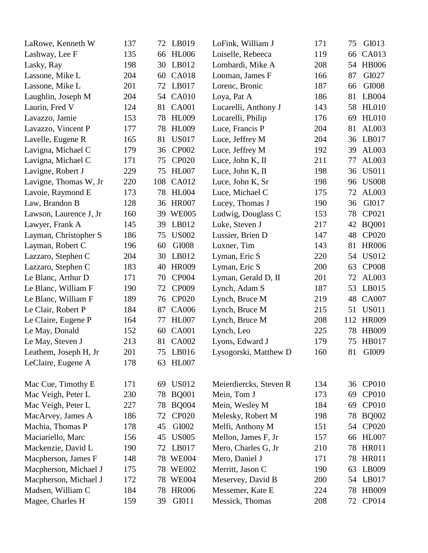| LaRowe, Kenneth W      | 137 | 72  | LB019        | LoFink, William J      | 171 | 75  | GI013        |
|------------------------|-----|-----|--------------|------------------------|-----|-----|--------------|
| Lashway, Lee F         | 135 | 66  | <b>HL006</b> | Loiselle, Rebeeca      | 119 | 66  | CA013        |
| Lasky, Ray             | 198 | 30  | LB012        | Lombardi, Mike A       | 208 | 54  | <b>HB006</b> |
| Lassone, Mike L        | 204 | 60  | <b>CA018</b> | Looman, James F        | 166 | 87  | GI027        |
| Lassone, Mike L        | 201 | 72  | LB017        | Lorenc, Bronic         | 187 | 66  | GI008        |
| Laughlin, Joseph M     | 204 | 54  | <b>CA010</b> | Loya, Pat A            | 186 | 81  | LB004        |
| Laurin, Fred V         | 124 | 81  | <b>CA001</b> | Lucarelli, Anthony J   | 143 | 58  | <b>HL010</b> |
| Lavazzo, Jamie         | 153 | 78  | <b>HL009</b> | Lucarelli, Philip      | 176 | 69  | <b>HL010</b> |
| Lavazzo, Vincent P     | 177 | 78  | <b>HL009</b> | Luce, Francis P        | 204 | 81  | AL003        |
| Lavelle, Eugene R      | 165 | 81  | <b>US017</b> | Luce, Jeffrey M        | 204 | 36  | LB017        |
| Lavigna, Michael C     | 179 | 36  | <b>CP002</b> | Luce, Jeffrey M        | 192 | 39  | AL003        |
| Lavigna, Michael C     | 171 | 75  | <b>CP020</b> | Luce, John K, II       | 211 | 77  | AL003        |
| Lavigne, Robert J      | 229 | 75  | <b>HL007</b> | Luce, John K, II       | 198 | 36  | <b>US011</b> |
| Lavigne, Thomas W, Jr  | 220 | 108 | <b>CA012</b> | Luce, John K, Sr       | 198 | 96  | <b>US008</b> |
| Lavoie, Raymond E      | 173 | 78  | <b>HL004</b> | Luce, Michael C        | 175 | 72  | AL003        |
| Law, Brandon B         | 128 | 36  | <b>HR007</b> | Lucey, Thomas J        | 190 | 36  | GI017        |
| Lawson, Laurence J, Jr | 160 | 39  | <b>WE005</b> | Ludwig, Douglass C     | 153 | 78  | CP021        |
| Lawyer, Frank A        | 145 | 39  | LB012        | Luke, Steven J         | 217 | 42  | <b>BQ001</b> |
| Layman, Christopher S  | 186 | 75  | <b>US002</b> | Lussier, Brien D       | 147 | 48  | <b>CP020</b> |
| Layman, Robert C       | 196 | 60  | GI008        | Luxner, Tim            | 143 | 81  | <b>HR006</b> |
| Lazzaro, Stephen C     | 204 | 30  | LB012        | Lyman, Eric S          | 220 | 54  | <b>US012</b> |
| Lazzaro, Stephen C     | 183 | 40  | <b>HR009</b> | Lyman, Eric S          | 200 | 63  | <b>CP008</b> |
| Le Blanc, Arthur D     | 171 | 70  | <b>CP004</b> | Lyman, Gerald D, II    | 201 | 72  | AL003        |
| Le Blanc, William F    | 190 | 72  | CP009        | Lynch, Adam S          | 187 | 53  | LB015        |
| Le Blanc, William F    | 189 | 76  | <b>CP020</b> | Lynch, Bruce M         | 219 | 48  | <b>CA007</b> |
| Le Clair, Robert P     | 184 | 87  | CA006        | Lynch, Bruce M         | 215 | 51  | <b>US011</b> |
| Le Claire, Eugene P    | 164 | 77  | <b>HL007</b> | Lynch, Bruce M         | 208 | 112 | <b>HR009</b> |
| Le May, Donald         | 152 | 60  | <b>CA001</b> | Lynch, Leo             | 225 | 78  | <b>HB009</b> |
| Le May, Steven J       | 213 | 81  | <b>CA002</b> | Lyons, Edward J        | 179 | 75  | <b>HB017</b> |
| Leathem, Joseph H, Jr  | 201 |     | 75 LB016     | Lysogorski, Matthew D  | 160 |     | 81 GI009     |
| LeClaire, Eugene A     | 178 | 63  | <b>HL007</b> |                        |     |     |              |
| Mac Cue, Timothy E     | 171 | 69  | <b>US012</b> | Meierdiercks, Steven R | 134 |     | 36 CP010     |
| Mac Veigh, Peter L     | 230 | 78  | <b>BQ001</b> | Mein, Tom J            | 173 | 69  | <b>CP010</b> |
| Mac Veigh, Peter L     | 227 | 78  | <b>BQ004</b> | Mein, Wesley M         | 184 | 69  | <b>CP010</b> |
| MacArvey, James A      | 186 | 72  | <b>CP020</b> | Melesky, Robert M      | 198 | 78  | <b>BQ002</b> |
| Machia, Thomas P       | 178 | 45  | GI002        | Melfi, Anthony M       | 151 | 54  | <b>CP020</b> |
| Maciariello, Marc      | 156 | 45  | <b>US005</b> | Mellon, James F, Jr    | 157 | 66  | <b>HL007</b> |
| Mackenzie, David L     | 190 | 72  | LB017        | Mero, Charles G, Jr    | 210 | 78  | <b>HR011</b> |
| Macpherson, James F    | 148 |     | 78 WE004     | Mero, Daniel J         | 171 | 78  | <b>HR011</b> |
| Macpherson, Michael J  | 175 | 78  | <b>WE002</b> | Merritt, Jason C       | 190 | 63  | LB009        |
| Macpherson, Michael J  | 172 |     | 78 WE004     | Meservey, David B      | 200 | 54  | LB017        |
| Madsen, William C      | 184 | 78  | <b>HR006</b> | Messemer, Kate E       | 224 | 78  | HB009        |
| Magee, Charles H       | 159 | 39  | GI011        | Messick, Thomas        | 208 | 72  | CP014        |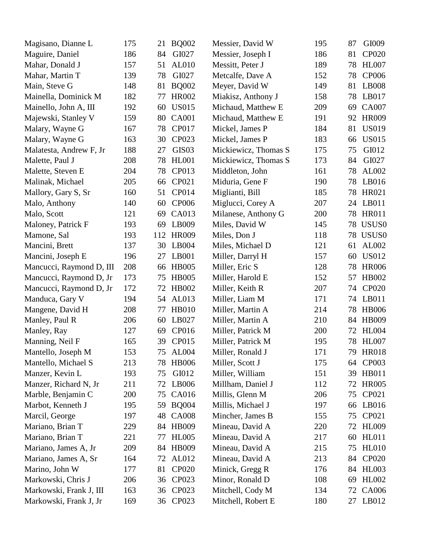| Magisano, Dianne L       | 175 | 21  | <b>BQ002</b>      | Messier, David W     | 195 | 87 | GI009             |
|--------------------------|-----|-----|-------------------|----------------------|-----|----|-------------------|
| Maguire, Daniel          | 186 | 84  | GI027             | Messier, Joseph I    | 186 | 81 | <b>CP020</b>      |
| Mahar, Donald J          | 157 | 51  | AL010             | Messitt, Peter J     | 189 | 78 | <b>HL007</b>      |
| Mahar, Martin T          | 139 | 78  | GI027             | Metcalfe, Dave A     | 152 | 78 | <b>CP006</b>      |
| Main, Steve G            | 148 | 81  | <b>BQ002</b>      | Meyer, David W       | 149 | 81 | LB008             |
| Mainella, Dominick M     | 182 | 77  | <b>HR002</b>      | Miakisz, Anthony J   | 158 | 78 | LB017             |
| Mainello, John A, III    | 192 | 60  | <b>US015</b>      | Michaud, Matthew E   | 209 | 69 | <b>CA007</b>      |
| Majewski, Stanley V      | 159 | 80  | <b>CA001</b>      | Michaud, Matthew E   | 191 | 92 | <b>HR009</b>      |
| Malary, Wayne G          | 167 | 78  | CP017             | Mickel, James P      | 184 | 81 | <b>US019</b>      |
| Malary, Wayne G          | 163 | 30  | CP023             | Mickel, James P      | 183 | 66 | <b>US015</b>      |
| Malatesta, Andrew F, Jr  | 188 | 27  | GIS <sub>03</sub> | Mickiewicz, Thomas S | 175 | 75 | GI012             |
| Malette, Paul J          | 208 | 78  | <b>HL001</b>      | Mickiewicz, Thomas S | 173 | 84 | GI027             |
| Malette, Steven E        | 204 | 78  | CP013             | Middleton, John      | 161 | 78 | AL002             |
| Malinak, Michael         | 205 | 66  | CP021             | Miduria, Gene F      | 190 | 78 | LB016             |
| Mallory, Gary S, Sr      | 160 | 51  | CP014             | Miglianti, Bill      | 185 | 78 | HR021             |
| Malo, Anthony            | 140 | 60  | <b>CP006</b>      | Miglucci, Corey A    | 207 | 24 | LB011             |
| Malo, Scott              | 121 | 69  | <b>CA013</b>      | Milanese, Anthony G  | 200 | 78 | <b>HR011</b>      |
| Maloney, Patrick F       | 193 | 69  | LB009             | Miles, David W       | 145 | 78 | USUS <sub>0</sub> |
| Mamone, Sal              | 193 | 112 | <b>HR009</b>      | Miles, Don J         | 118 | 78 | USUS <sub>0</sub> |
| Mancini, Brett           | 137 | 30  | LB004             | Miles, Michael D     | 121 | 61 | AL002             |
| Mancini, Joseph E        | 196 | 27  | LB001             | Miller, Darryl H     | 157 | 60 | <b>US012</b>      |
| Mancucci, Raymond D, III | 208 | 66  | <b>HB005</b>      | Miller, Eric S       | 128 | 78 | <b>HR006</b>      |
| Mancucci, Raymond D, Jr  | 173 | 75  | <b>HB005</b>      | Miller, Harold E     | 152 | 57 | HB002             |
| Mancucci, Raymond D, Jr  | 172 | 72  | HB002             | Miller, Keith R      | 207 | 74 | <b>CP020</b>      |
| Manduca, Gary V          | 194 | 54  | AL013             | Miller, Liam M       | 171 | 74 | LB011             |
| Mangene, David H         | 208 | 77  | <b>HB010</b>      | Miller, Martin A     | 214 | 78 | <b>HB006</b>      |
| Manley, Paul R           | 206 | 60  | LB027             | Miller, Martin A     | 210 | 84 | <b>HB009</b>      |
| Manley, Ray              | 127 | 69  | CP016             | Miller, Patrick M    | 200 | 72 | <b>HL004</b>      |
| Manning, Neil F          | 165 | 39  | CP015             | Miller, Patrick M    | 195 | 78 | <b>HL007</b>      |
| Mantello, Joseph M       | 153 | 75  | <b>AL004</b>      | Miller, Ronald J     | 171 |    | 79 HR018          |
| Mantello, Michael S      | 213 | 78  | <b>HB006</b>      | Miller, Scott J      | 175 | 64 | CP003             |
| Manzer, Kevin L          | 193 | 75  | GI012             | Miller, William      | 151 | 39 | HB011             |
| Manzer, Richard N, Jr    | 211 | 72  | LB006             | Millham, Daniel J    | 112 | 72 | <b>HR005</b>      |
| Marble, Benjamin C       | 200 | 75  | CA016             | Millis, Glenn M      | 206 | 75 | CP021             |
| Marbot, Kenneth J        | 195 | 59  | <b>BQ004</b>      | Millis, Michael J    | 197 | 66 | LB016             |
| Marcil, George           | 197 | 48  | <b>CA008</b>      | Mincher, James B     | 155 | 75 | CP021             |
| Mariano, Brian T         | 229 | 84  | <b>HB009</b>      | Mineau, David A      | 220 | 72 | <b>HL009</b>      |
| Mariano, Brian T         | 221 | 77  | <b>HL005</b>      | Mineau, David A      | 217 | 60 | <b>HL011</b>      |
| Mariano, James A, Jr     | 209 | 84  | <b>HB009</b>      | Mineau, David A      | 215 | 75 | <b>HL010</b>      |
| Mariano, James A, Sr     | 164 | 72  | AL012             | Mineau, David A      | 213 | 84 | <b>CP020</b>      |
| Marino, John W           | 177 | 81  | CP020             | Minick, Gregg R      | 176 | 84 | <b>HL003</b>      |
| Markowski, Chris J       | 206 | 36  | CP023             | Minor, Ronald D      | 108 | 69 | HL002             |
| Markowski, Frank J, III  | 163 | 36  | CP023             | Mitchell, Cody M     | 134 | 72 | CA006             |
| Markowski, Frank J, Jr   | 169 | 36  | CP023             | Mitchell, Robert E   | 180 |    | 27 LB012          |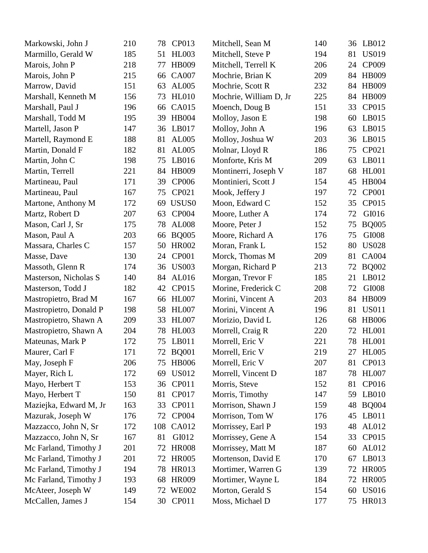| Markowski, John J      | 210 | 78  | CP013             | Mitchell, Sean M       | 140 | 36 | LB012        |
|------------------------|-----|-----|-------------------|------------------------|-----|----|--------------|
| Marmillo, Gerald W     | 185 | 51  | <b>HL003</b>      | Mitchell, Steve P      | 194 | 81 | <b>US019</b> |
| Marois, John P         | 218 | 77  | <b>HB009</b>      | Mitchell, Terrell K    | 206 | 24 | CP009        |
| Marois, John P         | 215 | 66  | <b>CA007</b>      | Mochrie, Brian K       | 209 | 84 | <b>HB009</b> |
| Marrow, David          | 151 | 63  | AL005             | Mochrie, Scott R       | 232 | 84 | <b>HB009</b> |
| Marshall, Kenneth M    | 156 | 73  | <b>HL010</b>      | Mochrie, William D, Jr | 225 | 84 | <b>HB009</b> |
| Marshall, Paul J       | 196 | 66  | CA015             | Moench, Doug B         | 151 | 33 | CP015        |
| Marshall, Todd M       | 195 | 39  | <b>HB004</b>      | Molloy, Jason E        | 198 | 60 | LB015        |
| Martell, Jason P       | 147 | 36  | LB017             | Molloy, John A         | 196 | 63 | LB015        |
| Martell, Raymond E     | 188 | 81  | AL005             | Molloy, Joshua W       | 203 | 36 | LB015        |
| Martin, Donald F       | 182 | 81  | AL005             | Molnar, Lloyd R        | 186 | 75 | CP021        |
| Martin, John C         | 198 | 75  | LB016             | Monforte, Kris M       | 209 | 63 | LB011        |
| Martin, Terrell        | 221 | 84  | HB009             | Montinerri, Joseph V   | 187 | 68 | <b>HL001</b> |
| Martineau, Paul        | 171 | 39  | <b>CP006</b>      | Montinieri, Scott J    | 154 | 45 | <b>HB004</b> |
| Martineau, Paul        | 167 | 75  | CP021             | Mook, Jeffery J        | 197 | 72 | <b>CP001</b> |
| Martone, Anthony M     | 172 | 69  | USUS <sub>0</sub> | Moon, Edward C         | 152 | 35 | CP015        |
| Martz, Robert D        | 207 | 63  | <b>CP004</b>      | Moore, Luther A        | 174 | 72 | GI016        |
| Mason, Carl J, Sr      | 175 | 78  | <b>AL008</b>      | Moore, Peter J         | 152 | 75 | <b>BQ005</b> |
| Mason, Paul A          | 203 | 66  | <b>BQ005</b>      | Moore, Richard A       | 176 | 75 | GI008        |
| Massara, Charles C     | 157 | 50  | <b>HR002</b>      | Moran, Frank L         | 152 | 80 | <b>US028</b> |
| Masse, Dave            | 130 | 24  | <b>CP001</b>      | Morck, Thomas M        | 209 | 81 | <b>CA004</b> |
| Massoth, Glenn R       | 174 | 36  | <b>US003</b>      | Morgan, Richard P      | 213 | 72 | <b>BQ002</b> |
| Masterson, Nicholas S  | 140 | 84  | AL016             | Morgan, Trevor F       | 185 | 21 | LB012        |
| Masterson, Todd J      | 182 | 42  | CP015             | Morine, Frederick C    | 208 | 72 | GI008        |
| Mastropietro, Brad M   | 167 | 66  | <b>HL007</b>      | Morini, Vincent A      | 203 | 84 | <b>HB009</b> |
| Mastropietro, Donald P | 198 | 58  | <b>HL007</b>      | Morini, Vincent A      | 196 | 81 | <b>US011</b> |
| Mastropietro, Shawn A  | 209 | 33  | <b>HL007</b>      | Morizio, David L       | 126 | 68 | <b>HB006</b> |
| Mastropietro, Shawn A  | 204 | 78  | <b>HL003</b>      | Morrell, Craig R       | 220 | 72 | <b>HL001</b> |
| Mateunas, Mark P       | 172 | 75  | LB011             | Morrell, Eric V        | 221 |    | 78 HL001     |
| Maurer, Carl F         | 171 |     | 72 BQ001          | Morrell, Eric V        | 219 |    | 27 HL005     |
| May, Joseph F          | 206 | 75  | <b>HB006</b>      | Morrell, Eric V        | 207 | 81 | CP013        |
| Mayer, Rich L          | 172 | 69  | US012             | Morrell, Vincent D     | 187 | 78 | HL007        |
| Mayo, Herbert T        | 153 | 36  | <b>CP011</b>      | Morris, Steve          | 152 | 81 | CP016        |
| Mayo, Herbert T        | 150 | 81  | <b>CP017</b>      | Morris, Timothy        | 147 | 59 | LB010        |
| Maziejka, Edward M, Jr | 163 | 33  | <b>CP011</b>      | Morrison, Shawn J      | 159 | 48 | <b>BQ004</b> |
| Mazurak, Joseph W      | 176 | 72  | <b>CP004</b>      | Morrison, Tom W        | 176 | 45 | LB011        |
| Mazzacco, John N, Sr   | 172 | 108 | CA012             | Morrissey, Earl P      | 193 | 48 | AL012        |
| Mazzacco, John N, Sr   | 167 | 81  | GI012             | Morrissey, Gene A      | 154 | 33 | CP015        |
| Mc Farland, Timothy J  | 201 | 72  | <b>HR008</b>      | Morrissey, Matt M      | 187 | 60 | AL012        |
| Mc Farland, Timothy J  | 201 | 72  | <b>HR005</b>      | Mortenson, David E     | 170 | 67 | LB013        |
| Mc Farland, Timothy J  | 194 | 78  | <b>HR013</b>      | Mortimer, Warren G     | 139 | 72 | <b>HR005</b> |
| Mc Farland, Timothy J  | 193 | 68  | <b>HR009</b>      | Mortimer, Wayne L      | 184 | 72 | <b>HR005</b> |
| McAteer, Joseph W      | 149 | 72  | <b>WE002</b>      | Morton, Gerald S       | 154 | 60 | <b>US016</b> |
| McCallen, James J      | 154 |     | 30 CP011          | Moss, Michael D        | 177 |    | 75 HR013     |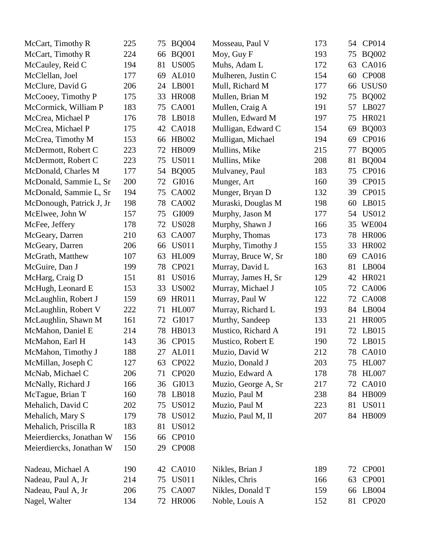| McCart, Timothy R        | 225 | 75 | <b>BQ004</b> | Mosseau, Paul V     | 173 | 54 | CP014             |
|--------------------------|-----|----|--------------|---------------------|-----|----|-------------------|
| McCart, Timothy R        | 224 | 66 | <b>BQ001</b> | Moy, Guy F          | 193 | 75 | <b>BQ002</b>      |
| McCauley, Reid C         | 194 | 81 | <b>US005</b> | Muhs, Adam L        | 172 | 63 | CA016             |
| McClellan, Joel          | 177 | 69 | AL010        | Mulheren, Justin C  | 154 | 60 | <b>CP008</b>      |
| McClure, David G         | 206 | 24 | LB001        | Mull, Richard M     | 177 | 66 | USUS <sub>0</sub> |
| McCooey, Timothy P       | 175 | 33 | <b>HR008</b> | Mullen, Brian M     | 192 | 75 | <b>BQ002</b>      |
| McCormick, William P     | 183 | 75 | <b>CA001</b> | Mullen, Craig A     | 191 | 57 | LB027             |
| McCrea, Michael P        | 176 | 78 | LB018        | Mullen, Edward M    | 197 | 75 | HR021             |
| McCrea, Michael P        | 175 | 42 | <b>CA018</b> | Mulligan, Edward C  | 154 | 69 | <b>BQ003</b>      |
| McCrea, Timothy M        | 153 | 66 | <b>HB002</b> | Mulligan, Michael   | 194 | 69 | CP016             |
| McDermott, Robert C      | 223 | 72 | <b>HB009</b> | Mullins, Mike       | 215 | 77 | <b>BQ005</b>      |
| McDermott, Robert C      | 223 | 75 | <b>US011</b> | Mullins, Mike       | 208 | 81 | <b>BQ004</b>      |
| McDonald, Charles M      | 177 | 54 | <b>BQ005</b> | Mulvaney, Paul      | 183 | 75 | CP016             |
| McDonald, Sammie L, Sr   | 200 | 72 | GI016        | Munger, Art         | 160 | 39 | CP015             |
| McDonald, Sammie L, Sr   | 194 | 75 | CA002        | Munger, Bryan D     | 132 | 39 | CP015             |
| McDonough, Patrick J, Jr | 198 | 78 | <b>CA002</b> | Muraski, Douglas M  | 198 | 60 | LB015             |
| McElwee, John W          | 157 | 75 | GI009        | Murphy, Jason M     | 177 | 54 | <b>US012</b>      |
| McFee, Jeffery           | 178 | 72 | <b>US028</b> | Murphy, Shawn J     | 166 | 35 | <b>WE004</b>      |
| McGeary, Darren          | 210 | 63 | <b>CA007</b> | Murphy, Thomas      | 173 | 78 | <b>HR006</b>      |
| McGeary, Darren          | 206 | 66 | <b>US011</b> | Murphy, Timothy J   | 155 | 33 | <b>HR002</b>      |
| McGrath, Matthew         | 107 | 63 | <b>HL009</b> | Murray, Bruce W, Sr | 180 | 69 | CA016             |
| McGuire, Dan J           | 199 | 78 | CP021        | Murray, David L     | 163 | 81 | LB004             |
| McHarg, Craig D          | 151 | 81 | <b>US016</b> | Murray, James H, Sr | 129 | 42 | HR021             |
| McHugh, Leonard E        | 153 | 33 | <b>US002</b> | Murray, Michael J   | 105 | 72 | CA006             |
| McLaughlin, Robert J     | 159 | 69 | <b>HR011</b> | Murray, Paul W      | 122 | 72 | <b>CA008</b>      |
| McLaughlin, Robert V     | 222 | 71 | <b>HL007</b> | Murray, Richard L   | 193 | 84 | LB004             |
| McLaughlin, Shawn M      | 161 | 72 | GI017        | Murthy, Sandeep     | 133 | 21 | <b>HR005</b>      |
| McMahon, Daniel E        | 214 | 78 | HB013        | Mustico, Richard A  | 191 | 72 | LB015             |
| McMahon, Earl H          | 143 | 36 | CP015        | Mustico, Robert E   | 190 | 72 | LB015             |
| McMahon, Timothy J       | 188 |    | 27 AL011     | Muzio, David W      | 212 |    | 78 CA010          |
| McMillan, Joseph C       | 127 | 63 | <b>CP022</b> | Muzio, Donald J     | 203 | 75 | <b>HL007</b>      |
| McNab, Michael C         | 206 | 71 | <b>CP020</b> | Muzio, Edward A     | 178 | 78 | <b>HL007</b>      |
| McNally, Richard J       | 166 | 36 | GI013        | Muzio, George A, Sr | 217 | 72 | <b>CA010</b>      |
| McTague, Brian T         | 160 | 78 | LB018        | Muzio, Paul M       | 238 | 84 | <b>HB009</b>      |
| Mehalich, David C        | 202 | 75 | <b>US012</b> | Muzio, Paul M       | 223 | 81 | <b>US011</b>      |
| Mehalich, Mary S         | 179 | 78 | <b>US012</b> | Muzio, Paul M, II   | 207 |    | 84 HB009          |
| Mehalich, Priscilla R    | 183 | 81 | <b>US012</b> |                     |     |    |                   |
| Meierdiercks, Jonathan W | 156 | 66 | <b>CP010</b> |                     |     |    |                   |
| Meierdiercks, Jonathan W | 150 | 29 | <b>CP008</b> |                     |     |    |                   |
| Nadeau, Michael A        | 190 | 42 | <b>CA010</b> | Nikles, Brian J     | 189 | 72 | CP001             |
| Nadeau, Paul A, Jr       | 214 | 75 | <b>US011</b> | Nikles, Chris       | 166 | 63 | <b>CP001</b>      |
| Nadeau, Paul A, Jr       | 206 | 75 | <b>CA007</b> | Nikles, Donald T    | 159 | 66 | LB004             |
| Nagel, Walter            | 134 |    | 72 HR006     | Noble, Louis A      | 152 | 81 | <b>CP020</b>      |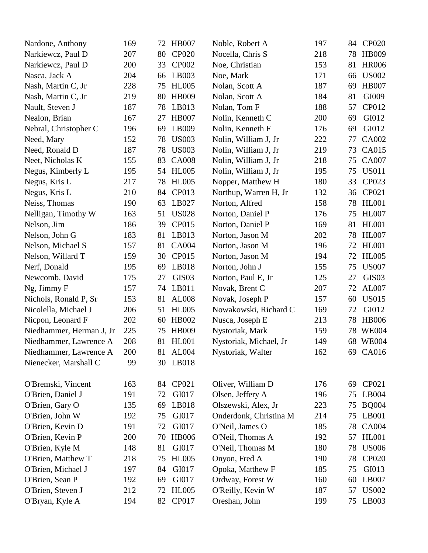| Nardone, Anthony         | 169 | 72 | <b>HB007</b>      | Noble, Robert A        | 197 | 84 | <b>CP020</b> |
|--------------------------|-----|----|-------------------|------------------------|-----|----|--------------|
| Narkiewcz, Paul D        | 207 | 80 | <b>CP020</b>      | Nocella, Chris S       | 218 | 78 | HB009        |
| Narkiewcz, Paul D        | 200 | 33 | CP002             | Noe, Christian         | 153 | 81 | <b>HR006</b> |
| Nasca, Jack A            | 204 | 66 | LB003             | Noe, Mark              | 171 | 66 | <b>US002</b> |
| Nash, Martin C, Jr       | 228 | 75 | <b>HL005</b>      | Nolan, Scott A         | 187 | 69 | <b>HB007</b> |
| Nash, Martin C, Jr       | 219 | 80 | <b>HB009</b>      | Nolan, Scott A         | 184 | 81 | GI009        |
| Nault, Steven J          | 187 | 78 | LB013             | Nolan, Tom F           | 188 | 57 | CP012        |
| Nealon, Brian            | 167 | 27 | <b>HB007</b>      | Nolin, Kenneth C       | 200 | 69 | GI012        |
| Nebral, Christopher C    | 196 | 69 | LB009             | Nolin, Kenneth F       | 176 | 69 | GI012        |
| Need, Mary               | 152 | 78 | <b>US003</b>      | Nolin, William J, Jr   | 222 | 77 | CA002        |
| Need, Ronald D           | 187 | 78 | <b>US003</b>      | Nolin, William J, Jr   | 219 | 73 | CA015        |
| Neet, Nicholas K         | 155 | 83 | <b>CA008</b>      | Nolin, William J, Jr   | 218 | 75 | <b>CA007</b> |
| Negus, Kimberly L        | 195 | 54 | <b>HL005</b>      | Nolin, William J, Jr   | 195 | 75 | <b>US011</b> |
| Negus, Kris L            | 217 | 78 | <b>HL005</b>      | Nopper, Matthew H      | 180 | 33 | CP023        |
| Negus, Kris L            | 210 | 84 | CP013             | Northup, Warren H, Jr  | 132 | 36 | CP021        |
| Neiss, Thomas            | 190 | 63 | LB027             | Norton, Alfred         | 158 | 78 | <b>HL001</b> |
| Nelligan, Timothy W      | 163 | 51 | <b>US028</b>      | Norton, Daniel P       | 176 | 75 | <b>HL007</b> |
| Nelson, Jim              | 186 | 39 | CP015             | Norton, Daniel P       | 169 | 81 | <b>HL001</b> |
| Nelson, John G           | 183 | 81 | LB013             | Norton, Jason M        | 202 | 78 | <b>HL007</b> |
| Nelson, Michael S        | 157 | 81 | <b>CA004</b>      | Norton, Jason M        | 196 | 72 | <b>HL001</b> |
| Nelson, Willard T        | 159 | 30 | CP015             | Norton, Jason M        | 194 | 72 | <b>HL005</b> |
| Nerf, Donald             | 195 | 69 | LB018             | Norton, John J         | 155 | 75 | <b>US007</b> |
| Newcomb, David           | 175 | 27 | GIS <sub>03</sub> | Norton, Paul E, Jr     | 125 | 27 | GIS03        |
| Ng, Jimmy F              | 157 | 74 | LB011             | Novak, Brent C         | 207 | 72 | AL007        |
| Nichols, Ronald P, Sr    | 153 | 81 | <b>AL008</b>      | Novak, Joseph P        | 157 | 60 | <b>US015</b> |
| Nicolella, Michael J     | 206 | 51 | <b>HL005</b>      | Nowakowski, Richard C  | 169 | 72 | GI012        |
| Nicpon, Leonard F        | 202 | 60 | <b>HB002</b>      | Nusca, Joseph E        | 213 | 78 | <b>HB006</b> |
| Niedhammer, Herman J, Jr | 225 | 75 | <b>HB009</b>      | Nystoriak, Mark        | 159 | 78 | <b>WE004</b> |
| Niedhammer, Lawrence A   | 208 | 81 | <b>HL001</b>      | Nystoriak, Michael, Jr | 149 |    | 68 WE004     |
| Niedhammer, Lawrence A   | 200 | 81 | <b>AL004</b>      | Nystoriak, Walter      | 162 |    | 69 CA016     |
| Nienecker, Marshall C    | 99  | 30 | LB018             |                        |     |    |              |
| O'Bremski, Vincent       | 163 | 84 | CP021             | Oliver, William D      | 176 | 69 | CP021        |
| O'Brien, Daniel J        | 191 | 72 | GI017             | Olsen, Jeffery A       | 196 | 75 | LB004        |
| O'Brien, Gary O          | 135 | 69 | LB018             | Olszewski, Alex, Jr    | 223 | 75 | <b>BQ004</b> |
| O'Brien, John W          | 192 | 75 | GI017             | Onderdonk, Christina M | 214 | 75 | LB001        |
| O'Brien, Kevin D         | 191 | 72 | GI017             | O'Neil, James O        | 185 | 78 | <b>CA004</b> |
| O'Brien, Kevin P         | 200 | 70 | <b>HB006</b>      | O'Neil, Thomas A       | 192 | 57 | <b>HL001</b> |
| O'Brien, Kyle M          | 148 | 81 | GI017             | O'Neil, Thomas M       | 180 | 78 | <b>US006</b> |
| O'Brien, Matthew T       | 218 | 75 | <b>HL005</b>      | Onyon, Fred A          | 190 | 78 | <b>CP020</b> |
| O'Brien, Michael J       | 197 | 84 | GI017             | Opoka, Matthew F       | 185 | 75 | GI013        |
| O'Brien, Sean P          | 192 | 69 | GI017             | Ordway, Forest W       | 160 | 60 | LB007        |
| O'Brien, Steven J        | 212 | 72 | <b>HL005</b>      | O'Reilly, Kevin W      | 187 | 57 | <b>US002</b> |
| O'Bryan, Kyle A          | 194 | 82 | CP017             | Oreshan, John          | 199 | 75 | LB003        |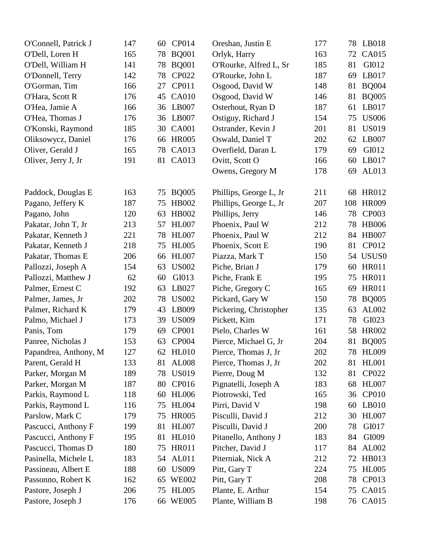| O'Connell, Patrick J  | 147 | CP014<br>60        | Oreshan, Justin E      | 177 |     | 78 LB018     |
|-----------------------|-----|--------------------|------------------------|-----|-----|--------------|
| O'Dell, Loren H       | 165 | <b>BQ001</b><br>78 | Orlyk, Harry           | 163 | 72  | CA015        |
| O'Dell, William H     | 141 | <b>BQ001</b><br>78 | O'Rourke, Alfred L, Sr | 185 | 81  | GI012        |
| O'Donnell, Terry      | 142 | CP022<br>78        | O'Rourke, John L       | 187 | 69  | LB017        |
| O'Gorman, Tim         | 166 | CP011<br>27        | Osgood, David W        | 148 | 81  | <b>BQ004</b> |
| O'Hara, Scott R       | 176 | <b>CA010</b><br>45 | Osgood, David W        | 146 | 81  | <b>BQ005</b> |
| O'Hea, Jamie A        | 166 | LB007<br>36        | Osterhout, Ryan D      | 187 | 61  | LB017        |
| O'Hea, Thomas J       | 176 | LB007<br>36        | Ostiguy, Richard J     | 154 | 75  | <b>US006</b> |
| O'Konski, Raymond     | 185 | <b>CA001</b><br>30 | Ostrander, Kevin J     | 201 | 81  | <b>US019</b> |
| Oliksowycz, Daniel    | 176 | <b>HR005</b><br>66 | Oswald, Daniel T       | 202 | 62  | LB007        |
| Oliver, Gerald J      | 165 | CA013<br>78        | Overfield, Daran L     | 179 | 69  | GI012        |
| Oliver, Jerry J, Jr   | 191 | 81 CA013           | Ovitt, Scott O         | 166 | 60  | LB017        |
|                       |     |                    | Owens, Gregory M       | 178 | 69  | AL013        |
| Paddock, Douglas E    | 163 | <b>BQ005</b><br>75 | Phillips, George L, Jr | 211 | 68  | <b>HR012</b> |
| Pagano, Jeffery K     | 187 | HB002<br>75        | Phillips, George L, Jr | 207 | 108 | <b>HR009</b> |
| Pagano, John          | 120 | <b>HB002</b><br>63 | Phillips, Jerry        | 146 | 78  | CP003        |
| Pakatar, John T, Jr   | 213 | <b>HL007</b><br>57 | Phoenix, Paul W        | 212 | 78  | <b>HB006</b> |
| Pakatar, Kenneth J    | 221 | <b>HL007</b><br>78 | Phoenix, Paul W        | 212 |     | 84 HB007     |
| Pakatar, Kenneth J    | 218 | <b>HL005</b><br>75 | Phoenix, Scott E       | 190 | 81  | CP012        |
| Pakatar, Thomas E     | 206 | <b>HL007</b><br>66 | Piazza, Mark T         | 150 |     | 54 USUS0     |
| Pallozzi, Joseph A    | 154 | <b>US002</b><br>63 | Piche, Brian J         | 179 | 60  | <b>HR011</b> |
| Pallozzi, Matthew J   | 62  | GI013<br>60        | Piche, Frank E         | 195 | 75  | <b>HR011</b> |
| Palmer, Ernest C      | 192 | LB027<br>63        | Piche, Gregory C       | 165 | 69  | <b>HR011</b> |
| Palmer, James, Jr.    | 202 | 78<br><b>US002</b> | Pickard, Gary W        | 150 | 78  | <b>BQ005</b> |
| Palmer, Richard K     | 179 | LB009<br>43        | Pickering, Christopher | 135 | 63  | AL002        |
| Palmo, Michael J      | 173 | <b>US009</b><br>39 | Pickett, Kim           | 171 | 78  | GI023        |
| Panis, Tom            | 179 | <b>CP001</b><br>69 | Pielo, Charles W       | 161 | 58  | <b>HR002</b> |
| Panree, Nicholas J    | 153 | 63<br><b>CP004</b> | Pierce, Michael G, Jr  | 204 | 81  | <b>BQ005</b> |
| Papandrea, Anthony, M | 127 | 62 HL010           | Pierce, Thomas J, Jr   | 202 |     | 78 HL009     |
| Parent, Gerald H      | 133 | 81<br><b>AL008</b> | Pierce, Thomas J, Jr   | 202 | 81  | <b>HL001</b> |
| Parker, Morgan M      | 189 | <b>US019</b><br>78 | Pierre, Doug M         | 132 | 81  | CP022        |
| Parker, Morgan M      | 187 | 80<br>CP016        | Pignatelli, Joseph A   | 183 | 68  | <b>HL007</b> |
| Parkis, Raymond L     | 118 | <b>HL006</b><br>60 | Piotrowski, Ted        | 165 | 36  | <b>CP010</b> |
| Parkis, Raymond L     | 116 | <b>HL004</b><br>75 | Pirri, David V         | 198 | 60  | LB010        |
| Parslow, Mark C       | 179 | <b>HR005</b><br>75 | Pisculli, David J      | 212 | 30  | <b>HL007</b> |
| Pascucci, Anthony F   | 199 | <b>HL007</b><br>81 | Pisculli, David J      | 200 | 78  | GI017        |
| Pascucci, Anthony F   | 195 | <b>HL010</b><br>81 | Pitanello, Anthony J   | 183 | 84  | GI009        |
| Pascucci, Thomas D    | 180 | <b>HR011</b><br>75 | Pitcher, David J       | 117 | 84  | AL002        |
| Pasinella, Michele L  | 183 | <b>AL011</b><br>54 | Piterniak, Nick A      | 212 | 72  | HB013        |
| Passineau, Albert E   | 188 | <b>US009</b><br>60 | Pitt, Gary T           | 224 | 75  | <b>HL005</b> |
| Passonno, Robert K    | 162 | <b>WE002</b><br>65 | Pitt, Gary T           | 208 | 78  | CP013        |
| Pastore, Joseph J     | 206 | <b>HL005</b><br>75 | Plante, E. Arthur      | 154 | 75  | CA015        |
| Pastore, Joseph J     | 176 | 66 WE005           | Plante, William B      | 198 |     | 76 CA015     |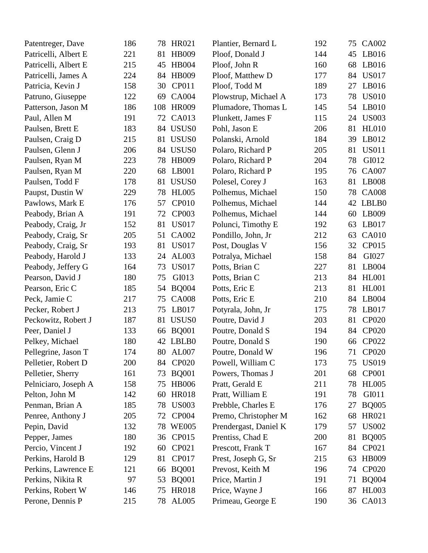| Patentreger, Dave    | 186 | 78  | HR021             | Plantier, Bernard L   | 192 | 75 | CA002        |
|----------------------|-----|-----|-------------------|-----------------------|-----|----|--------------|
| Patricelli, Albert E | 221 | 81  | <b>HB009</b>      | Ploof, Donald J       | 144 | 45 | LB016        |
| Patricelli, Albert E | 215 | 45  | <b>HB004</b>      | Ploof, John R         | 160 | 68 | LB016        |
| Patricelli, James A  | 224 | 84  | <b>HB009</b>      | Ploof, Matthew D      | 177 | 84 | <b>US017</b> |
| Patricia, Kevin J    | 158 | 30  | CP011             | Ploof, Todd M         | 189 | 27 | LB016        |
| Patruno, Giuseppe    | 122 | 69  | <b>CA004</b>      | Plowstrup, Michael A  | 173 | 78 | <b>US010</b> |
| Patterson, Jason M   | 186 | 108 | <b>HR009</b>      | Plumadore, Thomas L   | 145 | 54 | LB010        |
| Paul, Allen M        | 191 | 72  | CA013             | Plunkett, James F     | 115 | 24 | <b>US003</b> |
| Paulsen, Brett E     | 183 |     | 84 USUS0          | Pohl, Jason E         | 206 | 81 | <b>HL010</b> |
| Paulsen, Craig D     | 215 | 81  | USUS <sub>0</sub> | Polanski, Arnold      | 184 | 39 | LB012        |
| Paulsen, Glenn J     | 206 | 84  | USUS <sub>0</sub> | Polaro, Richard P     | 205 | 81 | <b>US011</b> |
| Paulsen, Ryan M      | 223 | 78  | <b>HB009</b>      | Polaro, Richard P     | 204 | 78 | GI012        |
| Paulsen, Ryan M      | 220 | 68  | LB001             | Polaro, Richard P     | 195 | 76 | <b>CA007</b> |
| Paulsen, Todd F      | 178 | 81  | USUS <sub>0</sub> | Polesel, Corey J      | 163 | 81 | LB008        |
| Paupst, Dustin W     | 229 | 78  | <b>HL005</b>      | Polhemus, Michael     | 150 | 78 | <b>CA008</b> |
| Pawlows, Mark E      | 176 | 57  | <b>CP010</b>      | Polhemus, Michael     | 144 | 42 | LBLB0        |
| Peabody, Brian A     | 191 | 72  | CP003             | Polhemus, Michael     | 144 | 60 | LB009        |
| Peabody, Craig, Jr   | 152 | 81  | <b>US017</b>      | Polunci, Timothy E    | 192 | 63 | LB017        |
| Peabody, Craig, Sr   | 205 | 51  | <b>CA002</b>      | Pondillo, John, Jr    | 212 | 63 | <b>CA010</b> |
| Peabody, Craig, Sr   | 193 | 81  | <b>US017</b>      | Post, Douglas V       | 156 | 32 | CP015        |
| Peabody, Harold J    | 133 | 24  | AL003             | Potralya, Michael     | 158 | 84 | GI027        |
| Peabody, Jeffery G   | 164 | 73  | <b>US017</b>      | Potts, Brian C        | 227 | 81 | LB004        |
| Pearson, David J     | 180 | 75  | GI013             | Potts, Brian C        | 213 | 84 | <b>HL001</b> |
| Pearson, Eric C      | 185 | 54  | <b>BQ004</b>      | Potts, Eric E         | 213 | 81 | <b>HL001</b> |
| Peck, Jamie C        | 217 | 75  | <b>CA008</b>      | Potts, Eric E         | 210 | 84 | LB004        |
| Pecker, Robert J     | 213 | 75  | LB017             | Potyrala, John, Jr    | 175 | 78 | LB017        |
| Peckowitz, Robert J  | 187 | 81  | USUS <sub>0</sub> | Poutre, David J       | 203 | 81 | <b>CP020</b> |
| Peer, Daniel J       | 133 | 66  | <b>BQ001</b>      | Poutre, Donald S      | 194 | 84 | <b>CP020</b> |
| Pelkey, Michael      | 180 |     | 42 LBLB0          | Poutre, Donald S      | 190 | 66 | CP022        |
| Pellegrine, Jason T  | 174 |     | 80 AL007          | Poutre, Donald W      | 196 |    | 71 CP020     |
| Pelletier, Robert D  | 200 | 84  | <b>CP020</b>      | Powell, William C     | 173 | 75 | <b>US019</b> |
| Pelletier, Sherry    | 161 | 73  | <b>BQ001</b>      | Powers, Thomas J      | 201 | 68 | <b>CP001</b> |
| Pelniciaro, Joseph A | 158 | 75  | <b>HB006</b>      | Pratt, Gerald E       | 211 | 78 | <b>HL005</b> |
| Pelton, John M       | 142 | 60  | <b>HR018</b>      | Pratt, William E      | 191 | 78 | GI011        |
| Penman, Brian A      | 185 | 78  | <b>US003</b>      | Prebble, Charles E    | 176 | 27 | <b>BQ005</b> |
| Penree, Anthony J    | 205 | 72  | CP004             | Premo, Christopher M  | 162 | 68 | HR021        |
| Pepin, David         | 132 | 78  | <b>WE005</b>      | Prendergast, Daniel K | 179 | 57 | <b>US002</b> |
| Pepper, James        | 180 | 36  | CP015             | Prentiss, Chad E      | 200 | 81 | <b>BQ005</b> |
| Percio, Vincent J    | 192 | 60  | CP021             | Prescott, Frank T     | 167 | 84 | CP021        |
| Perkins, Harold B    | 129 | 81  | CP017             | Prest, Joseph G, Sr   | 215 | 63 | <b>HB009</b> |
| Perkins, Lawrence E  | 121 | 66  | <b>BQ001</b>      | Prevost, Keith M      | 196 | 74 | <b>CP020</b> |
| Perkins, Nikita R    | 97  | 53  | <b>BQ001</b>      | Price, Martin J       | 191 | 71 | <b>BQ004</b> |
| Perkins, Robert W    | 146 | 75  | <b>HR018</b>      | Price, Wayne J        | 166 | 87 | <b>HL003</b> |
| Perone, Dennis P     | 215 |     | 78 AL005          | Primeau, George E     | 190 |    | 36 CA013     |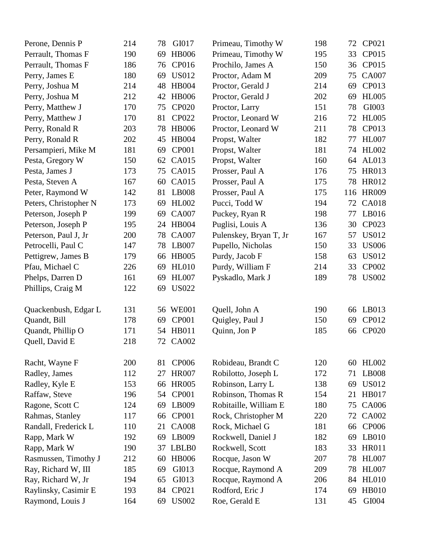| Perone, Dennis P      | 214 | GI017<br>78        | Primeau, Timothy W     | 198 | 72  | CP021        |
|-----------------------|-----|--------------------|------------------------|-----|-----|--------------|
| Perrault, Thomas F    | 190 | <b>HB006</b><br>69 | Primeau, Timothy W     | 195 | 33  | CP015        |
| Perrault, Thomas F    | 186 | CP016<br>76        | Prochilo, James A      | 150 | 36  | CP015        |
| Perry, James E        | 180 | <b>US012</b><br>69 | Proctor, Adam M        | 209 | 75  | <b>CA007</b> |
| Perry, Joshua M       | 214 | <b>HB004</b><br>48 | Proctor, Gerald J      | 214 | 69  | CP013        |
| Perry, Joshua M       | 212 | <b>HB006</b><br>42 | Proctor, Gerald J      | 202 | 69  | <b>HL005</b> |
| Perry, Matthew J      | 170 | <b>CP020</b><br>75 | Proctor, Larry         | 151 | 78  | GI003        |
| Perry, Matthew J      | 170 | <b>CP022</b><br>81 | Proctor, Leonard W     | 216 | 72  | <b>HL005</b> |
| Perry, Ronald R       | 203 | <b>HB006</b><br>78 | Proctor, Leonard W     | 211 | 78  | CP013        |
| Perry, Ronald R       | 202 | <b>HB004</b><br>45 | Propst, Walter         | 182 | 77  | <b>HL007</b> |
| Persampieri, Mike M   | 181 | <b>CP001</b><br>69 | Propst, Walter         | 181 | 74  | <b>HL002</b> |
| Pesta, Gregory W      | 150 | <b>CA015</b><br>62 | Propst, Walter         | 160 | 64  | AL013        |
| Pesta, James J        | 173 | <b>CA015</b><br>75 | Prosser, Paul A        | 176 | 75  | HR013        |
| Pesta, Steven A       | 167 | <b>CA015</b><br>60 | Prosser, Paul A        | 175 | 78  | HR012        |
| Peter, Raymond W      | 142 | <b>LB008</b><br>81 | Prosser, Paul A        | 175 | 116 | <b>HR009</b> |
| Peters, Christopher N | 173 | <b>HL002</b><br>69 | Pucci, Todd W          | 194 | 72  | <b>CA018</b> |
| Peterson, Joseph P    | 199 | <b>CA007</b><br>69 | Puckey, Ryan R         | 198 | 77  | LB016        |
| Peterson, Joseph P    | 195 | <b>HB004</b><br>24 | Puglisi, Louis A       | 136 | 30  | CP023        |
| Peterson, Paul J, Jr  | 200 | <b>CA007</b><br>78 | Pulenskey, Bryan T, Jr | 167 | 57  | <b>US012</b> |
| Petrocelli, Paul C    | 147 | LB007<br>78        | Pupello, Nicholas      | 150 | 33  | <b>US006</b> |
| Pettigrew, James B    | 179 | <b>HB005</b><br>66 | Purdy, Jacob F         | 158 | 63  | <b>US012</b> |
| Pfau, Michael C       | 226 | <b>HL010</b><br>69 | Purdy, William F       | 214 | 33  | CP002        |
| Phelps, Darren D      | 161 | <b>HL007</b><br>69 | Pyskadlo, Mark J       | 189 | 78  | <b>US002</b> |
| Phillips, Craig M     | 122 | <b>US022</b><br>69 |                        |     |     |              |
| Quackenbush, Edgar L  | 131 | <b>WE001</b><br>56 | Quell, John A          | 190 | 66  | LB013        |
| Quandt, Bill          | 178 | <b>CP001</b><br>69 | Quigley, Paul J        | 150 | 69  | CP012        |
| Quandt, Phillip O     | 171 | HB011<br>54        | Quinn, Jon P           | 185 | 66  | <b>CP020</b> |
| Quell, David E        | 218 | <b>CA002</b><br>72 |                        |     |     |              |
| Racht, Wayne F        | 200 | <b>CP006</b><br>81 | Robideau, Brandt C     | 120 | 60  | <b>HL002</b> |
| Radley, James         | 112 | <b>HR007</b><br>27 | Robilotto, Joseph L    | 172 | 71  | <b>LB008</b> |
| Radley, Kyle E        | 153 | <b>HR005</b><br>66 | Robinson, Larry L      | 138 | 69  | <b>US012</b> |
| Raffaw, Steve         | 196 | <b>CP001</b><br>54 | Robinson, Thomas R     | 154 | 21  | <b>HB017</b> |
| Ragone, Scott C       | 124 | 69<br>LB009        | Robitaille, William E  | 180 | 75  | <b>CA006</b> |
| Rahmas, Stanley       | 117 | <b>CP001</b><br>66 | Rock, Christopher M    | 220 | 72  | <b>CA002</b> |
| Randall, Frederick L  | 110 | <b>CA008</b><br>21 | Rock, Michael G        | 181 | 66  | <b>CP006</b> |
| Rapp, Mark W          | 192 | LB009<br>69        | Rockwell, Daniel J     | 182 | 69  | LB010        |
| Rapp, Mark W          | 190 | LBLB0<br>37        | Rockwell, Scott        | 183 | 33  | <b>HR011</b> |
| Rasmussen, Timothy J  | 212 | <b>HB006</b><br>60 | Rocque, Jason W        | 207 | 78  | <b>HL007</b> |
| Ray, Richard W, III   | 185 | GI013<br>69        | Rocque, Raymond A      | 209 | 78  | <b>HL007</b> |
| Ray, Richard W, Jr    | 194 | GI013<br>65        | Rocque, Raymond A      | 206 | 84  | <b>HL010</b> |
| Raylinsky, Casimir E  | 193 | CP021<br>84        | Rodford, Eric J        | 174 | 69  | <b>HB010</b> |
| Raymond, Louis J      | 164 | <b>US002</b><br>69 | Roe, Gerald E          | 131 | 45  | GI004        |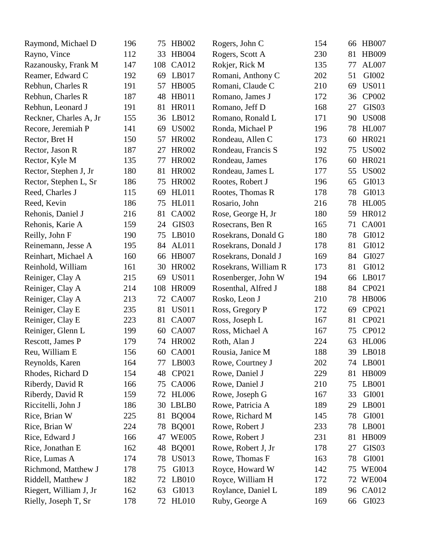| Raymond, Michael D     | 196 | 75  | HB002             | Rogers, John C       | 154 | 66 | <b>HB007</b>      |
|------------------------|-----|-----|-------------------|----------------------|-----|----|-------------------|
| Rayno, Vince           | 112 | 33  | <b>HB004</b>      | Rogers, Scott A      | 230 | 81 | HB009             |
| Razanousky, Frank M    | 147 | 108 | CA012             | Rokjer, Rick M       | 135 | 77 | AL007             |
| Reamer, Edward C       | 192 | 69  | LB017             | Romani, Anthony C    | 202 | 51 | GI002             |
| Rebhun, Charles R      | 191 | 57  | <b>HB005</b>      | Romani, Claude C     | 210 | 69 | <b>US011</b>      |
| Rebhun, Charles R      | 187 | 48  | <b>HB011</b>      | Romano, James J      | 172 | 36 | <b>CP002</b>      |
| Rebhun, Leonard J      | 191 | 81  | <b>HR011</b>      | Romano, Jeff D       | 168 | 27 | GIS03             |
| Reckner, Charles A, Jr | 155 | 36  | LB012             | Romano, Ronald L     | 171 | 90 | <b>US008</b>      |
| Recore, Jeremiah P     | 141 | 69  | <b>US002</b>      | Ronda, Michael P     | 196 | 78 | <b>HL007</b>      |
| Rector, Bret H         | 150 | 57  | <b>HR002</b>      | Rondeau, Allen C     | 173 | 60 | HR021             |
| Rector, Jason R        | 187 | 27  | <b>HR002</b>      | Rondeau, Francis S   | 192 | 75 | <b>US002</b>      |
| Rector, Kyle M         | 135 | 77  | <b>HR002</b>      | Rondeau, James       | 176 | 60 | HR021             |
| Rector, Stephen J, Jr  | 180 | 81  | <b>HR002</b>      | Rondeau, James L     | 177 | 55 | <b>US002</b>      |
| Rector, Stephen L, Sr  | 186 | 75  | <b>HR002</b>      | Rootes, Robert J     | 196 | 65 | GI013             |
| Reed, Charles J        | 115 | 69  | <b>HL011</b>      | Rootes, Thomas R     | 178 | 78 | GI013             |
| Reed, Kevin            | 186 | 75  | <b>HL011</b>      | Rosario, John        | 216 | 78 | <b>HL005</b>      |
| Rehonis, Daniel J      | 216 | 81  | <b>CA002</b>      | Rose, George H, Jr   | 180 | 59 | HR012             |
| Rehonis, Karie A       | 159 | 24  | GIS <sub>03</sub> | Rosecrans, Ben R     | 165 | 71 | <b>CA001</b>      |
| Reilly, John F         | 190 | 75  | LB010             | Rosekrans, Donald G  | 180 | 78 | GI012             |
| Reinemann, Jesse A     | 195 | 84  | AL011             | Rosekrans, Donald J  | 178 | 81 | GI012             |
| Reinhart, Michael A    | 160 | 66  | <b>HB007</b>      | Rosekrans, Donald J  | 169 | 84 | GI027             |
| Reinhold, William      | 161 | 30  | <b>HR002</b>      | Rosekrans, William R | 173 | 81 | GI012             |
| Reiniger, Clay A       | 215 | 69  | <b>US011</b>      | Rosenberger, John W  | 194 | 66 | LB017             |
| Reiniger, Clay A       | 214 | 108 | <b>HR009</b>      | Rosenthal, Alfred J  | 188 | 84 | CP021             |
| Reiniger, Clay A       | 213 | 72  | <b>CA007</b>      | Rosko, Leon J        | 210 | 78 | <b>HB006</b>      |
| Reiniger, Clay E       | 235 | 81  | <b>US011</b>      | Ross, Gregory P      | 172 | 69 | CP021             |
| Reiniger, Clay E       | 223 | 81  | <b>CA007</b>      | Ross, Joseph L       | 167 | 81 | CP021             |
| Reiniger, Glenn L      | 199 | 60  | <b>CA007</b>      | Ross, Michael A      | 167 | 75 | CP012             |
| Rescott, James P       | 179 |     | 74 HR002          | Roth, Alan J         | 224 | 63 | <b>HL006</b>      |
| Reu, William E         | 156 |     | 60 CA001          | Rousia, Janice M     | 188 |    | 39 LB018          |
| Reynolds, Karen        | 164 | 77  | LB003             | Rowe, Courtney J     | 202 | 74 | LB001             |
| Rhodes, Richard D      | 154 | 48  | CP021             | Rowe, Daniel J       | 229 | 81 | HB009             |
| Riberdy, David R       | 166 | 75  | CA006             | Rowe, Daniel J       | 210 | 75 | LB001             |
| Riberdy, David R       | 159 | 72  | <b>HL006</b>      | Rowe, Joseph G       | 167 | 33 | GI001             |
| Riccitelli, John J     | 186 | 30  | LBLB0             | Rowe, Patricia A     | 189 | 29 | LB001             |
| Rice, Brian W          | 225 | 81  | <b>BQ004</b>      | Rowe, Richard M      | 145 | 78 | GI001             |
| Rice, Brian W          | 224 | 78  | <b>BQ001</b>      | Rowe, Robert J       | 233 | 78 | LB001             |
| Rice, Edward J         | 166 | 47  | <b>WE005</b>      | Rowe, Robert J       | 231 | 81 | <b>HB009</b>      |
| Rice, Jonathan E       | 162 | 48  | <b>BQ001</b>      | Rowe, Robert J, Jr   | 178 | 27 | GIS <sub>03</sub> |
| Rice, Lumas A          | 174 | 78  | <b>US013</b>      | Rowe, Thomas F       | 163 | 78 | GI001             |
| Richmond, Matthew J    | 178 | 75  | GI013             | Royce, Howard W      | 142 | 75 | <b>WE004</b>      |
| Riddell, Matthew J     | 182 | 72  | LB010             | Royce, William H     | 172 | 72 | <b>WE004</b>      |
| Riegert, William J, Jr | 162 | 63  | GI013             | Roylance, Daniel L   | 189 | 96 | CA012             |
| Rielly, Joseph T, Sr   | 178 |     | 72 HL010          | Ruby, George A       | 169 | 66 | GI023             |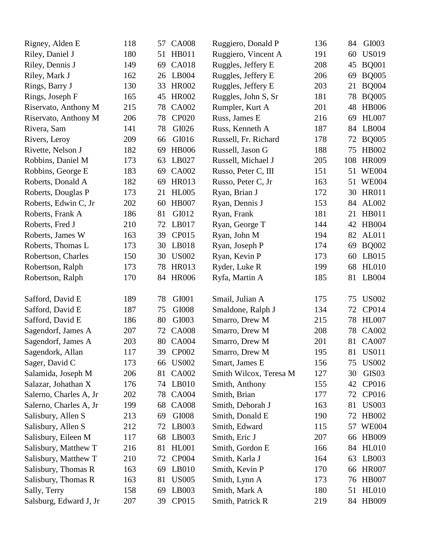| Rigney, Alden E        | 118 | 57 | <b>CA008</b> | Ruggiero, Donald P     | 136 | 84  | GI003             |
|------------------------|-----|----|--------------|------------------------|-----|-----|-------------------|
| Riley, Daniel J        | 180 | 51 | HB011        | Ruggiero, Vincent A    | 191 | 60  | <b>US019</b>      |
| Riley, Dennis J        | 149 | 69 | <b>CA018</b> | Ruggles, Jeffery E     | 208 | 45  | <b>BQ001</b>      |
| Riley, Mark J          | 162 | 26 | LB004        | Ruggles, Jeffery E     | 206 | 69  | <b>BQ005</b>      |
| Rings, Barry J         | 130 | 33 | <b>HR002</b> | Ruggles, Jeffery E     | 203 | 21  | <b>BQ004</b>      |
| Rings, Joseph F        | 165 | 45 | <b>HR002</b> | Ruggles, John S, Sr    | 181 | 78  | <b>BQ005</b>      |
| Riservato, Anthony M   | 215 | 78 | <b>CA002</b> | Rumpler, Kurt A        | 201 | 48  | <b>HB006</b>      |
| Riservato, Anthony M   | 206 | 78 | <b>CP020</b> | Russ, James E          | 216 | 69  | <b>HL007</b>      |
| Rivera, Sam            | 141 | 78 | GI026        | Russ, Kenneth A        | 187 | 84  | LB004             |
| Rivers, Leroy          | 209 | 66 | GI016        | Russell, Fr. Richard   | 178 | 72  | <b>BQ005</b>      |
| Rivette, Nelson J      | 182 | 69 | <b>HB006</b> | Russell, Jason G       | 188 | 75  | <b>HB002</b>      |
| Robbins, Daniel M      | 173 | 63 | LB027        | Russell, Michael J     | 205 | 108 | <b>HR009</b>      |
| Robbins, George E      | 183 | 69 | <b>CA002</b> | Russo, Peter C, III    | 151 | 51  | <b>WE004</b>      |
| Roberts, Donald A      | 182 | 69 | <b>HR013</b> | Russo, Peter C, Jr     | 163 |     | 51 WE004          |
| Roberts, Douglas P     | 173 | 21 | <b>HL005</b> | Ryan, Brian J          | 172 | 30  | <b>HR011</b>      |
| Roberts, Edwin C, Jr   | 202 | 60 | <b>HB007</b> | Ryan, Dennis J         | 153 | 84  | AL002             |
| Roberts, Frank A       | 186 | 81 | GI012        | Ryan, Frank            | 181 | 21  | <b>HB011</b>      |
| Roberts, Fred J        | 210 | 72 | LB017        | Ryan, George T         | 144 | 42  | <b>HB004</b>      |
| Roberts, James W       | 163 | 39 | CP015        | Ryan, John M           | 194 | 82  | <b>AL011</b>      |
| Roberts, Thomas L      | 173 | 30 | LB018        | Ryan, Joseph P         | 174 | 69  | <b>BQ002</b>      |
| Robertson, Charles     | 150 | 30 | <b>US002</b> | Ryan, Kevin P          | 173 | 60  | LB015             |
| Robertson, Ralph       | 173 | 78 | <b>HR013</b> | Ryder, Luke R          | 199 | 68  | <b>HL010</b>      |
| Robertson, Ralph       | 170 |    | 84 HR006     | Ryfa, Martin A         | 185 | 81  | LB004             |
|                        |     |    |              |                        |     |     |                   |
| Safford, David E       | 189 | 78 | GI001        | Smail, Julian A        | 175 | 75  | <b>US002</b>      |
| Safford, David E       | 187 | 75 | GI008        | Smaldone, Ralph J      | 134 | 72  | CP014             |
| Safford, David E       | 186 | 80 | GI003        | Smarro, Drew M         | 215 | 78  | <b>HL007</b>      |
| Sagendorf, James A     | 207 | 72 | <b>CA008</b> | Smarro, Drew M         | 208 | 78  | <b>CA002</b>      |
| Sagendorf, James A     | 203 | 80 | <b>CA004</b> | Smarro, Drew M         | 201 | 81  | <b>CA007</b>      |
| Sagendork, Allan       | 117 |    | 39 CP002     | Smarro, Drew M         | 195 |     | 81 US011          |
| Sager, David C         | 173 | 66 | <b>US002</b> | Smart, James E         | 156 | 75  | <b>US002</b>      |
| Salamida, Joseph M     | 206 | 81 | CA002        | Smith Wilcox, Teresa M | 127 | 30  | GIS <sub>03</sub> |
| Salazar, Johathan X    | 176 |    | 74 LB010     | Smith, Anthony         | 155 | 42  | CP016             |
| Salerno, Charles A, Jr | 202 | 78 | <b>CA004</b> | Smith, Brian           | 177 | 72  | CP016             |
| Salerno, Charles A, Jr | 199 | 68 | <b>CA008</b> | Smith, Deborah J       | 163 | 81  | <b>US003</b>      |
| Salisbury, Allen S     | 213 | 69 | GI008        | Smith, Donald E        | 190 | 72  | HB002             |
| Salisbury, Allen S     | 212 | 72 | LB003        | Smith, Edward          | 115 | 57  | <b>WE004</b>      |
| Salisbury, Eileen M    | 117 | 68 | LB003        | Smith, Eric J          | 207 | 66  | <b>HB009</b>      |
| Salisbury, Matthew T   | 216 | 81 | <b>HL001</b> | Smith, Gordon E        | 166 | 84  | HL010             |
| Salisbury, Matthew T   | 210 | 72 | <b>CP004</b> | Smith, Karla J         | 164 | 63  | LB003             |
| Salisbury, Thomas R    | 163 | 69 | LB010        | Smith, Kevin P         | 170 | 66  | <b>HR007</b>      |
| Salisbury, Thomas R    | 163 | 81 | <b>US005</b> | Smith, Lynn A          | 173 | 76  | <b>HB007</b>      |
| Sally, Terry           | 158 | 69 | LB003        | Smith, Mark A          | 180 | 51  | <b>HL010</b>      |
| Salsburg, Edward J, Jr | 207 | 39 | CP015        | Smith, Patrick R       | 219 |     | 84 HB009          |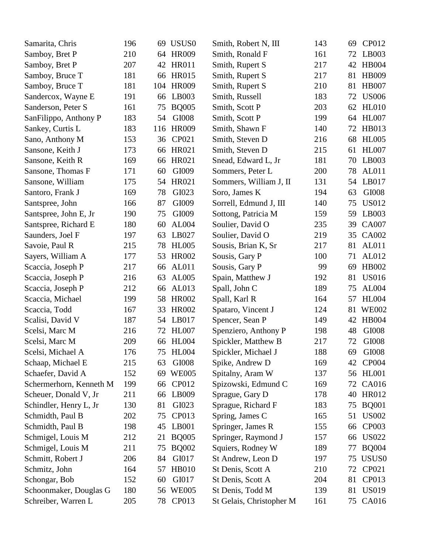| Samarita, Chris         | 196 | 69  | USUS <sub>0</sub> | Smith, Robert N, III     | 143 | 69 | CP012             |
|-------------------------|-----|-----|-------------------|--------------------------|-----|----|-------------------|
| Samboy, Bret P          | 210 | 64  | <b>HR009</b>      | Smith, Ronald F          | 161 | 72 | LB003             |
| Samboy, Bret P          | 207 | 42  | <b>HR011</b>      | Smith, Rupert S          | 217 | 42 | <b>HB004</b>      |
| Samboy, Bruce T         | 181 | 66  | <b>HR015</b>      | Smith, Rupert S          | 217 | 81 | <b>HB009</b>      |
| Samboy, Bruce T         | 181 | 104 | <b>HR009</b>      | Smith, Rupert S          | 210 | 81 | <b>HB007</b>      |
| Sandercox, Wayne E      | 191 | 66  | LB003             | Smith, Russell           | 183 | 72 | <b>US006</b>      |
| Sanderson, Peter S      | 161 | 75  | <b>BQ005</b>      | Smith, Scott P           | 203 | 62 | <b>HL010</b>      |
| SanFilippo, Anthony P   | 183 | 54  | GI008             | Smith, Scott P           | 199 | 64 | <b>HL007</b>      |
| Sankey, Curtis L        | 183 | 116 | <b>HR009</b>      | Smith, Shawn F           | 140 | 72 | HB013             |
| Sano, Anthony M         | 153 | 36  | CP021             | Smith, Steven D          | 216 | 68 | <b>HL005</b>      |
| Sansone, Keith J        | 173 | 66  | HR021             | Smith, Steven D          | 215 | 61 | <b>HL007</b>      |
| Sansone, Keith R        | 169 | 66  | HR021             | Snead, Edward L, Jr      | 181 | 70 | LB003             |
| Sansone, Thomas F       | 171 | 60  | GI009             | Sommers, Peter L         | 200 | 78 | AL011             |
| Sansone, William        | 175 | 54  | HR021             | Sommers, William J, II   | 131 | 54 | LB017             |
| Santoro, Frank J        | 169 | 78  | GI023             | Soro, James K            | 194 | 63 | GI008             |
| Santspree, John         | 166 | 87  | GI009             | Sorrell, Edmund J, III   | 140 | 75 | <b>US012</b>      |
| Santspree, John E, Jr   | 190 | 75  | GI009             | Sottong, Patricia M      | 159 | 59 | LB003             |
| Santspree, Richard E    | 180 | 60  | AL004             | Soulier, David O         | 235 | 39 | <b>CA007</b>      |
| Saunders, Joel F        | 197 | 63  | LB027             | Soulier, David O         | 219 | 35 | CA002             |
| Savoie, Paul R          | 215 | 78  | <b>HL005</b>      | Sousis, Brian K, Sr      | 217 | 81 | AL011             |
| Sayers, William A       | 177 | 53  | <b>HR002</b>      | Sousis, Gary P           | 100 | 71 | AL012             |
| Scaccia, Joseph P       | 217 | 66  | <b>AL011</b>      | Sousis, Gary P           | 99  | 69 | <b>HB002</b>      |
| Scaccia, Joseph P       | 216 | 63  | AL005             | Spain, Matthew J         | 192 | 81 | <b>US016</b>      |
| Scaccia, Joseph P       | 212 | 66  | AL013             | Spall, John C            | 189 | 75 | AL004             |
| Scaccia, Michael        | 199 | 58  | <b>HR002</b>      | Spall, Karl R            | 164 | 57 | <b>HL004</b>      |
| Scaccia, Todd           | 167 | 33  | <b>HR002</b>      | Spataro, Vincent J       | 124 | 81 | <b>WE002</b>      |
| Scalisi, David V        | 187 | 54  | LB017             | Spencer, Sean P          | 149 | 42 | <b>HB004</b>      |
| Scelsi, Marc M          | 216 | 72  | <b>HL007</b>      | Spenziero, Anthony P     | 198 | 48 | GI008             |
| Scelsi, Marc M          | 209 | 66  | <b>HL004</b>      | Spickler, Matthew B      | 217 | 72 | GI008             |
| Scelsi, Michael A       | 176 |     | 75 HL004          | Spickler, Michael J      | 188 |    | 69 GI008          |
| Schaap, Michael E       | 215 | 63  | GI008             | Spike, Andrew D          | 169 | 42 | <b>CP004</b>      |
| Schaefer, David A       | 152 | 69  | <b>WE005</b>      | Spitalny, Aram W         | 137 | 56 | <b>HL001</b>      |
| Schermerhorn, Kenneth M | 199 | 66  | CP012             | Spizowski, Edmund C      | 169 | 72 | CA016             |
| Scheuer, Donald V, Jr   | 211 | 66  | LB009             | Sprague, Gary D          | 178 | 40 | HR012             |
| Schindler, Henry L, Jr  | 130 | 81  | GI023             | Sprague, Richard F       | 183 | 75 | <b>BQ001</b>      |
| Schmidth, Paul B        | 202 | 75  | CP013             | Spring, James C          | 165 | 51 | <b>US002</b>      |
| Schmidth, Paul B        | 198 | 45  | LB001             | Springer, James R        | 155 | 66 | <b>CP003</b>      |
| Schmigel, Louis M       | 212 | 21  | <b>BQ005</b>      | Springer, Raymond J      | 157 | 66 | <b>US022</b>      |
| Schmigel, Louis M       | 211 | 75  | <b>BQ002</b>      | Squiers, Rodney W        | 189 | 77 | <b>BQ004</b>      |
| Schmitt, Robert J       | 206 | 84  | GI017             | St Andrew, Leon D        | 197 | 75 | USUS <sub>0</sub> |
| Schmitz, John           | 164 | 57  | <b>HB010</b>      | St Denis, Scott A        | 210 | 72 | CP021             |
| Schongar, Bob           | 152 | 60  | GI017             | St Denis, Scott A        | 204 | 81 | CP013             |
| Schoonmaker, Douglas G  | 180 |     | 56 WE005          | St Denis, Todd M         | 139 | 81 | <b>US019</b>      |
| Schreiber, Warren L     | 205 |     | 78 CP013          | St Gelais, Christopher M | 161 |    | 75 CA016          |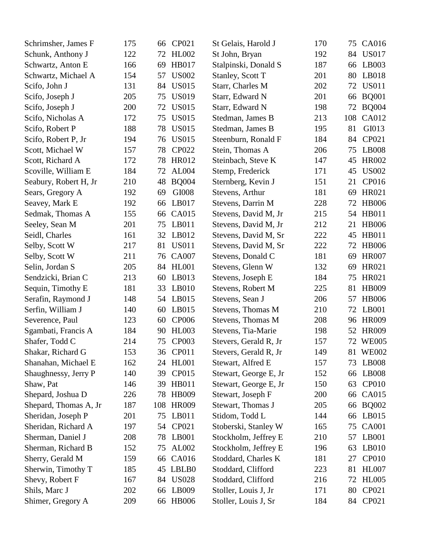| Schrimsher, James F   | 175 | 66  | CP021        | St Gelais, Harold J   | 170 | 75  | CA016        |
|-----------------------|-----|-----|--------------|-----------------------|-----|-----|--------------|
| Schunk, Anthony J     | 122 | 72  | <b>HL002</b> | St John, Bryan        | 192 | 84  | <b>US017</b> |
| Schwartz, Anton E     | 166 | 69  | <b>HB017</b> | Stalpinski, Donald S  | 187 | 66  | LB003        |
| Schwartz, Michael A   | 154 | 57  | <b>US002</b> | Stanley, Scott T      | 201 | 80  | LB018        |
| Scifo, John J         | 131 | 84  | <b>US015</b> | Starr, Charles M      | 202 | 72  | <b>US011</b> |
| Scifo, Joseph J       | 205 | 75  | <b>US019</b> | Starr, Edward N       | 201 | 66  | <b>BQ001</b> |
| Scifo, Joseph J       | 200 | 72  | <b>US015</b> | Starr, Edward N       | 198 | 72  | <b>BQ004</b> |
| Scifo, Nicholas A     | 172 | 75  | <b>US015</b> | Stedman, James B      | 213 | 108 | CA012        |
| Scifo, Robert P       | 188 | 78  | <b>US015</b> | Stedman, James B      | 195 | 81  | GI013        |
| Scifo, Robert P, Jr   | 194 | 76  | <b>US015</b> | Steenburn, Ronald F   | 184 | 84  | CP021        |
| Scott, Michael W      | 157 | 78  | <b>CP022</b> | Stein, Thomas A       | 206 | 75  | <b>LB008</b> |
| Scott, Richard A      | 172 | 78  | <b>HR012</b> | Steinbach, Steve K    | 147 | 45  | <b>HR002</b> |
| Scoville, William E   | 184 | 72  | AL004        | Stemp, Frederick      | 171 | 45  | <b>US002</b> |
| Seabury, Robert H, Jr | 210 | 48  | <b>BQ004</b> | Sternberg, Kevin J    | 151 | 21  | CP016        |
| Sears, Gregory A      | 192 | 69  | GI008        | Stevens, Arthur       | 181 | 69  | HR021        |
| Seavey, Mark E        | 192 | 66  | LB017        | Stevens, Darrin M     | 228 | 72  | <b>HB006</b> |
| Sedmak, Thomas A      | 155 | 66  | CA015        | Stevens, David M, Jr  | 215 | 54  | HB011        |
| Seeley, Sean M        | 201 | 75  | LB011        | Stevens, David M, Jr  | 212 | 21  | <b>HB006</b> |
| Seidl, Charles        | 161 | 32  | LB012        | Stevens, David M, Sr  | 222 | 45  | <b>HB011</b> |
| Selby, Scott W        | 217 | 81  | <b>US011</b> | Stevens, David M, Sr  | 222 | 72  | <b>HB006</b> |
| Selby, Scott W        | 211 | 76  | <b>CA007</b> | Stevens, Donald C     | 181 | 69  | <b>HR007</b> |
| Selin, Jordan S       | 205 | 84  | <b>HL001</b> | Stevens, Glenn W      | 132 | 69  | HR021        |
| Sendzicki, Brian C    | 213 | 60  | LB013        | Stevens, Joseph E     | 184 | 75  | HR021        |
| Sequin, Timothy E     | 181 | 33  | LB010        | Stevens, Robert M     | 225 | 81  | <b>HB009</b> |
| Serafin, Raymond J    | 148 | 54  | LB015        | Stevens, Sean J       | 206 | 57  | <b>HB006</b> |
| Serfin, William J     | 140 | 60  | LB015        | Stevens, Thomas M     | 210 | 72  | LB001        |
| Severence, Paul       | 123 | 60  | <b>CP006</b> | Stevens, Thomas M     | 208 | 96  | <b>HR009</b> |
| Sgambati, Francis A   | 184 | 90  | <b>HL003</b> | Stevens, Tia-Marie    | 198 | 52  | <b>HR009</b> |
| Shafer, Todd C        | 214 | 75  | CP003        | Stevers, Gerald R, Jr | 157 |     | 72 WE005     |
| Shakar, Richard G     | 153 |     | 36 CP011     | Stevers, Gerald R, Jr | 149 |     | 81 WE002     |
| Shanahan, Michael E   | 162 | 24  | <b>HL001</b> | Stewart, Alfred E     | 157 | 73  | <b>LB008</b> |
| Shaughnessy, Jerry P  | 140 | 39  | CP015        | Stewart, George E, Jr | 152 | 66  | LB008        |
| Shaw, Pat             | 146 | 39  | HB011        | Stewart, George E, Jr | 150 | 63  | <b>CP010</b> |
| Shepard, Joshua D     | 226 | 78  | <b>HB009</b> | Stewart, Joseph F     | 200 | 66  | <b>CA015</b> |
| Shepard, Thomas A, Jr | 187 | 108 | <b>HR009</b> | Stewart, Thomas J     | 205 | 66  | <b>BQ002</b> |
| Sheridan, Joseph P    | 201 | 75  | LB011        | Stidom, Todd L        | 144 | 66  | LB015        |
| Sheridan, Richard A   | 197 | 54  | CP021        | Stoberski, Stanley W  | 165 | 75  | <b>CA001</b> |
| Sherman, Daniel J     | 208 | 78  | LB001        | Stockholm, Jeffrey E  | 210 | 57  | LB001        |
| Sherman, Richard B    | 152 | 75  | AL002        | Stockholm, Jeffrey E  | 196 | 63  | LB010        |
| Sherry, Gerald M      | 159 | 66  | CA016        | Stoddard, Charles K   | 181 | 27  | <b>CP010</b> |
| Sherwin, Timothy T    | 185 |     | 45 LBLB0     | Stoddard, Clifford    | 223 | 81  | <b>HL007</b> |
| Shevy, Robert F       | 167 | 84  | <b>US028</b> | Stoddard, Clifford    | 216 | 72  | <b>HL005</b> |
| Shils, Marc J         | 202 | 66  | LB009        | Stoller, Louis J, Jr  | 171 | 80  | CP021        |
| Shimer, Gregory A     | 209 |     | 66 HB006     | Stoller, Louis J, Sr  | 184 | 84  | CP021        |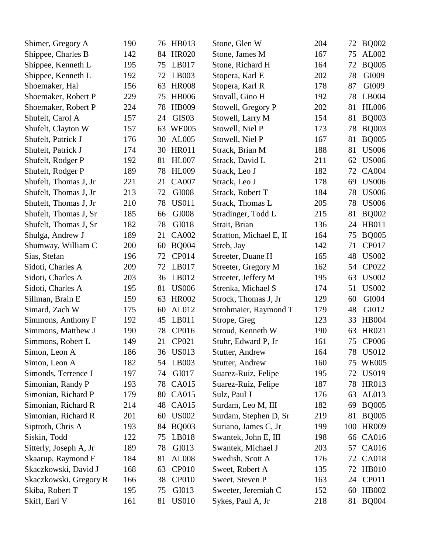| Shimer, Gregory A      | 190 | HB013<br>76             | Stone, Glen W           | 204 | 72  | <b>BQ002</b> |
|------------------------|-----|-------------------------|-------------------------|-----|-----|--------------|
| Shippee, Charles B     | 142 | <b>HR020</b><br>84      | Stone, James M          | 167 | 75  | AL002        |
| Shippee, Kenneth L     | 195 | LB017<br>75             | Stone, Richard H        | 164 | 72  | <b>BQ005</b> |
| Shippee, Kenneth L     | 192 | LB003<br>72             | Stopera, Karl E         | 202 | 78  | GI009        |
| Shoemaker, Hal         | 156 | <b>HR008</b><br>63      | Stopera, Karl R         | 178 | 87  | GI009        |
| Shoemaker, Robert P    | 229 | <b>HB006</b><br>75      | Stovall, Gino H         | 192 | 78  | LB004        |
| Shoemaker, Robert P    | 224 | <b>HB009</b><br>78      | Stowell, Gregory P      | 202 | 81  | <b>HL006</b> |
| Shufelt, Carol A       | 157 | GIS <sub>03</sub><br>24 | Stowell, Larry M        | 154 | 81  | <b>BQ003</b> |
| Shufelt, Clayton W     | 157 | <b>WE005</b><br>63      | Stowell, Niel P         | 173 | 78  | <b>BQ003</b> |
| Shufelt, Patrick J     | 176 | AL005<br>30             | Stowell, Niel P         | 167 | 81  | <b>BQ005</b> |
| Shufelt, Patrick J     | 174 | <b>HR011</b><br>30      | Strack, Brian M         | 188 | 81  | <b>US006</b> |
| Shufelt, Rodger P      | 192 | <b>HL007</b><br>81      | Strack, David L         | 211 | 62  | <b>US006</b> |
| Shufelt, Rodger P      | 189 | <b>HL009</b><br>78      | Strack, Leo J           | 182 | 72  | <b>CA004</b> |
| Shufelt, Thomas J, Jr  | 221 | <b>CA007</b><br>21      | Strack, Leo J           | 178 | 69  | <b>US006</b> |
| Shufelt, Thomas J, Jr  | 213 | GI008<br>72             | Strack, Robert T        | 184 | 78  | <b>US006</b> |
| Shufelt, Thomas J, Jr  | 210 | <b>US011</b><br>78      | Strack, Thomas L        | 205 | 78  | <b>US006</b> |
| Shufelt, Thomas J, Sr  | 185 | GI008<br>66             | Stradinger, Todd L      | 215 | 81  | <b>BQ002</b> |
| Shufelt, Thomas J, Sr  | 182 | GI018<br>78             | Strait, Brian           | 136 | 24  | <b>HB011</b> |
| Shulga, Andrew J       | 189 | CA002<br>21             | Stratton, Michael E, II | 164 | 75  | <b>BQ005</b> |
| Shumway, William C     | 200 | <b>BQ004</b><br>60      | Streb, Jay              | 142 | 71  | CP017        |
| Sias, Stefan           | 196 | CP014<br>72             | Streeter, Duane H       | 165 | 48  | <b>US002</b> |
| Sidoti, Charles A      | 209 | LB017<br>72             | Streeter, Gregory M     | 162 | 54  | CP022        |
| Sidoti, Charles A      | 203 | LB012<br>36             | Streeter, Jeffery M     | 195 | 63  | <b>US002</b> |
| Sidoti, Charles A      | 195 | <b>US006</b><br>81      | Strenka, Michael S      | 174 | 51  | <b>US002</b> |
| Sillman, Brain E       | 159 | <b>HR002</b><br>63      | Strock, Thomas J, Jr    | 129 | 60  | GI004        |
| Simard, Zach W         | 175 | AL012<br>60             | Strohmaier, Raymond T   | 179 | 48  | GI012        |
| Simmons, Anthony F     | 192 | LB011<br>45             | Strope, Greg            | 123 | 33  | <b>HB004</b> |
| Simmons, Matthew J     | 190 | 78<br>CP016             | Stroud, Kenneth W       | 190 | 63  | HR021        |
| Simmons, Robert L      | 149 | CP021<br>21             | Stuhr, Edward P, Jr     | 161 | 75  | <b>CP006</b> |
| Simon, Leon A          | 186 | 36 US013                | Stutter, Andrew         | 164 |     | 78 US012     |
| Simon, Leon A          | 182 | LB003<br>54             | Stutter, Andrew         | 160 | 75  | <b>WE005</b> |
| Simonds, Terrence J    | 197 | GI017<br>74             | Suarez-Ruiz, Felipe     | 195 | 72  | <b>US019</b> |
| Simonian, Randy P      | 193 | CA015<br>78             | Suarez-Ruiz, Felipe     | 187 | 78  | <b>HR013</b> |
| Simonian, Richard P    | 179 | 80<br>CA015             | Sulz, Paul J            | 176 | 63  | AL013        |
| Simonian, Richard R    | 214 | 48<br>CA015             | Surdam, Leo M, III      | 182 | 69  | <b>BQ005</b> |
| Simonian, Richard R    | 201 | <b>US002</b><br>60      | Surdam, Stephen D, Sr   | 219 | 81  | <b>BQ005</b> |
| Siptroth, Chris A      | 193 | <b>BQ003</b><br>84      | Suriano, James C, Jr    | 199 | 100 | <b>HR009</b> |
| Siskin, Todd           | 122 | LB018<br>75             | Swantek, John E, III    | 198 | 66  | CA016        |
| Sitterly, Joseph A, Jr | 189 | 78<br>GI013             | Swantek, Michael J      | 203 | 57  | CA016        |
| Skaarup, Raymond F     | 184 | <b>AL008</b><br>81      | Swedish, Scott A        | 176 | 72  | <b>CA018</b> |
| Skaczkowski, David J   | 168 | <b>CP010</b><br>63      | Sweet, Robert A         | 135 | 72  | HB010        |
| Skaczkowski, Gregory R | 166 | <b>CP010</b><br>38      | Sweet, Steven P         | 163 | 24  | CP011        |
| Skiba, Robert T        | 195 | 75<br>GI013             | Sweeter, Jeremiah C     | 152 | 60  | HB002        |
| Skiff, Earl V          | 161 | <b>US010</b><br>81      | Sykes, Paul A, Jr       | 218 |     | 81 BQ004     |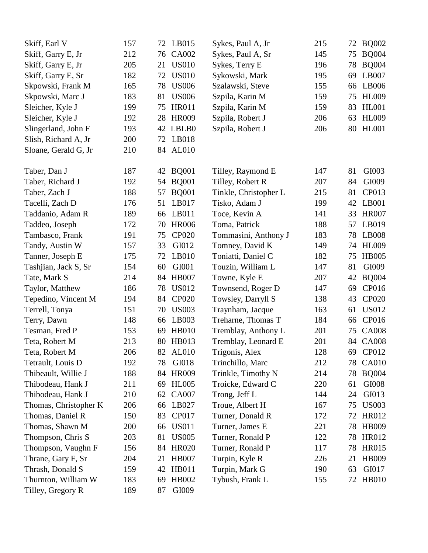| Skiff, Earl V         | 157 | 72 LB015           | Sykes, Paul A, Jr     | 215 | 72 | <b>BQ002</b> |
|-----------------------|-----|--------------------|-----------------------|-----|----|--------------|
| Skiff, Garry E, Jr    | 212 | CA002<br>76        | Sykes, Paul A, Sr     | 145 | 75 | <b>BQ004</b> |
| Skiff, Garry E, Jr    | 205 | <b>US010</b><br>21 | Sykes, Terry E        | 196 | 78 | <b>BQ004</b> |
| Skiff, Garry E, Sr    | 182 | <b>US010</b><br>72 | Sykowski, Mark        | 195 | 69 | LB007        |
| Skpowski, Frank M     | 165 | <b>US006</b><br>78 | Szalawski, Steve      | 155 | 66 | LB006        |
| Skpowski, Marc J      | 183 | <b>US006</b><br>81 | Szpila, Karin M       | 159 | 75 | <b>HL009</b> |
| Sleicher, Kyle J      | 199 | <b>HR011</b><br>75 | Szpila, Karin M       | 159 | 83 | <b>HL001</b> |
| Sleicher, Kyle J      | 192 | <b>HR009</b><br>28 | Szpila, Robert J      | 206 | 63 | <b>HL009</b> |
| Slingerland, John F   | 193 | LBLB0<br>42        | Szpila, Robert J      | 206 | 80 | <b>HL001</b> |
| Slish, Richard A, Jr  | 200 | LB018<br>72        |                       |     |    |              |
| Sloane, Gerald G, Jr  | 210 | <b>AL010</b><br>84 |                       |     |    |              |
| Taber, Dan J          | 187 | <b>BQ001</b><br>42 | Tilley, Raymond E     | 147 | 81 | GI003        |
| Taber, Richard J      | 192 | <b>BQ001</b><br>54 | Tilley, Robert R      | 207 | 84 | GI009        |
| Taber, Zach J         | 188 | <b>BQ001</b><br>57 | Tinkle, Christopher L | 215 | 81 | CP013        |
| Tacelli, Zach D       | 176 | LB017<br>51        | Tisko, Adam J         | 199 | 42 | LB001        |
| Taddanio, Adam R      | 189 | LB011<br>66        | Toce, Kevin A         | 141 | 33 | <b>HR007</b> |
| Taddeo, Joseph        | 172 | <b>HR006</b><br>70 | Toma, Patrick         | 188 | 57 | LB019        |
| Tambasco, Frank       | 191 | <b>CP020</b><br>75 | Tommasini, Anthony J  | 183 | 78 | LB008        |
| Tandy, Austin W       | 157 | 33<br>GI012        | Tomney, David K       | 149 | 74 | <b>HL009</b> |
| Tanner, Joseph E      | 175 | LB010<br>72        | Toniatti, Daniel C    | 182 | 75 | <b>HB005</b> |
| Tashjian, Jack S, Sr  | 154 | GI001<br>60        | Touzin, William L     | 147 | 81 | GI009        |
| Tate, Mark S          | 214 | <b>HB007</b><br>84 | Towne, Kyle E         | 207 | 42 | <b>BQ004</b> |
| Taylor, Matthew       | 186 | <b>US012</b><br>78 | Townsend, Roger D     | 147 | 69 | CP016        |
| Tepedino, Vincent M   | 194 | <b>CP020</b><br>84 | Towsley, Darryll S    | 138 | 43 | CP020        |
| Terrell, Tonya        | 151 | <b>US003</b><br>70 | Traynham, Jacque      | 163 | 61 | <b>US012</b> |
| Terry, Dawn           | 148 | LB003<br>66        | Treharne, Thomas T    | 184 | 66 | CP016        |
| Tesman, Fred P        | 153 | 69<br><b>HB010</b> | Tremblay, Anthony L   | 201 | 75 | <b>CA008</b> |
| Teta, Robert M        | 213 | 80<br>HB013        | Tremblay, Leonard E   | 201 |    | 84 CA008     |
| Teta, Robert M        | 206 | 82<br>AL010        | Trigonis, Alex        | 128 |    | 69 CP012     |
| Tetrault, Louis D     | 192 | GI018<br>78        | Trinchillo, Marc      | 212 | 78 | <b>CA010</b> |
| Thibeault, Willie J   | 188 | <b>HR009</b><br>84 | Trinkle, Timothy N    | 214 | 78 | <b>BQ004</b> |
| Thibodeau, Hank J     | 211 | <b>HL005</b><br>69 | Troicke, Edward C     | 220 | 61 | GI008        |
| Thibodeau, Hank J     | 210 | 62<br><b>CA007</b> | Trong, Jeff L         | 144 | 24 | GI013        |
| Thomas, Christopher K | 206 | LB027<br>66        | Troue, Albert H       | 167 | 75 | <b>US003</b> |
| Thomas, Daniel R      | 150 | 83<br>CP017        | Turner, Donald R      | 172 | 72 | <b>HR012</b> |
| Thomas, Shawn M       | 200 | <b>US011</b><br>66 | Turner, James E       | 221 | 78 | <b>HB009</b> |
| Thompson, Chris S     | 203 | 81<br><b>US005</b> | Turner, Ronald P      | 122 | 78 | HR012        |
| Thompson, Vaughn F    | 156 | <b>HR020</b><br>84 | Turner, Ronald P      | 117 | 78 | <b>HR015</b> |
| Thrane, Gary F, Sr    | 204 | <b>HB007</b><br>21 | Turpin, Kyle R        | 226 | 21 | HB009        |
| Thrash, Donald S      | 159 | HB011<br>42        | Turpin, Mark G        | 190 | 63 | GI017        |
| Thurnton, William W   | 183 | HB002<br>69        | Tybush, Frank L       | 155 | 72 | <b>HB010</b> |
| Tilley, Gregory R     | 189 | GI009<br>87        |                       |     |    |              |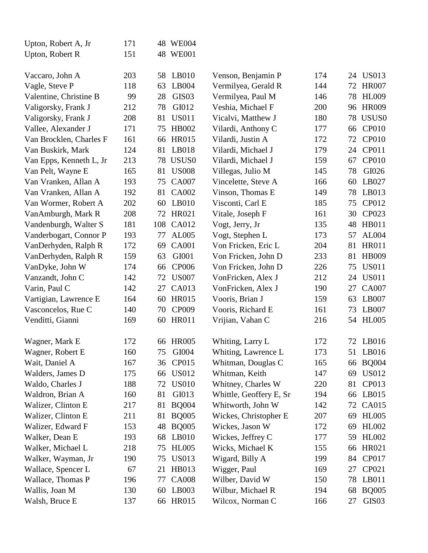| Upton, Robert A, Jr     | 171 | 48  | <b>WE004</b>      |                         |     |    |                   |
|-------------------------|-----|-----|-------------------|-------------------------|-----|----|-------------------|
| Upton, Robert R         | 151 |     | 48 WE001          |                         |     |    |                   |
| Vaccaro, John A         | 203 | 58  | LB010             | Venson, Benjamin P      | 174 | 24 | <b>US013</b>      |
| Vagle, Steve P          | 118 | 63  | LB004             | Vermilyea, Gerald R     | 144 | 72 | <b>HR007</b>      |
| Valentine, Christine B  | 99  | 28  | GIS <sub>03</sub> | Vermilyea, Paul M       | 146 | 78 | <b>HL009</b>      |
| Valigorsky, Frank J     | 212 | 78  | GI012             | Veshia, Michael F       | 200 | 96 | <b>HR009</b>      |
| Valigorsky, Frank J     | 208 | 81  | <b>US011</b>      | Vicalvi, Matthew J      | 180 | 78 | USUS0             |
| Vallee, Alexander J     | 171 | 75  | <b>HB002</b>      | Vilardi, Anthony C      | 177 | 66 | <b>CP010</b>      |
| Van Brocklen, Charles F | 161 | 66  | <b>HR015</b>      | Vilardi, Justin A       | 172 | 72 | <b>CP010</b>      |
| Van Buskirk, Mark       | 124 | 81  | LB018             | Vilardi, Michael J      | 179 | 24 | CP011             |
| Van Epps, Kenneth L, Jr | 213 | 78  | USUS <sub>0</sub> | Vilardi, Michael J      | 159 | 67 | <b>CP010</b>      |
| Van Pelt, Wayne E       | 165 | 81  | <b>US008</b>      | Villegas, Julio M       | 145 | 78 | GI026             |
| Van Vranken, Allan A    | 193 | 75  | <b>CA007</b>      | Vincelette, Steve A     | 166 | 60 | LB027             |
| Van Vranken, Allan A    | 192 | 81  | <b>CA002</b>      | Vinson, Thomas E        | 149 | 78 | LB013             |
| Van Wormer, Robert A    | 202 | 60  | LB010             | Visconti, Carl E        | 185 | 75 | CP012             |
| VanAmburgh, Mark R      | 208 | 72  | HR021             | Vitale, Joseph F        | 161 | 30 | CP023             |
| Vandenburgh, Walter S   | 181 | 108 | CA012             | Vogt, Jerry, Jr         | 135 | 48 | HB011             |
| Vanderbogart, Connor P  | 193 | 77  | AL005             | Vogt, Stephen L         | 173 | 57 | AL004             |
| VanDerhyden, Ralph R    | 172 | 69  | <b>CA001</b>      | Von Fricken, Eric L     | 204 | 81 | <b>HR011</b>      |
| VanDerhyden, Ralph R    | 159 | 63  | GI001             | Von Fricken, John D     | 233 | 81 | HB009             |
| VanDyke, John W         | 174 | 66  | <b>CP006</b>      | Von Fricken, John D     | 226 | 75 | <b>US011</b>      |
| Vanzandt, John C        | 142 | 72  | <b>US007</b>      | VonFricken, Alex J      | 212 | 24 | <b>US011</b>      |
| Varin, Paul C           | 142 | 27  | CA013             | VonFricken, Alex J      | 190 | 27 | <b>CA007</b>      |
| Vartigian, Lawrence E   | 164 | 60  | <b>HR015</b>      | Vooris, Brian J         | 159 | 63 | LB007             |
| Vasconcelos, Rue C      | 140 | 70  | CP009             | Vooris, Richard E       | 161 | 73 | LB007             |
| Venditti, Gianni        | 169 | 60  | <b>HR011</b>      | Vrijian, Vahan C        | 216 | 54 | <b>HL005</b>      |
| Wagner, Mark E          | 172 | 66  | <b>HR005</b>      | Whiting, Larry L        | 172 | 72 | LB016             |
| Wagner, Robert E        | 160 | 75  | GI004             | Whiting, Lawrence L     | 173 |    | 51 LB016          |
| Wait, Daniel A          | 167 | 36  | CP015             | Whitman, Douglas C      | 165 | 66 | <b>BQ004</b>      |
| Walders, James D        | 175 | 66  | <b>US012</b>      | Whitman, Keith          | 147 | 69 | US012             |
| Waldo, Charles J        | 188 | 72  | <b>US010</b>      | Whitney, Charles W      | 220 | 81 | CP013             |
| Waldron, Brian A        | 160 | 81  | GI013             | Whittle, Geoffery E, Sr | 194 | 66 | LB015             |
| Walizer, Clinton E      | 217 | 81  | <b>BQ004</b>      | Whitworth, John W       | 142 | 72 | CA015             |
| Walizer, Clinton E      | 211 | 81  | <b>BQ005</b>      | Wickes, Christopher E   | 207 | 69 | <b>HL005</b>      |
| Walizer, Edward F       | 153 | 48  | <b>BQ005</b>      | Wickes, Jason W         | 172 | 69 | <b>HL002</b>      |
| Walker, Dean E          | 193 | 68  | LB010             | Wickes, Jeffrey C       | 177 | 59 | <b>HL002</b>      |
| Walker, Michael L       | 218 | 75  | <b>HL005</b>      | Wicks, Michael K        | 155 | 66 | HR021             |
| Walker, Wayman, Jr      | 190 | 75  | <b>US013</b>      | Wigard, Billy A         | 199 | 84 | CP017             |
| Wallace, Spencer L      | 67  | 21  | HB013             | Wigger, Paul            | 169 | 27 | CP021             |
| Wallace, Thomas P       | 196 | 77  | <b>CA008</b>      | Wilber, David W         | 150 | 78 | LB011             |
| Wallis, Joan M          | 130 | 60  | LB003             | Wilbur, Michael R       | 194 | 68 | <b>BQ005</b>      |
| Walsh, Bruce E          | 137 | 66  | <b>HR015</b>      | Wilcox, Norman C        | 166 | 27 | GIS <sub>03</sub> |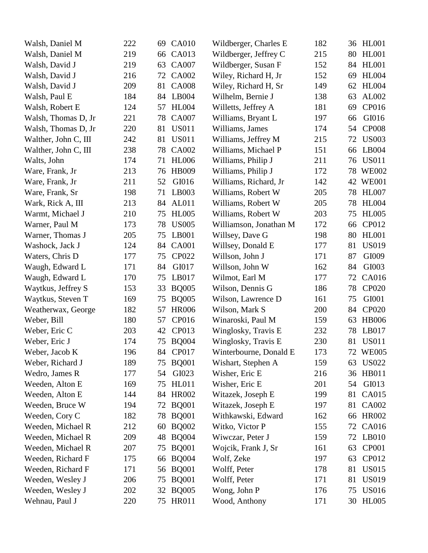| Walsh, Daniel M      | 222 | 69 | <b>CA010</b> | Wildberger, Charles E  | 182 |    | 36 HL001     |
|----------------------|-----|----|--------------|------------------------|-----|----|--------------|
| Walsh, Daniel M      | 219 | 66 | CA013        | Wildberger, Jeffrey C  | 215 | 80 | <b>HL001</b> |
| Walsh, David J       | 219 | 63 | <b>CA007</b> | Wildberger, Susan F    | 152 | 84 | <b>HL001</b> |
| Walsh, David J       | 216 | 72 | <b>CA002</b> | Wiley, Richard H, Jr   | 152 | 69 | <b>HL004</b> |
| Walsh, David J       | 209 | 81 | <b>CA008</b> | Wiley, Richard H, Sr   | 149 | 62 | <b>HL004</b> |
| Walsh, Paul E        | 184 | 84 | LB004        | Wilhelm, Bernie J      | 138 | 63 | AL002        |
| Walsh, Robert E      | 124 | 57 | <b>HL004</b> | Willetts, Jeffrey A    | 181 | 69 | CP016        |
| Walsh, Thomas D, Jr  | 221 | 78 | <b>CA007</b> | Williams, Bryant L     | 197 | 66 | GI016        |
| Walsh, Thomas D, Jr  | 220 | 81 | <b>US011</b> | Williams, James        | 174 | 54 | <b>CP008</b> |
| Walther, John C, III | 242 | 81 | <b>US011</b> | Williams, Jeffrey M    | 215 | 72 | <b>US003</b> |
| Walther, John C, III | 238 | 78 | <b>CA002</b> | Williams, Michael P    | 151 | 66 | LB004        |
| Walts, John          | 174 | 71 | <b>HL006</b> | Williams, Philip J     | 211 | 76 | <b>US011</b> |
| Ware, Frank, Jr      | 213 | 76 | <b>HB009</b> | Williams, Philip J     | 172 | 78 | <b>WE002</b> |
| Ware, Frank, Jr      | 211 | 52 | GI016        | Williams, Richard, Jr  | 142 | 42 | <b>WE001</b> |
| Ware, Frank, Sr      | 198 | 71 | LB003        | Williams, Robert W     | 205 | 78 | <b>HL007</b> |
| Wark, Rick A, III    | 213 | 84 | AL011        | Williams, Robert W     | 205 | 78 | <b>HL004</b> |
| Warmt, Michael J     | 210 | 75 | <b>HL005</b> | Williams, Robert W     | 203 | 75 | <b>HL005</b> |
| Warner, Paul M       | 173 | 78 | <b>US005</b> | Williamson, Jonathan M | 172 | 66 | CP012        |
| Warner, Thomas J     | 205 | 75 | LB001        | Willsey, Dave G        | 198 | 80 | <b>HL001</b> |
| Washock, Jack J      | 124 | 84 | <b>CA001</b> | Willsey, Donald E      | 177 | 81 | <b>US019</b> |
| Waters, Chris D      | 177 | 75 | CP022        | Willson, John J        | 171 | 87 | GI009        |
| Waugh, Edward L      | 171 | 84 | GI017        | Willson, John W        | 162 | 84 | GI003        |
| Waugh, Edward L      | 170 | 75 | LB017        | Wilmot, Earl M         | 177 | 72 | CA016        |
| Waytkus, Jeffrey S   | 153 | 33 | <b>BQ005</b> | Wilson, Dennis G       | 186 | 78 | <b>CP020</b> |
| Waytkus, Steven T    | 169 | 75 | <b>BQ005</b> | Wilson, Lawrence D     | 161 | 75 | GI001        |
| Weatherwax, George   | 182 | 57 | <b>HR006</b> | Wilson, Mark S         | 200 | 84 | <b>CP020</b> |
| Weber, Bill          | 180 | 57 | CP016        | Winaroski, Paul M      | 159 | 63 | <b>HB006</b> |
| Weber, Eric C        | 203 | 42 | CP013        | Winglosky, Travis E    | 232 | 78 | LB017        |
| Weber, Eric J        | 174 | 75 | <b>BQ004</b> | Winglosky, Travis E    | 230 | 81 | <b>US011</b> |
| Weber, Jacob K       | 196 |    | 84 CP017     | Winterbourne, Donald E | 173 |    | 72 WE005     |
| Weber, Richard J     | 189 | 75 | <b>BQ001</b> | Wishart, Stephen A     | 159 | 63 | <b>US022</b> |
| Wedro, James R       | 177 | 54 | GI023        | Wisher, Eric E         | 216 |    | 36 HB011     |
| Weeden, Alton E      | 169 | 75 | <b>HL011</b> | Wisher, Eric E         | 201 | 54 | GI013        |
| Weeden, Alton E      | 144 | 84 | <b>HR002</b> | Witazek, Joseph E      | 199 | 81 | CA015        |
| Weeden, Bruce W      | 194 | 72 | <b>BQ001</b> | Witazek, Joseph E      | 197 | 81 | CA002        |
| Weeden, Cory C       | 182 | 78 | <b>BQ001</b> | Withkawski, Edward     | 162 | 66 | <b>HR002</b> |
| Weeden, Michael R    | 212 | 60 | <b>BQ002</b> | Witko, Victor P        | 155 | 72 | CA016        |
| Weeden, Michael R    | 209 | 48 | <b>BQ004</b> | Wiwczar, Peter J       | 159 | 72 | LB010        |
| Weeden, Michael R    | 207 | 75 | <b>BQ001</b> | Wojcik, Frank J, Sr    | 161 | 63 | <b>CP001</b> |
| Weeden, Richard F    | 175 | 66 | <b>BQ004</b> | Wolf, Zeke             | 197 | 63 | CP012        |
| Weeden, Richard F    | 171 | 56 | <b>BQ001</b> | Wolff, Peter           | 178 | 81 | <b>US015</b> |
| Weeden, Wesley J     | 206 | 75 | <b>BQ001</b> | Wolff, Peter           | 171 | 81 | <b>US019</b> |
| Weeden, Wesley J     | 202 | 32 | <b>BQ005</b> | Wong, John P           | 176 | 75 | <b>US016</b> |
| Wehnau, Paul J       | 220 |    | 75 HR011     | Wood, Anthony          | 171 |    | 30 HL005     |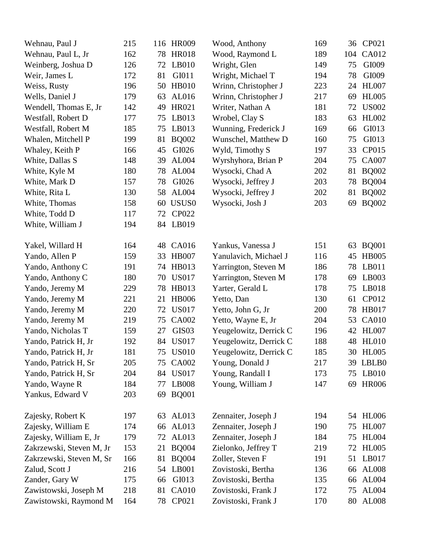| Wehnau, Paul J           | 215 |    | 116 HR009         | Wood, Anthony          | 169 | 36  | CP021        |
|--------------------------|-----|----|-------------------|------------------------|-----|-----|--------------|
| Wehnau, Paul L, Jr       | 162 | 78 | <b>HR018</b>      | Wood, Raymond L        | 189 | 104 | CA012        |
| Weinberg, Joshua D       | 126 | 72 | LB010             | Wright, Glen           | 149 | 75  | GI009        |
| Weir, James L            | 172 | 81 | GI011             | Wright, Michael T      | 194 | 78  | GI009        |
| Weiss, Rusty             | 196 | 50 | <b>HB010</b>      | Wrinn, Christopher J   | 223 | 24  | <b>HL007</b> |
| Wells, Daniel J          | 179 | 63 | AL016             | Wrinn, Christopher J   | 217 | 69  | <b>HL005</b> |
| Wendell, Thomas E, Jr    | 142 | 49 | HR021             | Writer, Nathan A       | 181 | 72  | <b>US002</b> |
| Westfall, Robert D       | 177 | 75 | LB013             | Wrobel, Clay S         | 183 | 63  | HL002        |
| Westfall, Robert M       | 185 | 75 | LB013             | Wunning, Frederick J   | 169 | 66  | GI013        |
| Whalen, Mitchell P       | 199 | 81 | <b>BQ002</b>      | Wunschel, Matthew D    | 160 | 75  | GI013        |
| Whaley, Keith P          | 166 | 45 | GI026             | Wyld, Timothy S        | 197 | 33  | CP015        |
| White, Dallas S          | 148 | 39 | AL004             | Wyrshyhora, Brian P    | 204 | 75  | <b>CA007</b> |
| White, Kyle M            | 180 | 78 | AL004             | Wysocki, Chad A        | 202 | 81  | <b>BQ002</b> |
| White, Mark D            | 157 | 78 | GI026             | Wysocki, Jeffrey J     | 203 | 78  | <b>BQ004</b> |
| White, Rita L            | 130 | 58 | <b>AL004</b>      | Wysocki, Jeffrey J     | 202 | 81  | <b>BQ002</b> |
| White, Thomas            | 158 | 60 | USUS <sub>0</sub> | Wysocki, Josh J        | 203 | 69  | <b>BQ002</b> |
| White, Todd D            | 117 | 72 | CP022             |                        |     |     |              |
| White, William J         | 194 | 84 | LB019             |                        |     |     |              |
|                          |     |    |                   |                        |     |     |              |
| Yakel, Willard H         | 164 | 48 | CA016             | Yankus, Vanessa J      | 151 | 63  | <b>BQ001</b> |
| Yando, Allen P           | 159 | 33 | <b>HB007</b>      | Yanulavich, Michael J  | 116 | 45  | <b>HB005</b> |
| Yando, Anthony C         | 191 | 74 | HB013             | Yarrington, Steven M   | 186 | 78  | LB011        |
| Yando, Anthony C         | 180 | 70 | <b>US017</b>      | Yarrington, Steven M   | 178 | 69  | LB003        |
| Yando, Jeremy M          | 229 | 78 | HB013             | Yarter, Gerald L       | 178 | 75  | LB018        |
| Yando, Jeremy M          | 221 | 21 | <b>HB006</b>      | Yetto, Dan             | 130 | 61  | CP012        |
| Yando, Jeremy M          | 220 | 72 | <b>US017</b>      | Yetto, John G, Jr      | 200 | 78  | <b>HB017</b> |
| Yando, Jeremy M          | 219 | 75 | <b>CA002</b>      | Yetto, Wayne E, Jr     | 204 | 53  | <b>CA010</b> |
| Yando, Nicholas T        | 159 | 27 | GIS <sub>03</sub> | Yeugelowitz, Derrick C | 196 | 42  | <b>HL007</b> |
| Yando, Patrick H, Jr     | 192 | 84 | <b>US017</b>      | Yeugelowitz, Derrick C | 188 | 48  | <b>HL010</b> |
| Yando, Patrick H, Jr     | 181 |    | 75 US010          | Yeugelowitz, Derrick C | 185 |     | 30 HL005     |
| Yando, Patrick H, Sr     | 205 | 75 | CA002             | Young, Donald J        | 217 | 39  | LBLB0        |
| Yando, Patrick H, Sr     | 204 | 84 | <b>US017</b>      | Young, Randall I       | 173 | 75  | LB010        |
| Yando, Wayne R           | 184 | 77 | <b>LB008</b>      | Young, William J       | 147 | 69  | <b>HR006</b> |
| Yankus, Edward V         | 203 | 69 | <b>BQ001</b>      |                        |     |     |              |
|                          |     |    |                   |                        |     |     |              |
| Zajesky, Robert K        | 197 | 63 | AL013             | Zennaiter, Joseph J    | 194 | 54  | <b>HL006</b> |
| Zajesky, William E       | 174 | 66 | AL013             | Zennaiter, Joseph J    | 190 | 75  | <b>HL007</b> |
| Zajesky, William E, Jr   | 179 | 72 | AL013             | Zennaiter, Joseph J    | 184 | 75  | <b>HL004</b> |
| Zakrzewski, Steven M, Jr | 153 | 21 | <b>BQ004</b>      | Zielonko, Jeffrey T    | 219 | 72  | <b>HL005</b> |
| Zakrzewski, Steven M, Sr | 166 | 81 | <b>BQ004</b>      | Zoller, Steven F       | 191 | 51  | LB017        |
| Zalud, Scott J           | 216 | 54 | LB001             | Zovistoski, Bertha     | 136 | 66  | <b>AL008</b> |
| Zander, Gary W           | 175 | 66 | GI013             | Zovistoski, Bertha     | 135 | 66  | AL004        |
| Zawistowski, Joseph M    | 218 | 81 | <b>CA010</b>      | Zovistoski, Frank J    | 172 | 75  | <b>AL004</b> |
| Zawistowski, Raymond M   | 164 | 78 | CP021             | Zovistoski, Frank J    | 170 | 80  | <b>AL008</b> |